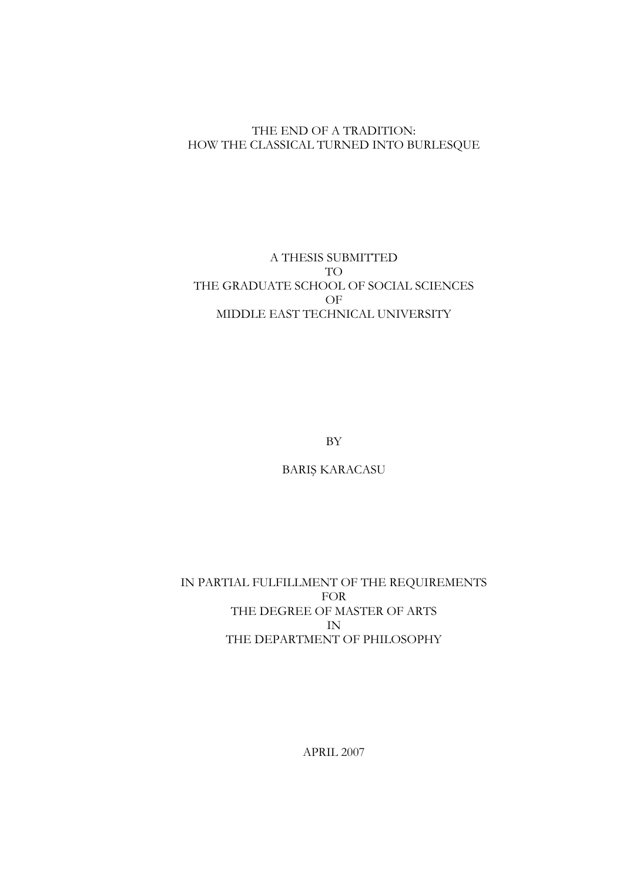### THE END OF A TRADITION: HOW THE CLASSICAL TURNED INTO BURLESQUE

### A THESIS SUBMITTED TO THE GRADUATE SCHOOL OF SOCIAL SCIENCES OF MIDDLE EAST TECHNICAL UNIVERSITY

BY

BARIŞ KARACASU

IN PARTIAL FULFILLMENT OF THE REQUIREMENTS FOR THE DEGREE OF MASTER OF ARTS IN THE DEPARTMENT OF PHILOSOPHY

APRIL 2007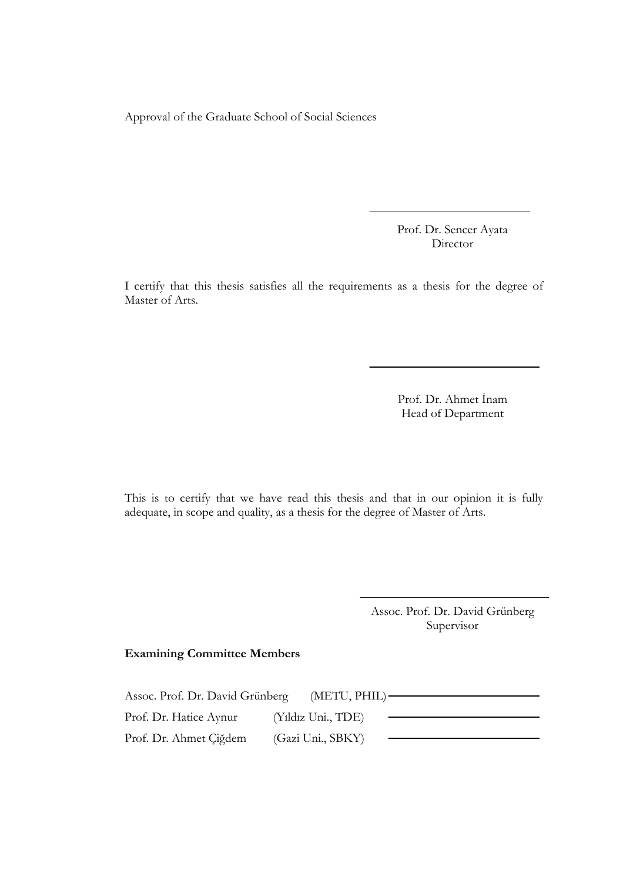Approval of the Graduate School of Social Sciences

Prof. Dr. Sencer Ayata Director

I certify that this thesis satisfies all the requirements as a thesis for the degree of Master of Arts.

> Prof. Dr. Ahmet İnam Head of Department

This is to certify that we have read this thesis and that in our opinion it is fully adequate, in scope and quality, as a thesis for the degree of Master of Arts.

> Assoc. Prof. Dr. David Grünberg Supervisor

### Examining Committee Members

| Assoc. Prof. Dr. David Grünberg | $(METU, PHIL)$ –   |  |
|---------------------------------|--------------------|--|
| Prof. Dr. Hatice Aynur          | (Yıldız Uni., TDE) |  |
| Prof. Dr. Ahmet Çiğdem          | (Gazi Uni., SBKY)  |  |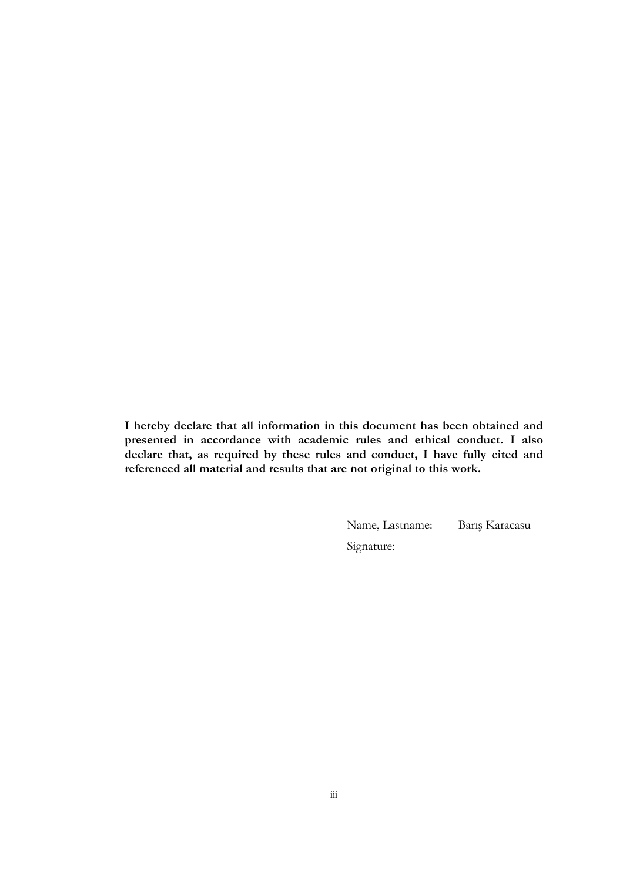I hereby declare that all information in this document has been obtained and presented in accordance with academic rules and ethical conduct. I also declare that, as required by these rules and conduct, I have fully cited and referenced all material and results that are not original to this work.

Name, Lastname: Barış Karacasu

Signature: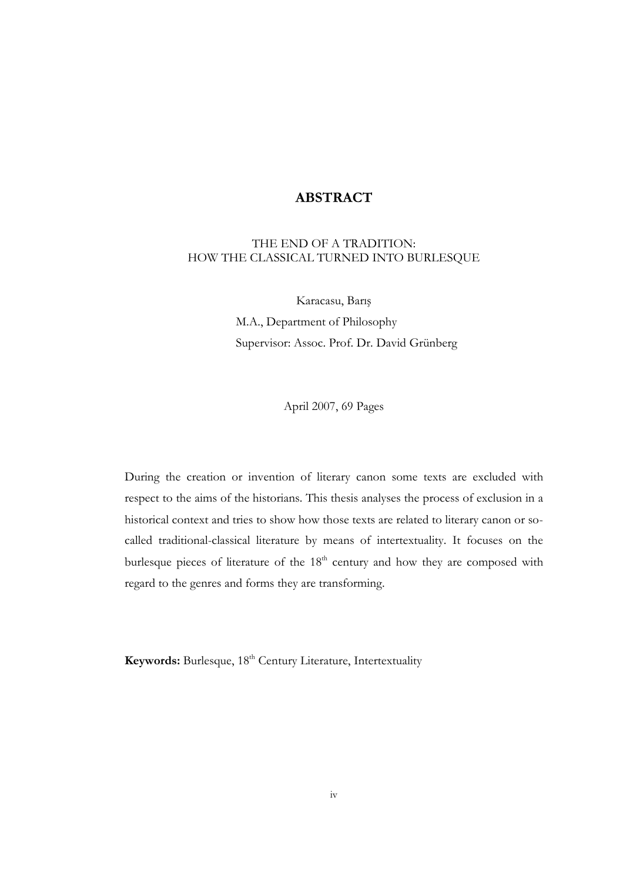### ABSTRACT

### THE END OF A TRADITION: HOW THE CLASSICAL TURNED INTO BURLESQUE

Karacasu, Barış M.A., Department of Philosophy Supervisor: Assoc. Prof. Dr. David Grünberg

April 2007, 69 Pages

During the creation or invention of literary canon some texts are excluded with respect to the aims of the historians. This thesis analyses the process of exclusion in a historical context and tries to show how those texts are related to literary canon or socalled traditional-classical literature by means of intertextuality. It focuses on the burlesque pieces of literature of the 18<sup>th</sup> century and how they are composed with regard to the genres and forms they are transforming.

Keywords: Burlesque, 18<sup>th</sup> Century Literature, Intertextuality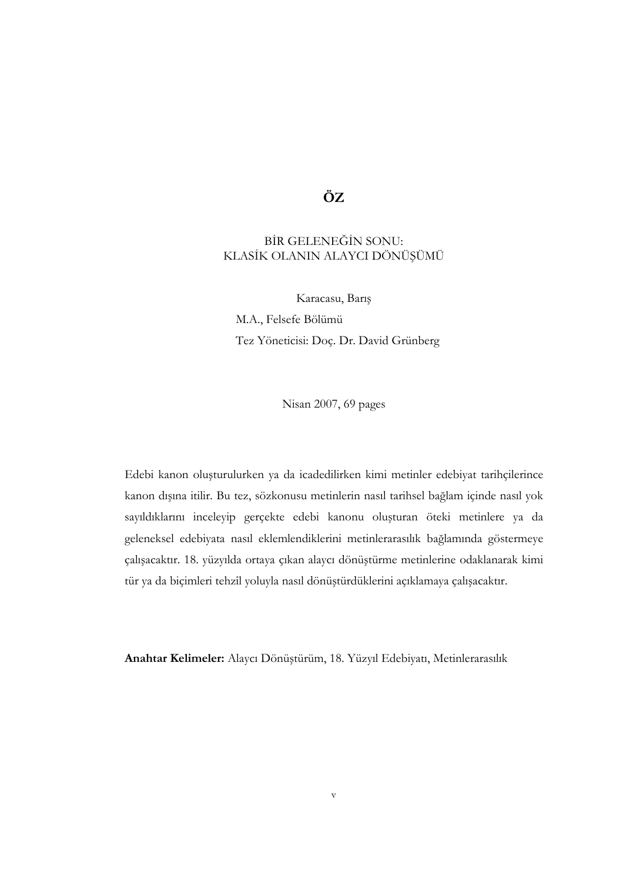# ÖZ

### BİR GELENEĞİN SONU: KLASİK OLANIN ALAYCI DÖNÜŞÜMÜ

Karacasu, Barış M.A., Felsefe Bölümü Tez Yöneticisi: Doç. Dr. David Grünberg

Nisan 2007, 69 pages

Edebi kanon oluşturulurken ya da icadedilirken kimi metinler edebiyat tarihçilerince kanon dışına itilir. Bu tez, sözkonusu metinlerin nasıl tarihsel bağlam içinde nasıl yok sayıldıklarını inceleyip gerçekte edebi kanonu oluşturan öteki metinlere ya da geleneksel edebiyata nasıl eklemlendiklerini metinlerarasılık bağlamında göstermeye çalışacaktır. 18. yüzyılda ortaya çıkan alaycı dönüştürme metinlerine odaklanarak kimi tür ya da biçimleri tehzîl yoluyla nasıl dönüştürdüklerini açıklamaya çalışacaktır.

Anahtar Kelimeler: Alaycı Dönüştürüm, 18. Yüzyıl Edebiyatı, Metinlerarasılık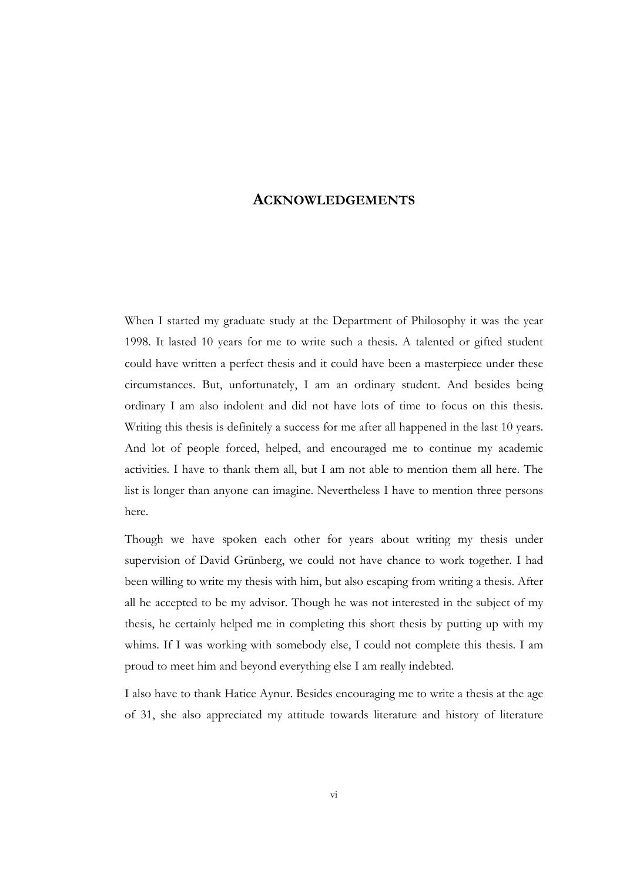### ACKNOWLEDGEMENTS

When I started my graduate study at the Department of Philosophy it was the year 1998. It lasted 10 years for me to write such a thesis. A talented or gifted student could have written a perfect thesis and it could have been a masterpiece under these circumstances. But, unfortunately, I am an ordinary student. And besides being ordinary I am also indolent and did not have lots of time to focus on this thesis. Writing this thesis is definitely a success for me after all happened in the last 10 years. And lot of people forced, helped, and encouraged me to continue my academic activities. I have to thank them all, but I am not able to mention them all here. The list is longer than anyone can imagine. Nevertheless I have to mention three persons here.

Though we have spoken each other for years about writing my thesis under supervision of David Grünberg, we could not have chance to work together. I had been willing to write my thesis with him, but also escaping from writing a thesis. After all he accepted to be my advisor. Though he was not interested in the subject of my thesis, he certainly helped me in completing this short thesis by putting up with my whims. If I was working with somebody else, I could not complete this thesis. I am proud to meet him and beyond everything else I am really indebted.

I also have to thank Hatice Aynur. Besides encouraging me to write a thesis at the age of 31, she also appreciated my attitude towards literature and history of literature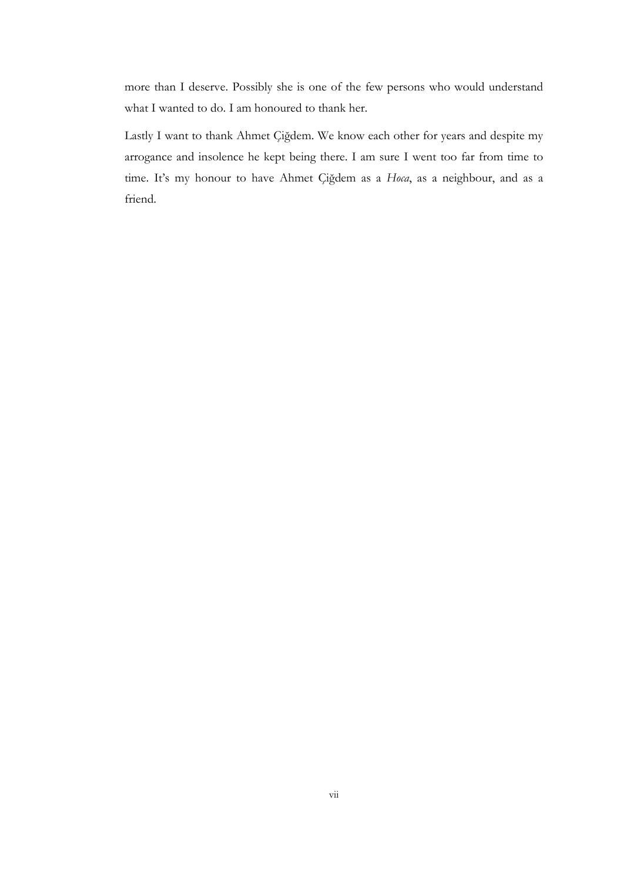more than I deserve. Possibly she is one of the few persons who would understand what I wanted to do. I am honoured to thank her.

Lastly I want to thank Ahmet Çiğdem. We know each other for years and despite my arrogance and insolence he kept being there. I am sure I went too far from time to time. It's my honour to have Ahmet Çiğdem as a Hoca, as a neighbour, and as a friend.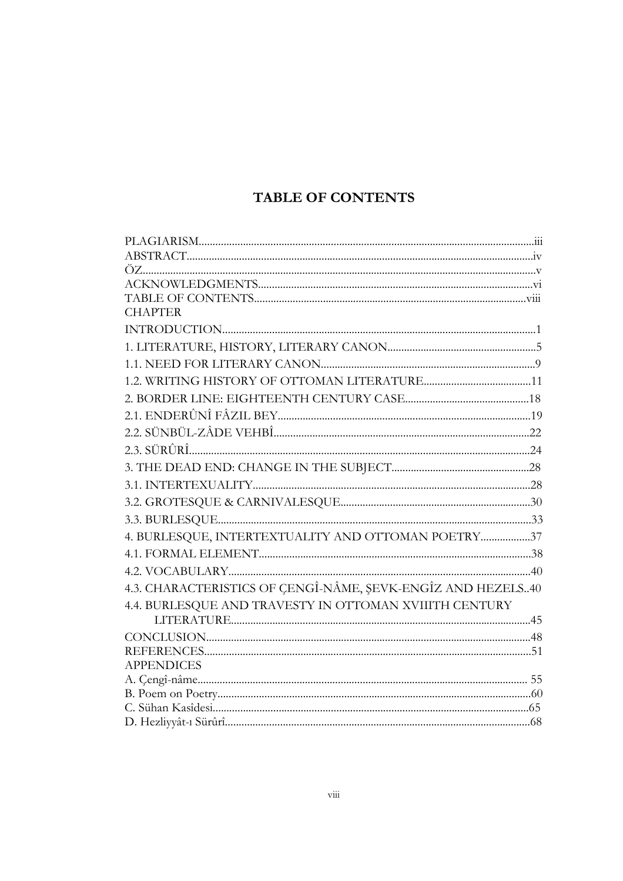# **TABLE OF CONTENTS**

| <b>CHAPTER</b>                                              |
|-------------------------------------------------------------|
|                                                             |
|                                                             |
|                                                             |
|                                                             |
|                                                             |
|                                                             |
|                                                             |
|                                                             |
|                                                             |
|                                                             |
|                                                             |
|                                                             |
| 4. BURLESQUE, INTERTEXTUALITY AND OTTOMAN POETRY37          |
|                                                             |
|                                                             |
| 4.3. CHARACTERISTICS OF ÇENGÎ-NÂME, ŞEVK-ENGÎZ AND HEZELS40 |
| 4.4. BURLESQUE AND TRAVESTY IN OTTOMAN XVIIITH CENTURY      |
|                                                             |
|                                                             |
|                                                             |
| <b>APPENDICES</b>                                           |
|                                                             |
|                                                             |
|                                                             |
|                                                             |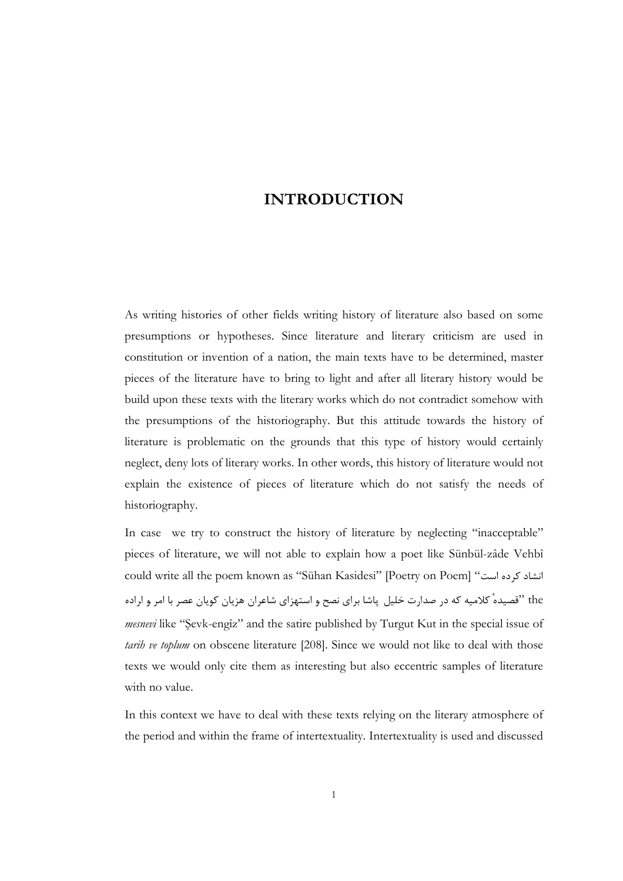# INTRODUCTION

As writing histories of other fields writing history of literature also based on some presumptions or hypotheses. Since literature and literary criticism are used in constitution or invention of a nation, the main texts have to be determined, master pieces of the literature have to bring to light and after all literary history would be build upon these texts with the literary works which do not contradict somehow with the presumptions of the historiography. But this attitude towards the history of literature is problematic on the grounds that this type of history would certainly neglect, deny lots of literary works. In other words, this history of literature would not explain the existence of pieces of literature which do not satisfy the needs of historiography.

In case we try to construct the history of literature by neglecting "inacceptable" pieces of literature, we will not able to explain how a poet like Sünbül-zâde Vehbî could write all the poem known as "Sühan Kasidesi" [Poetry on Poem] "انشاد کرده است the "قصيده كلاميه كه در صدارت خليل پاشا براي نصح و استهزاي شاعران هزيان كويان عصر با امر و اراده mesnevi like "Şevk-engîz" and the satire published by Turgut Kut in the special issue of tarih ve toplum on obscene literature [208]. Since we would not like to deal with those texts we would only cite them as interesting but also eccentric samples of literature with no value.

In this context we have to deal with these texts relying on the literary atmosphere of the period and within the frame of intertextuality. Intertextuality is used and discussed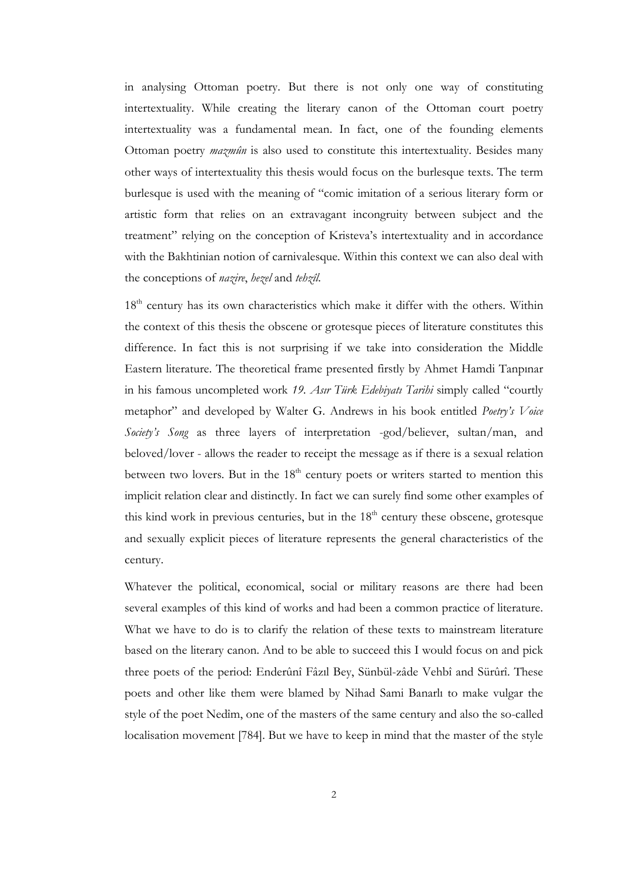in analysing Ottoman poetry. But there is not only one way of constituting intertextuality. While creating the literary canon of the Ottoman court poetry intertextuality was a fundamental mean. In fact, one of the founding elements Ottoman poetry *mazmûn* is also used to constitute this intertextuality. Besides many other ways of intertextuality this thesis would focus on the burlesque texts. The term burlesque is used with the meaning of "comic imitation of a serious literary form or artistic form that relies on an extravagant incongruity between subject and the treatment" relying on the conception of Kristeva's intertextuality and in accordance with the Bakhtinian notion of carnivalesque. Within this context we can also deal with the conceptions of nazire, hezel and tehzîl.

18<sup>th</sup> century has its own characteristics which make it differ with the others. Within the context of this thesis the obscene or grotesque pieces of literature constitutes this difference. In fact this is not surprising if we take into consideration the Middle Eastern literature. The theoretical frame presented firstly by Ahmet Hamdi Tanpınar in his famous uncompleted work 19. Asır Türk Edebiyatı Tarihi simply called "courtly metaphor" and developed by Walter G. Andrews in his book entitled Poetry's Voice Society's Song as three layers of interpretation -god/believer, sultan/man, and beloved/lover - allows the reader to receipt the message as if there is a sexual relation between two lovers. But in the  $18<sup>th</sup>$  century poets or writers started to mention this implicit relation clear and distinctly. In fact we can surely find some other examples of this kind work in previous centuries, but in the  $18<sup>th</sup>$  century these obscene, grotesque and sexually explicit pieces of literature represents the general characteristics of the century.

Whatever the political, economical, social or military reasons are there had been several examples of this kind of works and had been a common practice of literature. What we have to do is to clarify the relation of these texts to mainstream literature based on the literary canon. And to be able to succeed this I would focus on and pick three poets of the period: Enderûnî Fâzıl Bey, Sünbül-zâde Vehbî and Sürûrî. These poets and other like them were blamed by Nihad Sami Banarlı to make vulgar the style of the poet Nedîm, one of the masters of the same century and also the so-called localisation movement [784]. But we have to keep in mind that the master of the style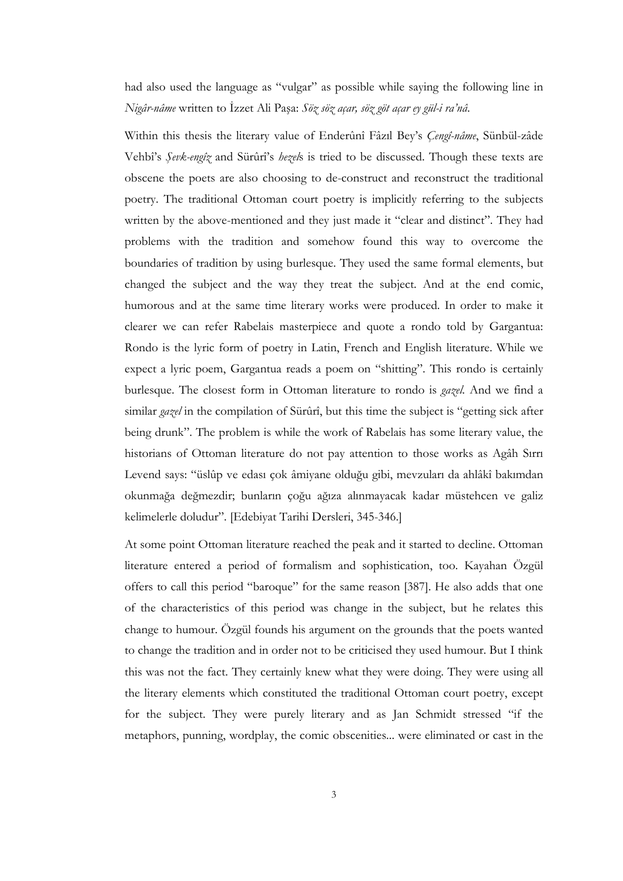had also used the language as "vulgar" as possible while saying the following line in Nigâr-nâme written to İzzet Ali Paşa: Söz söz açar, söz göt açar ey gül-i ra'nâ.

Within this thesis the literary value of Enderûnî Fâzıl Bey's Cengî-nâme, Sünbül-zâde Vehbî's Şevk-engîz and Sürûrî's hezels is tried to be discussed. Though these texts are obscene the poets are also choosing to de-construct and reconstruct the traditional poetry. The traditional Ottoman court poetry is implicitly referring to the subjects written by the above-mentioned and they just made it "clear and distinct". They had problems with the tradition and somehow found this way to overcome the boundaries of tradition by using burlesque. They used the same formal elements, but changed the subject and the way they treat the subject. And at the end comic, humorous and at the same time literary works were produced. In order to make it clearer we can refer Rabelais masterpiece and quote a rondo told by Gargantua: Rondo is the lyric form of poetry in Latin, French and English literature. While we expect a lyric poem, Gargantua reads a poem on "shitting". This rondo is certainly burlesque. The closest form in Ottoman literature to rondo is gazel. And we find a similar *gazel* in the compilation of Sürûrî, but this time the subject is "getting sick after being drunk". The problem is while the work of Rabelais has some literary value, the historians of Ottoman literature do not pay attention to those works as Agâh Sırrı Levend says: "üslûp ve edası çok âmiyane olduğu gibi, mevzuları da ahlâkî bakımdan okunmağa değmezdir; bunların çoğu ağıza alınmayacak kadar müstehcen ve galiz kelimelerle doludur". [Edebiyat Tarihi Dersleri, 345-346.]

At some point Ottoman literature reached the peak and it started to decline. Ottoman literature entered a period of formalism and sophistication, too. Kayahan Özgül offers to call this period "baroque" for the same reason [387]. He also adds that one of the characteristics of this period was change in the subject, but he relates this change to humour. Özgül founds his argument on the grounds that the poets wanted to change the tradition and in order not to be criticised they used humour. But I think this was not the fact. They certainly knew what they were doing. They were using all the literary elements which constituted the traditional Ottoman court poetry, except for the subject. They were purely literary and as Jan Schmidt stressed "if the metaphors, punning, wordplay, the comic obscenities... were eliminated or cast in the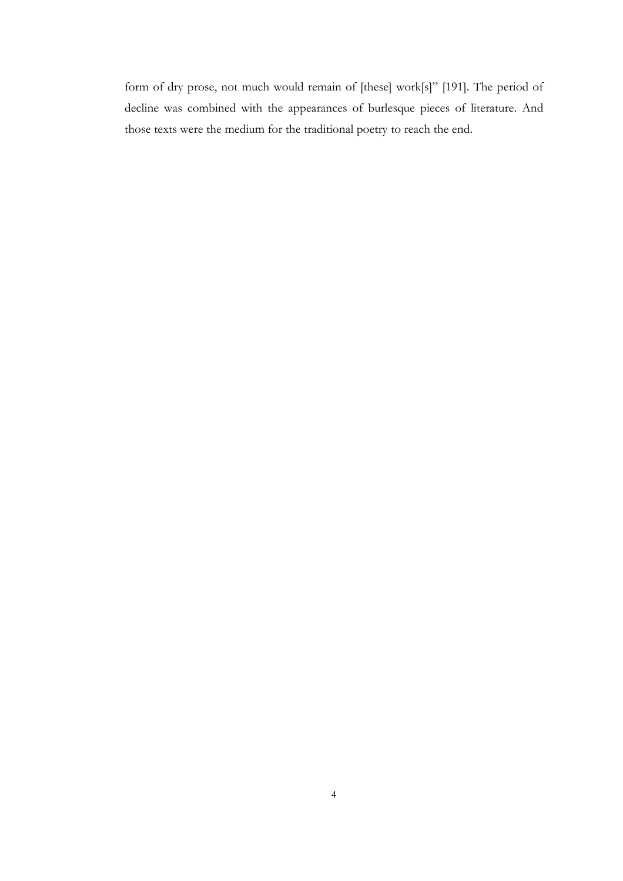form of dry prose, not much would remain of [these] work[s]" [191]. The period of decline was combined with the appearances of burlesque pieces of literature. And those texts were the medium for the traditional poetry to reach the end.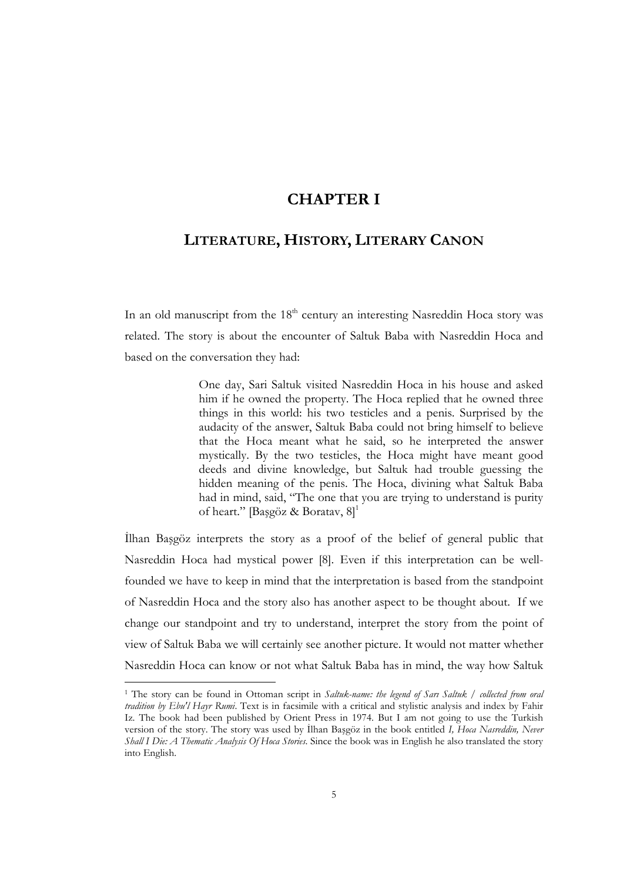# CHAPTER I

# LITERATURE, HISTORY, LITERARY CANON

In an old manuscript from the  $18<sup>th</sup>$  century an interesting Nasreddin Hoca story was related. The story is about the encounter of Saltuk Baba with Nasreddin Hoca and based on the conversation they had:

> One day, Sari Saltuk visited Nasreddin Hoca in his house and asked him if he owned the property. The Hoca replied that he owned three things in this world: his two testicles and a penis. Surprised by the audacity of the answer, Saltuk Baba could not bring himself to believe that the Hoca meant what he said, so he interpreted the answer mystically. By the two testicles, the Hoca might have meant good deeds and divine knowledge, but Saltuk had trouble guessing the hidden meaning of the penis. The Hoca, divining what Saltuk Baba had in mind, said, "The one that you are trying to understand is purity of heart." [Başgöz & Boratav,  $8$ ]<sup>1</sup>

Ilhan Başgöz interprets the story as a proof of the belief of general public that Nasreddin Hoca had mystical power [8]. Even if this interpretation can be wellfounded we have to keep in mind that the interpretation is based from the standpoint of Nasreddin Hoca and the story also has another aspect to be thought about. If we change our standpoint and try to understand, interpret the story from the point of view of Saltuk Baba we will certainly see another picture. It would not matter whether Nasreddin Hoca can know or not what Saltuk Baba has in mind, the way how Saltuk

<sup>&</sup>lt;sup>1</sup> The story can be found in Ottoman script in Saltuk-name: the legend of Sarı Saltuk / collected from oral tradition by Ebu'l Hayr Rumi. Text is in facsimile with a critical and stylistic analysis and index by Fahir Iz. The book had been published by Orient Press in 1974. But I am not going to use the Turkish version of the story. The story was used by Ilhan Başgöz in the book entitled I, Hoca Nasreddin, Never Shall I Die: A Thematic Analysis Of Hoca Stories. Since the book was in English he also translated the story into English.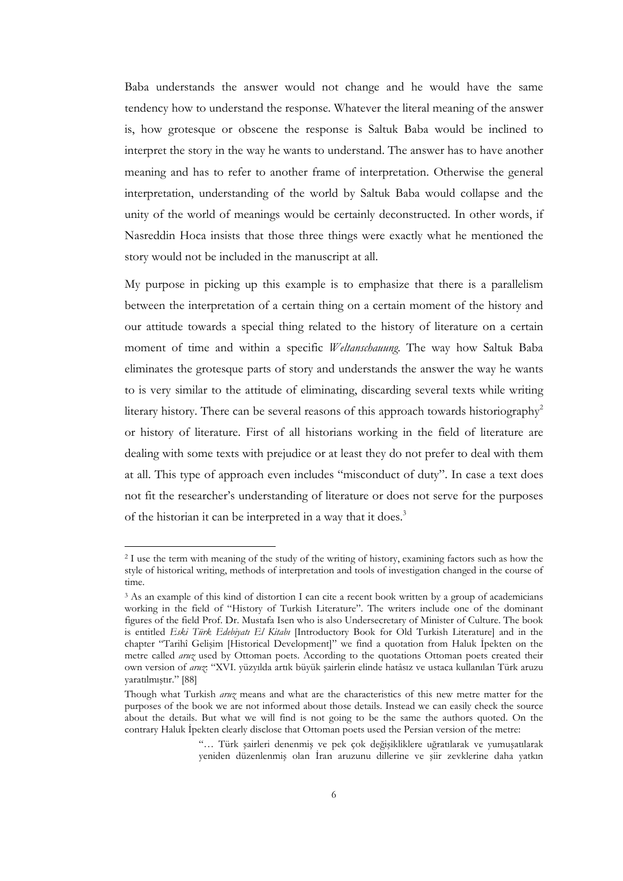Baba understands the answer would not change and he would have the same tendency how to understand the response. Whatever the literal meaning of the answer is, how grotesque or obscene the response is Saltuk Baba would be inclined to interpret the story in the way he wants to understand. The answer has to have another meaning and has to refer to another frame of interpretation. Otherwise the general interpretation, understanding of the world by Saltuk Baba would collapse and the unity of the world of meanings would be certainly deconstructed. In other words, if Nasreddin Hoca insists that those three things were exactly what he mentioned the story would not be included in the manuscript at all.

My purpose in picking up this example is to emphasize that there is a parallelism between the interpretation of a certain thing on a certain moment of the history and our attitude towards a special thing related to the history of literature on a certain moment of time and within a specific *Weltanschauung*. The way how Saltuk Baba eliminates the grotesque parts of story and understands the answer the way he wants to is very similar to the attitude of eliminating, discarding several texts while writing literary history. There can be several reasons of this approach towards historiography<sup>2</sup> or history of literature. First of all historians working in the field of literature are dealing with some texts with prejudice or at least they do not prefer to deal with them at all. This type of approach even includes "misconduct of duty". In case a text does not fit the researcher's understanding of literature or does not serve for the purposes of the historian it can be interpreted in a way that it does.<sup>3</sup>

<sup>2</sup> I use the term with meaning of the study of the writing of history, examining factors such as how the style of historical writing, methods of interpretation and tools of investigation changed in the course of time.

<sup>3</sup> As an example of this kind of distortion I can cite a recent book written by a group of academicians working in the field of "History of Turkish Literature". The writers include one of the dominant figures of the field Prof. Dr. Mustafa Isen who is also Undersecretary of Minister of Culture. The book is entitled Eski Türk Edebiyatı El Kitabı [Introductory Book for Old Turkish Literature] and in the chapter "Tarihî Gelişim [Historical Development]" we find a quotation from Haluk İpekten on the metre called aruz used by Ottoman poets. According to the quotations Ottoman poets created their own version of aruz: "XVI. yüzyılda artık büyük şairlerin elinde hatâsız ve ustaca kullanılan Türk aruzu yaratılmıştır." [88]

Though what Turkish *aruz* means and what are the characteristics of this new metre matter for the purposes of the book we are not informed about those details. Instead we can easily check the source about the details. But what we will find is not going to be the same the authors quoted. On the contrary Haluk Ipekten clearly disclose that Ottoman poets used the Persian version of the metre:

<sup>&</sup>quot;… Türk şairleri denenmiş ve pek çok değişikliklere uğratılarak ve yumuşatılarak yeniden düzenlenmiş olan İran aruzunu dillerine ve şiir zevklerine daha yatkın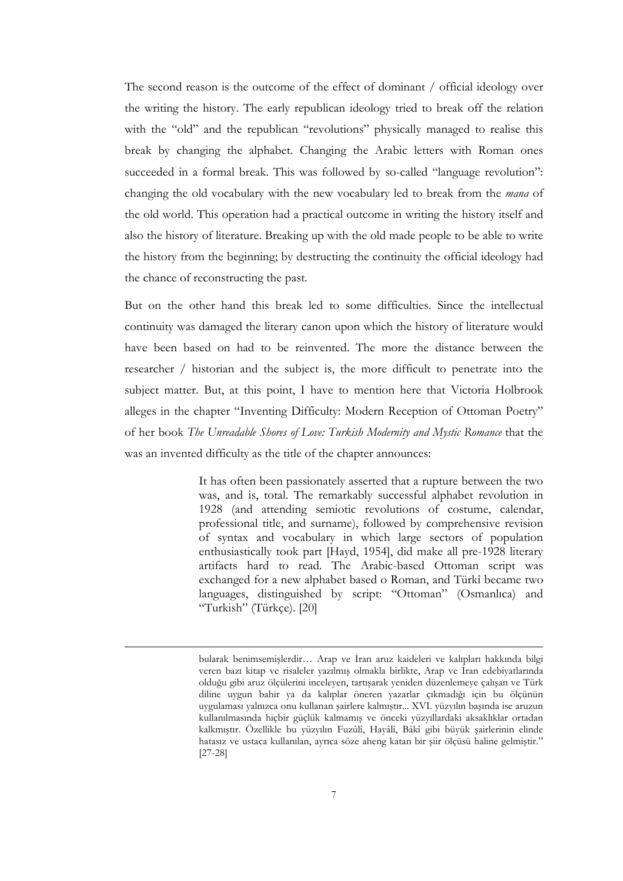The second reason is the outcome of the effect of dominant / official ideology over the writing the history. The early republican ideology tried to break off the relation with the "old" and the republican "revolutions" physically managed to realise this break by changing the alphabet. Changing the Arabic letters with Roman ones succeeded in a formal break. This was followed by so-called "language revolution": changing the old vocabulary with the new vocabulary led to break from the *mana* of the old world. This operation had a practical outcome in writing the history itself and also the history of literature. Breaking up with the old made people to be able to write the history from the beginning; by destructing the continuity the official ideology had the chance of reconstructing the past.

But on the other hand this break led to some difficulties. Since the intellectual continuity was damaged the literary canon upon which the history of literature would have been based on had to be reinvented. The more the distance between the researcher / historian and the subject is, the more difficult to penetrate into the subject matter. But, at this point, I have to mention here that Victoria Holbrook alleges in the chapter "Inventing Difficulty: Modern Reception of Ottoman Poetry" of her book The Unreadable Shores of Love: Turkish Modernity and Mystic Romance that the was an invented difficulty as the title of the chapter announces:

> It has often been passionately asserted that a rupture between the two was, and is, total. The remarkably successful alphabet revolution in 1928 (and attending semiotic revolutions of costume, calendar, professional title, and surname), followed by comprehensive revision of syntax and vocabulary in which large sectors of population enthusiastically took part [Hayd, 1954], did make all pre-1928 literary artifacts hard to read. The Arabic-based Ottoman script was exchanged for a new alphabet based o Roman, and Türkî became two languages, distinguished by script: "Ottoman" (Osmanlıca) and "Turkish" (Türkçe). [20]

bularak benimsemişlerdir... Arap ve İran aruz kaideleri ve kalıpları hakkında bilgi veren bazı kitap ve risaleler yazılmış olmakla birlikte, Arap ve İran edebiyatlarında olduğu gibi aruz ölçülerini inceleyen, tartışarak yeniden düzenlemeye çalışan ve Türk diline uygun bahir ya da kalıplar öneren yazarlar çıkmadığı için bu ölçünün uygulaması yalnızca onu kullanan şairlere kalmıştır... XVI. yüzyılın başında ise aruzun kullanılmasında hiçbir güçlük kalmamış ve önceki yüzyıllardaki aksaklıklar ortadan kalkmıştır. Özellikle bu yüzyılın Fuzûlî, Hayâlî, Bâkî gibi büyük şairlerinin elinde hatasız ve ustaca kullanılan, ayrıca söze aheng katan bir şiir ölçüsü haline gelmiştir." [27-28]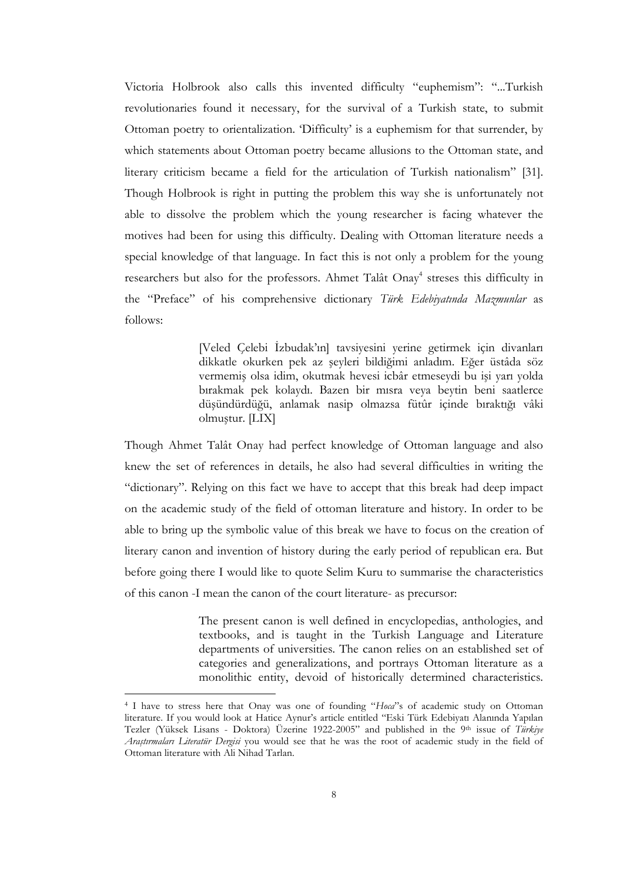Victoria Holbrook also calls this invented difficulty "euphemism": "...Turkish revolutionaries found it necessary, for the survival of a Turkish state, to submit Ottoman poetry to orientalization. 'Difficulty' is a euphemism for that surrender, by which statements about Ottoman poetry became allusions to the Ottoman state, and literary criticism became a field for the articulation of Turkish nationalism" [31]. Though Holbrook is right in putting the problem this way she is unfortunately not able to dissolve the problem which the young researcher is facing whatever the motives had been for using this difficulty. Dealing with Ottoman literature needs a special knowledge of that language. In fact this is not only a problem for the young researchers but also for the professors. Ahmet Talât Onay<sup>4</sup> streses this difficulty in the "Preface" of his comprehensive dictionary Türk Edebiyatında Mazmunlar as follows:

> [Veled Çelebi İzbudak'ın] tavsiyesini yerine getirmek için divanları dikkatle okurken pek az şeyleri bildiğimi anladım. Eğer üstâda söz vermemiş olsa idim, okutmak hevesi icbâr etmeseydi bu işi yarı yolda bırakmak pek kolaydı. Bazen bir mısra veya beytin beni saatlerce düşündürdüğü, anlamak nasip olmazsa fütûr içinde bıraktığı vâki olmuştur. [LIX]

Though Ahmet Talât Onay had perfect knowledge of Ottoman language and also knew the set of references in details, he also had several difficulties in writing the "dictionary". Relying on this fact we have to accept that this break had deep impact on the academic study of the field of ottoman literature and history. In order to be able to bring up the symbolic value of this break we have to focus on the creation of literary canon and invention of history during the early period of republican era. But before going there I would like to quote Selim Kuru to summarise the characteristics of this canon -I mean the canon of the court literature- as precursor:

> The present canon is well defined in encyclopedias, anthologies, and textbooks, and is taught in the Turkish Language and Literature departments of universities. The canon relies on an established set of categories and generalizations, and portrays Ottoman literature as a monolithic entity, devoid of historically determined characteristics.

<sup>&</sup>lt;sup>4</sup> I have to stress here that Onay was one of founding "Hoca"s of academic study on Ottoman literature. If you would look at Hatice Aynur's article entitled "Eski Türk Edebiyatı Alanında Yapılan Tezler (Yüksek Lisans - Doktora) Üzerine 1922-2005" and published in the 9th issue of Türkiye Araştırmaları Literatür Dergisi you would see that he was the root of academic study in the field of Ottoman literature with Ali Nihad Tarlan.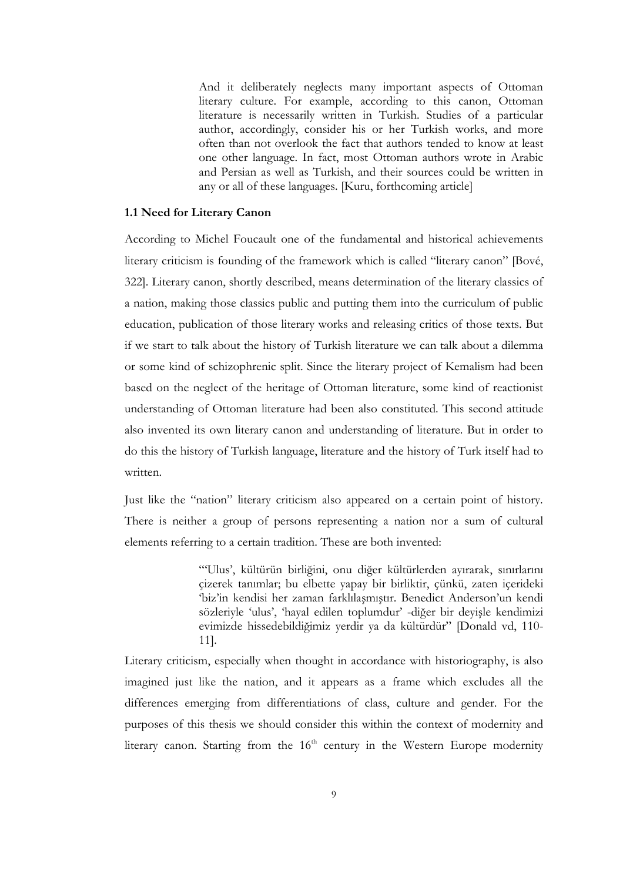And it deliberately neglects many important aspects of Ottoman literary culture. For example, according to this canon, Ottoman literature is necessarily written in Turkish. Studies of a particular author, accordingly, consider his or her Turkish works, and more often than not overlook the fact that authors tended to know at least one other language. In fact, most Ottoman authors wrote in Arabic and Persian as well as Turkish, and their sources could be written in any or all of these languages. [Kuru, forthcoming article]

#### 1.1 Need for Literary Canon

According to Michel Foucault one of the fundamental and historical achievements literary criticism is founding of the framework which is called "literary canon" [Bové, 322]. Literary canon, shortly described, means determination of the literary classics of a nation, making those classics public and putting them into the curriculum of public education, publication of those literary works and releasing critics of those texts. But if we start to talk about the history of Turkish literature we can talk about a dilemma or some kind of schizophrenic split. Since the literary project of Kemalism had been based on the neglect of the heritage of Ottoman literature, some kind of reactionist understanding of Ottoman literature had been also constituted. This second attitude also invented its own literary canon and understanding of literature. But in order to do this the history of Turkish language, literature and the history of Turk itself had to written.

Just like the "nation" literary criticism also appeared on a certain point of history. There is neither a group of persons representing a nation nor a sum of cultural elements referring to a certain tradition. These are both invented:

> "'Ulus', kültürün birliğini, onu diğer kültürlerden ayırarak, sınırlarını çizerek tanımlar; bu elbette yapay bir birliktir, çünkü, zaten içerideki 'biz'in kendisi her zaman farklılaşmıştır. Benedict Anderson'un kendi sözleriyle 'ulus', 'hayal edilen toplumdur' -diğer bir deyişle kendimizi evimizde hissedebildiğimiz yerdir ya da kültürdür" [Donald vd, 110- 11].

Literary criticism, especially when thought in accordance with historiography, is also imagined just like the nation, and it appears as a frame which excludes all the differences emerging from differentiations of class, culture and gender. For the purposes of this thesis we should consider this within the context of modernity and literary canon. Starting from the  $16<sup>th</sup>$  century in the Western Europe modernity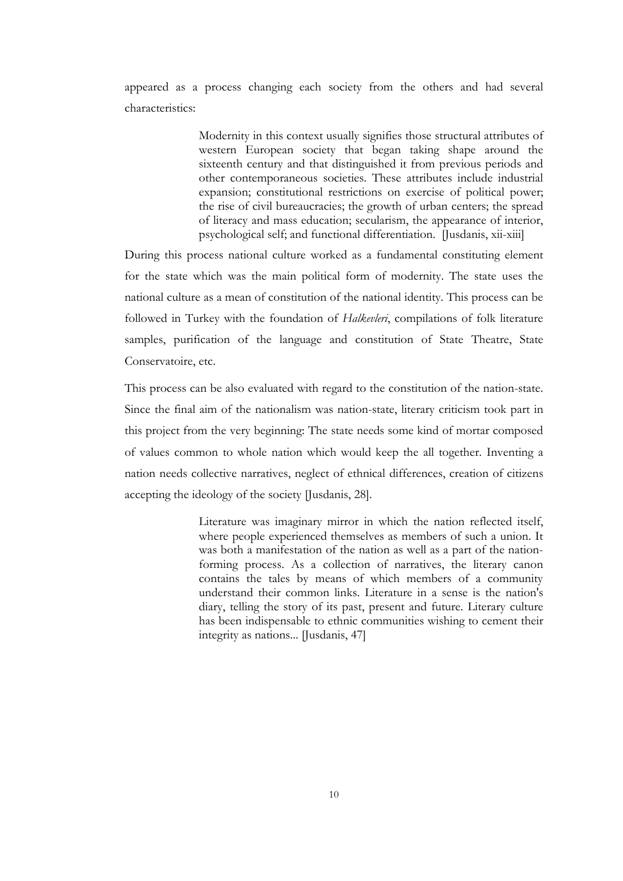appeared as a process changing each society from the others and had several characteristics:

> Modernity in this context usually signifies those structural attributes of western European society that began taking shape around the sixteenth century and that distinguished it from previous periods and other contemporaneous societies. These attributes include industrial expansion; constitutional restrictions on exercise of political power; the rise of civil bureaucracies; the growth of urban centers; the spread of literacy and mass education; secularism, the appearance of interior, psychological self; and functional differentiation. [Jusdanis, xii-xiii]

During this process national culture worked as a fundamental constituting element for the state which was the main political form of modernity. The state uses the national culture as a mean of constitution of the national identity. This process can be followed in Turkey with the foundation of Halkevleri, compilations of folk literature samples, purification of the language and constitution of State Theatre, State Conservatoire, etc.

This process can be also evaluated with regard to the constitution of the nation-state. Since the final aim of the nationalism was nation-state, literary criticism took part in this project from the very beginning: The state needs some kind of mortar composed of values common to whole nation which would keep the all together. Inventing a nation needs collective narratives, neglect of ethnical differences, creation of citizens accepting the ideology of the society [Jusdanis, 28].

> Literature was imaginary mirror in which the nation reflected itself, where people experienced themselves as members of such a union. It was both a manifestation of the nation as well as a part of the nationforming process. As a collection of narratives, the literary canon contains the tales by means of which members of a community understand their common links. Literature in a sense is the nation's diary, telling the story of its past, present and future. Literary culture has been indispensable to ethnic communities wishing to cement their integrity as nations... [Jusdanis, 47]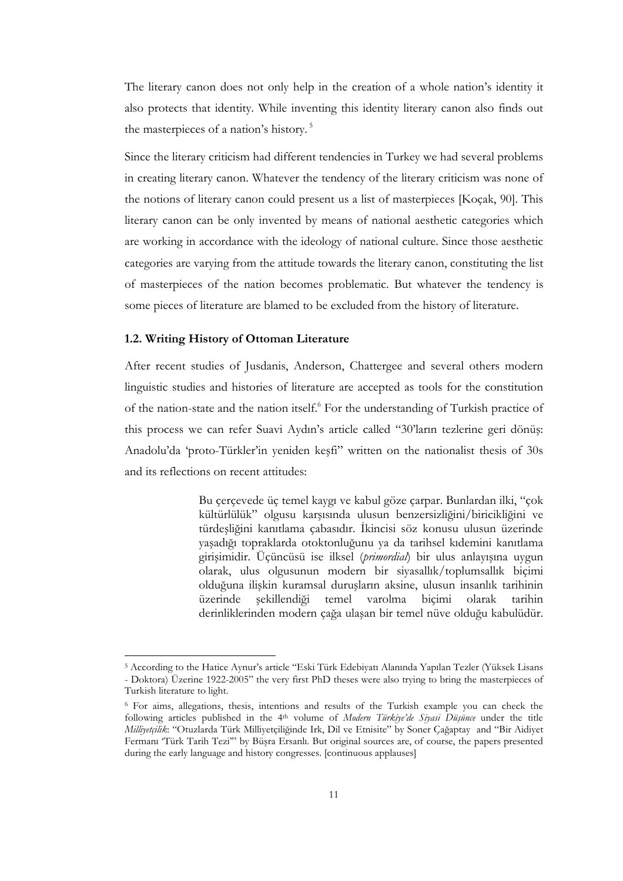The literary canon does not only help in the creation of a whole nation's identity it also protects that identity. While inventing this identity literary canon also finds out the masterpieces of a nation's history.<sup>5</sup>

Since the literary criticism had different tendencies in Turkey we had several problems in creating literary canon. Whatever the tendency of the literary criticism was none of the notions of literary canon could present us a list of masterpieces [Koçak, 90]. This literary canon can be only invented by means of national aesthetic categories which are working in accordance with the ideology of national culture. Since those aesthetic categories are varying from the attitude towards the literary canon, constituting the list of masterpieces of the nation becomes problematic. But whatever the tendency is some pieces of literature are blamed to be excluded from the history of literature.

#### 1.2. Writing History of Ottoman Literature

 $\overline{a}$ 

After recent studies of Jusdanis, Anderson, Chattergee and several others modern linguistic studies and histories of literature are accepted as tools for the constitution of the nation-state and the nation itself.<sup>6</sup> For the understanding of Turkish practice of this process we can refer Suavi Aydın's article called "30'ların tezlerine geri dönüş: Anadolu'da 'proto-Türkler'in yeniden keşfi" written on the nationalist thesis of 30s and its reflections on recent attitudes:

> Bu çerçevede üç temel kaygı ve kabul göze çarpar. Bunlardan ilki, "çok kültürlülük" olgusu karşısında ulusun benzersizliğini/biricikliğini ve türdeşliğini kanıtlama çabasıdır. İkincisi söz konusu ulusun üzerinde yaşadığı topraklarda otoktonluğunu ya da tarihsel kıdemini kanıtlama girişimidir. Üçüncüsü ise ilksel (primordial) bir ulus anlayışına uygun olarak, ulus olgusunun modern bir siyasallık/toplumsallık biçimi olduğuna ilişkin kuramsal duruşların aksine, ulusun insanlık tarihinin üzerinde şekillendiği temel varolma biçimi olarak tarihin derinliklerinden modern çağa ulaşan bir temel nüve olduğu kabulüdür.

<sup>5</sup> According to the Hatice Aynur's article "Eski Türk Edebiyatı Alanında Yapılan Tezler (Yüksek Lisans - Doktora) Üzerine 1922-2005" the very first PhD theses were also trying to bring the masterpieces of Turkish literature to light.

<sup>6</sup> For aims, allegations, thesis, intentions and results of the Turkish example you can check the following articles published in the 4<sup>th</sup> volume of Modern Türkiye'de Siyasi Düşünce under the title Milliyetçilik: "Otuzlarda Türk Milliyetçiliğinde Irk, Dil ve Etnisite" by Soner Çağaptay and "Bir Aidiyet Fermanı 'Türk Tarih Tezi'" by Büşra Ersanlı. But original sources are, of course, the papers presented during the early language and history congresses. [continuous applauses]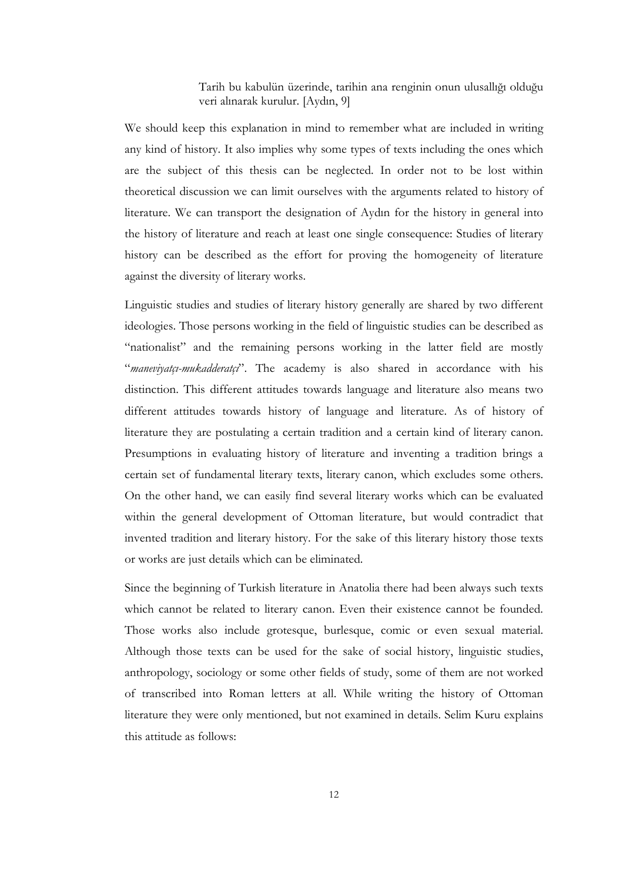Tarih bu kabulün üzerinde, tarihin ana renginin onun ulusallığı olduğu veri alınarak kurulur. [Aydın, 9]

We should keep this explanation in mind to remember what are included in writing any kind of history. It also implies why some types of texts including the ones which are the subject of this thesis can be neglected. In order not to be lost within theoretical discussion we can limit ourselves with the arguments related to history of literature. We can transport the designation of Aydın for the history in general into the history of literature and reach at least one single consequence: Studies of literary history can be described as the effort for proving the homogeneity of literature against the diversity of literary works.

Linguistic studies and studies of literary history generally are shared by two different ideologies. Those persons working in the field of linguistic studies can be described as "nationalist" and the remaining persons working in the latter field are mostly "*maneviyatçı-mukadderatçi*". The academy is also shared in accordance with his distinction. This different attitudes towards language and literature also means two different attitudes towards history of language and literature. As of history of literature they are postulating a certain tradition and a certain kind of literary canon. Presumptions in evaluating history of literature and inventing a tradition brings a certain set of fundamental literary texts, literary canon, which excludes some others. On the other hand, we can easily find several literary works which can be evaluated within the general development of Ottoman literature, but would contradict that invented tradition and literary history. For the sake of this literary history those texts or works are just details which can be eliminated.

Since the beginning of Turkish literature in Anatolia there had been always such texts which cannot be related to literary canon. Even their existence cannot be founded. Those works also include grotesque, burlesque, comic or even sexual material. Although those texts can be used for the sake of social history, linguistic studies, anthropology, sociology or some other fields of study, some of them are not worked of transcribed into Roman letters at all. While writing the history of Ottoman literature they were only mentioned, but not examined in details. Selim Kuru explains this attitude as follows: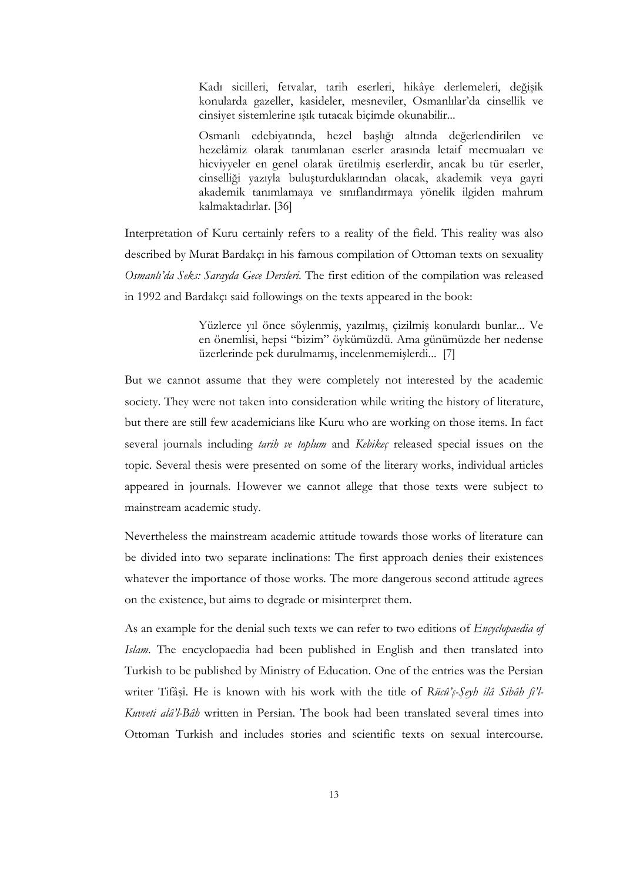Kadı sicilleri, fetvalar, tarih eserleri, hikâye derlemeleri, değişik konularda gazeller, kasideler, mesneviler, Osmanlılar'da cinsellik ve cinsiyet sistemlerine ışık tutacak biçimde okunabilir...

Osmanlı edebiyatında, hezel başlığı altında değerlendirilen ve hezelâmiz olarak tanımlanan eserler arasında letaif mecmuaları ve hicviyyeler en genel olarak üretilmiş eserlerdir, ancak bu tür eserler, cinselliği yazıyla buluşturduklarından olacak, akademik veya gayri akademik tanımlamaya ve sınıflandırmaya yönelik ilgiden mahrum kalmaktadırlar. [36]

Interpretation of Kuru certainly refers to a reality of the field. This reality was also described by Murat Bardakçı in his famous compilation of Ottoman texts on sexuality Osmanlı'da Seks: Sarayda Gece Dersleri. The first edition of the compilation was released in 1992 and Bardakçı said followings on the texts appeared in the book:

> Yüzlerce yıl önce söylenmiş, yazılmış, çizilmiş konulardı bunlar... Ve en önemlisi, hepsi "bizim" öykümüzdü. Ama günümüzde her nedense üzerlerinde pek durulmamış, incelenmemişlerdi... [7]

But we cannot assume that they were completely not interested by the academic society. They were not taken into consideration while writing the history of literature, but there are still few academicians like Kuru who are working on those items. In fact several journals including tarih ve toplum and Kebikeç released special issues on the topic. Several thesis were presented on some of the literary works, individual articles appeared in journals. However we cannot allege that those texts were subject to mainstream academic study.

Nevertheless the mainstream academic attitude towards those works of literature can be divided into two separate inclinations: The first approach denies their existences whatever the importance of those works. The more dangerous second attitude agrees on the existence, but aims to degrade or misinterpret them.

As an example for the denial such texts we can refer to two editions of *Encyclopaedia of* Islam. The encyclopaedia had been published in English and then translated into Turkish to be published by Ministry of Education. One of the entries was the Persian writer Tifâșî. He is known with his work with the title of Rücû's-Seyh ilâ Sibâh fi'l-Kuvveti alâ'l-Bâh written in Persian. The book had been translated several times into Ottoman Turkish and includes stories and scientific texts on sexual intercourse.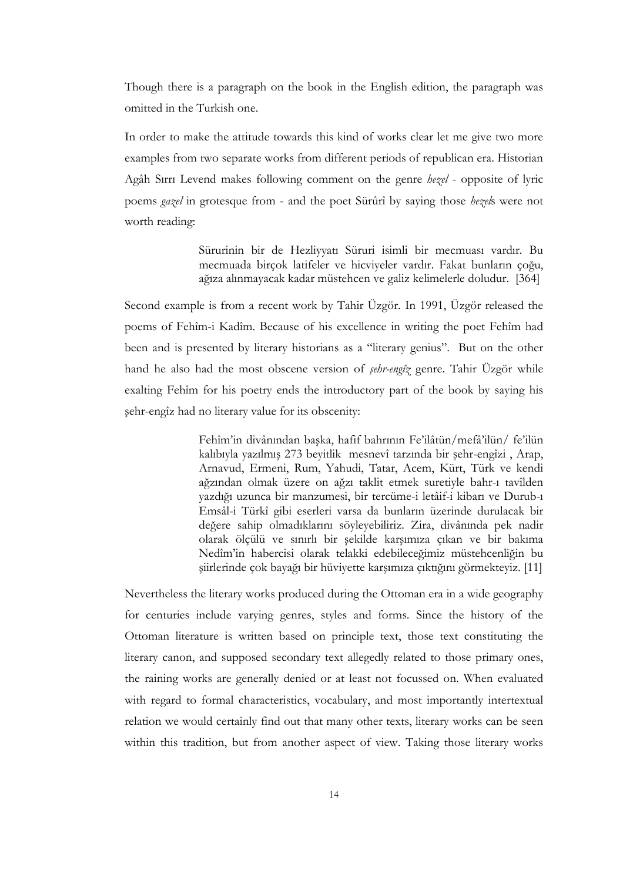Though there is a paragraph on the book in the English edition, the paragraph was omitted in the Turkish one.

In order to make the attitude towards this kind of works clear let me give two more examples from two separate works from different periods of republican era. Historian Agâh Sırrı Levend makes following comment on the genre hezel - opposite of lyric poems gazel in grotesque from - and the poet Sürûrî by saying those hezels were not worth reading:

> Sürurinin bir de Hezliyyatı Süruri isimli bir mecmuası vardır. Bu mecmuada birçok latifeler ve hicviyeler vardır. Fakat bunların çoğu, ağıza alınmayacak kadar müstehcen ve galiz kelimelerle doludur. [364]

Second example is from a recent work by Tahir Üzgör. In 1991, Üzgör released the poems of Fehîm-i Kadîm. Because of his excellence in writing the poet Fehîm had been and is presented by literary historians as a "literary genius". But on the other hand he also had the most obscene version of *sehr-engîz* genre. Tahir Üzgör while exalting Fehîm for his poetry ends the introductory part of the book by saying his şehr-engîz had no literary value for its obscenity:

> Fehîm'in divânından başka, hafif bahrının Fe'ilâtün/mefâ'ilün/ fe'ilün kalıbıyla yazılmış 273 beyitlik mesnevî tarzında bir şehr-engîzi , Arap, Arnavud, Ermeni, Rum, Yahudi, Tatar, Acem, Kürt, Türk ve kendi ağzından olmak üzere on ağzı taklit etmek suretiyle bahr-ı tavîlden yazdığı uzunca bir manzumesi, bir tercüme-i letâif-i kibarı ve Durub-ı Emsâl-i Türkî gibi eserleri varsa da bunların üzerinde durulacak bir değere sahip olmadıklarını söyleyebiliriz. Zira, divânında pek nadir olarak ölçülü ve sınırlı bir şekilde karşımıza çıkan ve bir bakıma Nedîm'in habercisi olarak telakki edebileceğimiz müstehcenliğin bu şiirlerinde çok bayağı bir hüviyette karşımıza çıktığını görmekteyiz. [11]

Nevertheless the literary works produced during the Ottoman era in a wide geography for centuries include varying genres, styles and forms. Since the history of the Ottoman literature is written based on principle text, those text constituting the literary canon, and supposed secondary text allegedly related to those primary ones, the raining works are generally denied or at least not focussed on. When evaluated with regard to formal characteristics, vocabulary, and most importantly intertextual relation we would certainly find out that many other texts, literary works can be seen within this tradition, but from another aspect of view. Taking those literary works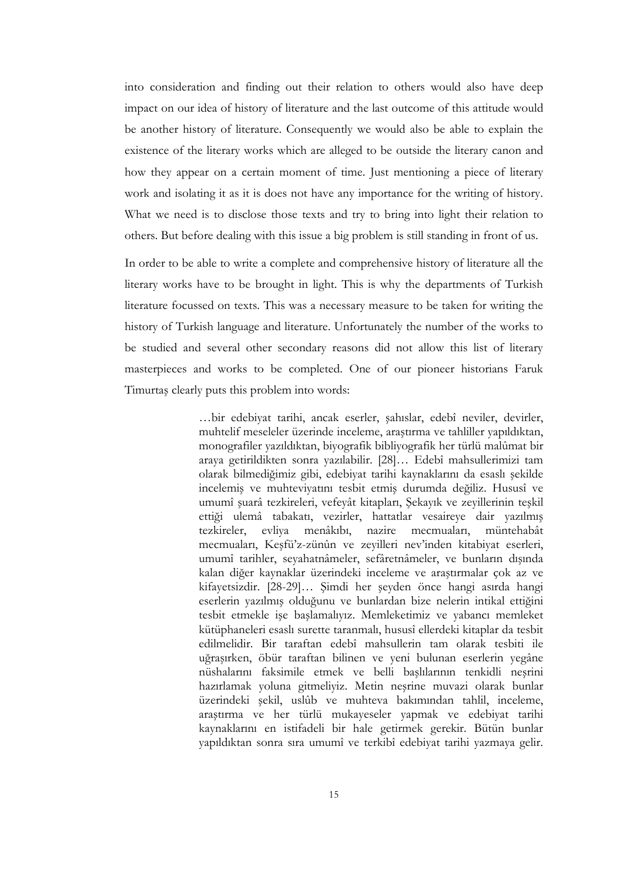into consideration and finding out their relation to others would also have deep impact on our idea of history of literature and the last outcome of this attitude would be another history of literature. Consequently we would also be able to explain the existence of the literary works which are alleged to be outside the literary canon and how they appear on a certain moment of time. Just mentioning a piece of literary work and isolating it as it is does not have any importance for the writing of history. What we need is to disclose those texts and try to bring into light their relation to others. But before dealing with this issue a big problem is still standing in front of us.

In order to be able to write a complete and comprehensive history of literature all the literary works have to be brought in light. This is why the departments of Turkish literature focussed on texts. This was a necessary measure to be taken for writing the history of Turkish language and literature. Unfortunately the number of the works to be studied and several other secondary reasons did not allow this list of literary masterpieces and works to be completed. One of our pioneer historians Faruk Timurtaş clearly puts this problem into words:

> …bir edebiyat tarihi, ancak eserler, şahıslar, edebî neviler, devirler, muhtelif meseleler üzerinde inceleme, araştırma ve tahliller yapıldıktan, monografiler yazıldıktan, biyografik bibliyografik her türlü malûmat bir araya getirildikten sonra yazılabilir. [28]… Edebî mahsullerimizi tam olarak bilmediğimiz gibi, edebiyat tarihi kaynaklarını da esaslı şekilde incelemiş ve muhteviyatını tesbit etmiş durumda değiliz. Hususî ve umumî şuarâ tezkireleri, vefeyât kitapları, Şekayık ve zeyillerinin teşkil ettiği ulemâ tabakatı, vezirler, hattatlar vesaireye dair yazılmış tezkireler, evliya menâkıbı, nazire mecmuaları, müntehabât mecmuaları, Keşfü'z-zünûn ve zeyilleri nev'inden kitabiyat eserleri, umumî tarihler, seyahatnâmeler, sefâretnâmeler, ve bunların dışında kalan diğer kaynaklar üzerindeki inceleme ve araştırmalar çok az ve kifayetsizdir. [28-29]… Şimdi her şeyden önce hangi asırda hangi eserlerin yazılmış olduğunu ve bunlardan bize nelerin intikal ettiğini tesbit etmekle işe başlamalıyız. Memleketimiz ve yabancı memleket kütüphaneleri esaslı surette taranmalı, hususî ellerdeki kitaplar da tesbit edilmelidir. Bir taraftan edebî mahsullerin tam olarak tesbiti ile uğraşırken, öbür taraftan bilinen ve yeni bulunan eserlerin yegâne nüshalarını faksimile etmek ve belli başlılarının tenkidli neşrini hazırlamak yoluna gitmeliyiz. Metin neşrine muvazi olarak bunlar üzerindeki şekil, uslûb ve muhteva bakımından tahlil, inceleme, araştırma ve her türlü mukayeseler yapmak ve edebiyat tarihi kaynaklarını en istifadeli bir hale getirmek gerekir. Bütün bunlar yapıldıktan sonra sıra umumî ve terkibî edebiyat tarihi yazmaya gelir.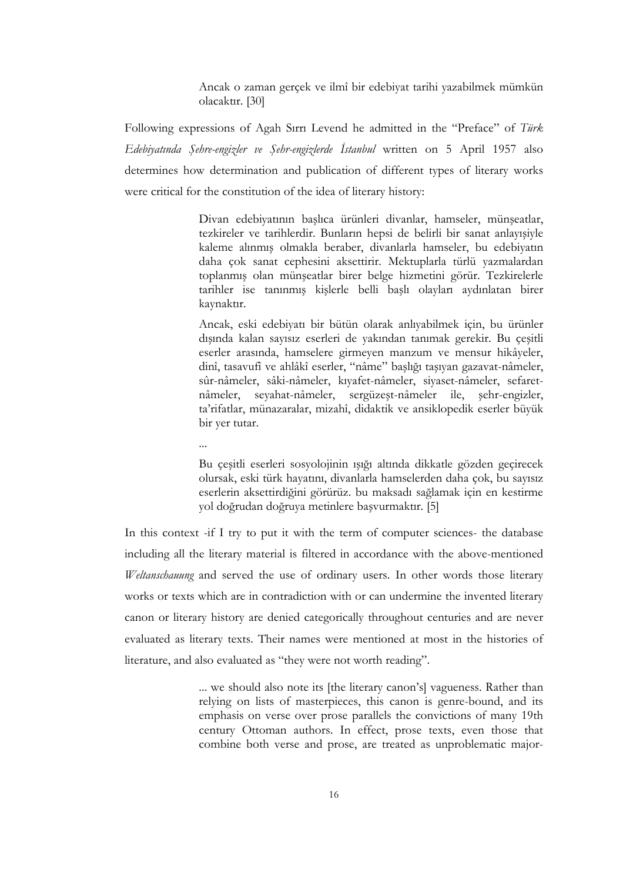Ancak o zaman gerçek ve ilmî bir edebiyat tarihi yazabilmek mümkün olacaktır. [30]

Following expressions of Agah Sırrı Levend he admitted in the "Preface" of Türk Edebiyatında Şehre-engizler ve Şehr-engizlerde İstanbul written on 5 April 1957 also determines how determination and publication of different types of literary works were critical for the constitution of the idea of literary history:

> Divan edebiyatının başlıca ürünleri divanlar, hamseler, münşeatlar, tezkireler ve tarihlerdir. Bunların hepsi de belirli bir sanat anlayışiyle kaleme alınmış olmakla beraber, divanlarla hamseler, bu edebiyatın daha çok sanat cephesini aksettirir. Mektuplarla türlü yazmalardan toplanmış olan münşeatlar birer belge hizmetini görür. Tezkirelerle tarihler ise tanınmış kişlerle belli başlı olayları aydınlatan birer kaynaktır.

> Ancak, eski edebiyatı bir bütün olarak anlıyabilmek için, bu ürünler dışında kalan sayısız eserleri de yakından tanımak gerekir. Bu çeşitli eserler arasında, hamselere girmeyen manzum ve mensur hikâyeler, dinî, tasavufî ve ahlâkî eserler, "nâme" başlığı taşıyan gazavat-nâmeler, sûr-nâmeler, sâki-nâmeler, kıyafet-nâmeler, siyaset-nâmeler, sefaretnâmeler, seyahat-nâmeler, sergüzeşt-nâmeler ile, şehr-engizler, ta'rifatlar, münazaralar, mizahî, didaktik ve ansiklopedik eserler büyük bir yer tutar.

...

Bu çeşitli eserleri sosyolojinin ışığı altında dikkatle gözden geçirecek olursak, eski türk hayatını, divanlarla hamselerden daha çok, bu sayısız eserlerin aksettirdiğini görürüz. bu maksadı sağlamak için en kestirme yol doğrudan doğruya metinlere başvurmaktır. [5]

In this context -if I try to put it with the term of computer sciences- the database including all the literary material is filtered in accordance with the above-mentioned Weltanschauung and served the use of ordinary users. In other words those literary works or texts which are in contradiction with or can undermine the invented literary canon or literary history are denied categorically throughout centuries and are never evaluated as literary texts. Their names were mentioned at most in the histories of literature, and also evaluated as "they were not worth reading".

> ... we should also note its [the literary canon's] vagueness. Rather than relying on lists of masterpieces, this canon is genre-bound, and its emphasis on verse over prose parallels the convictions of many 19th century Ottoman authors. In effect, prose texts, even those that combine both verse and prose, are treated as unproblematic major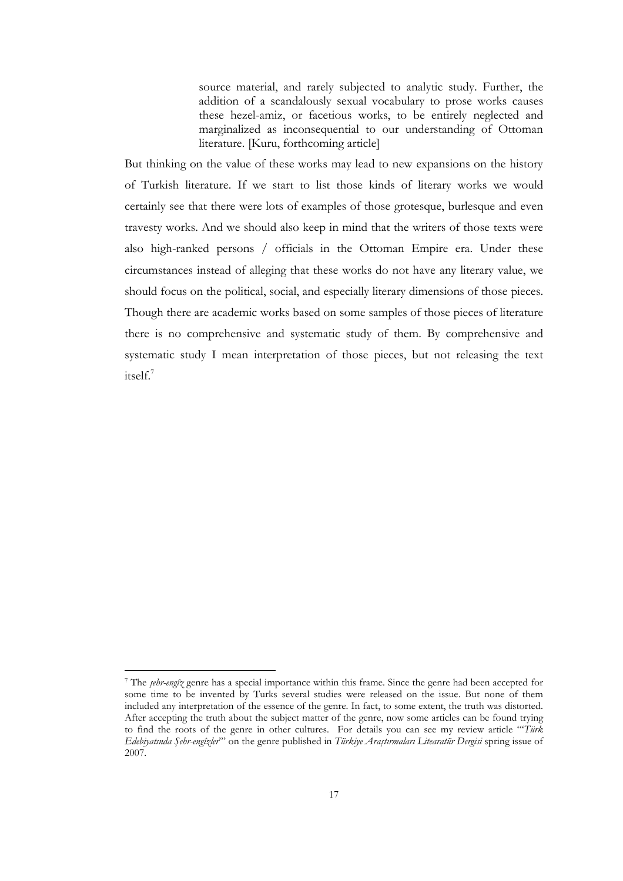source material, and rarely subjected to analytic study. Further, the addition of a scandalously sexual vocabulary to prose works causes these hezel-amiz, or facetious works, to be entirely neglected and marginalized as inconsequential to our understanding of Ottoman literature. [Kuru, forthcoming article]

But thinking on the value of these works may lead to new expansions on the history of Turkish literature. If we start to list those kinds of literary works we would certainly see that there were lots of examples of those grotesque, burlesque and even travesty works. And we should also keep in mind that the writers of those texts were also high-ranked persons / officials in the Ottoman Empire era. Under these circumstances instead of alleging that these works do not have any literary value, we should focus on the political, social, and especially literary dimensions of those pieces. Though there are academic works based on some samples of those pieces of literature there is no comprehensive and systematic study of them. By comprehensive and systematic study I mean interpretation of those pieces, but not releasing the text itself.<sup>7</sup>

<sup>&</sup>lt;sup>7</sup> The *sehr-engîz* genre has a special importance within this frame. Since the genre had been accepted for some time to be invented by Turks several studies were released on the issue. But none of them included any interpretation of the essence of the genre. In fact, to some extent, the truth was distorted. After accepting the truth about the subject matter of the genre, now some articles can be found trying to find the roots of the genre in other cultures. For details you can see my review article "Türk Edebiyatında Şehr-engîzler'" on the genre published in Türkiye Araştırmaları Litearatür Dergisi spring issue of 2007.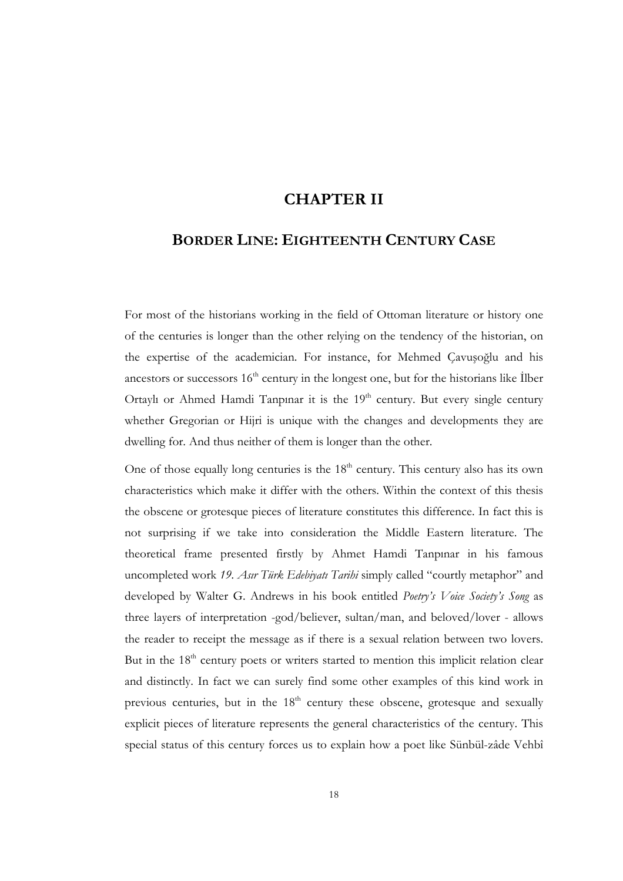### CHAPTER II

# BORDER LINE: EIGHTEENTH CENTURY CASE

For most of the historians working in the field of Ottoman literature or history one of the centuries is longer than the other relying on the tendency of the historian, on the expertise of the academician. For instance, for Mehmed Çavuşoğlu and his ancestors or successors  $16<sup>th</sup>$  century in the longest one, but for the historians like Ilber Ortaylı or Ahmed Hamdi Tanpınar it is the  $19<sup>th</sup>$  century. But every single century whether Gregorian or Hijri is unique with the changes and developments they are dwelling for. And thus neither of them is longer than the other.

One of those equally long centuries is the  $18<sup>th</sup>$  century. This century also has its own characteristics which make it differ with the others. Within the context of this thesis the obscene or grotesque pieces of literature constitutes this difference. In fact this is not surprising if we take into consideration the Middle Eastern literature. The theoretical frame presented firstly by Ahmet Hamdi Tanpınar in his famous uncompleted work 19. Asır Türk Edebiyatı Tarihi simply called "courtly metaphor" and developed by Walter G. Andrews in his book entitled Poetry's Voice Society's Song as three layers of interpretation -god/believer, sultan/man, and beloved/lover - allows the reader to receipt the message as if there is a sexual relation between two lovers. But in the  $18<sup>th</sup>$  century poets or writers started to mention this implicit relation clear and distinctly. In fact we can surely find some other examples of this kind work in previous centuries, but in the  $18<sup>th</sup>$  century these obscene, grotesque and sexually explicit pieces of literature represents the general characteristics of the century. This special status of this century forces us to explain how a poet like Sünbül-zâde Vehbî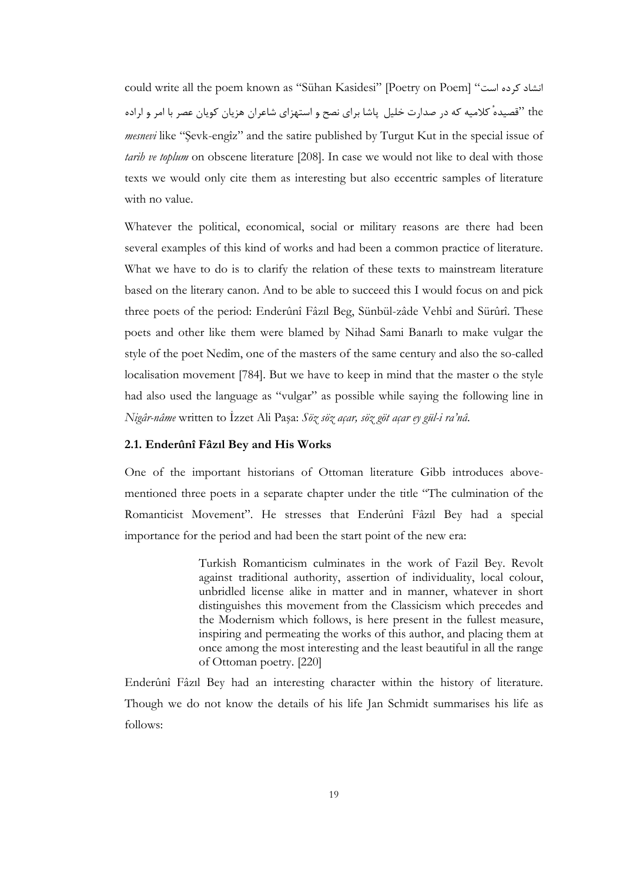could write all the poem known as "Sühan Kasidesi" [Poetry on Poem] "انشاد کرده است" the "قصيدهٔ كلاميه كه در صدارت خليل پاشا براي نصح و استهزاي شاعران هزيان كويان عصر با امر و اراده mesnevi like "Şevk-engîz" and the satire published by Turgut Kut in the special issue of tarih ve toplum on obscene literature [208]. In case we would not like to deal with those texts we would only cite them as interesting but also eccentric samples of literature with no value.

Whatever the political, economical, social or military reasons are there had been several examples of this kind of works and had been a common practice of literature. What we have to do is to clarify the relation of these texts to mainstream literature based on the literary canon. And to be able to succeed this I would focus on and pick three poets of the period: Enderûnî Fâzıl Beg, Sünbül-zâde Vehbî and Sürûrî. These poets and other like them were blamed by Nihad Sami Banarlı to make vulgar the style of the poet Nedîm, one of the masters of the same century and also the so-called localisation movement [784]. But we have to keep in mind that the master o the style had also used the language as "vulgar" as possible while saying the following line in Nigâr-nâme written to İzzet Ali Paşa: Söz söz açar, söz göt açar ey gül-i ra'nâ.

#### 2.1. Enderûnî Fâzıl Bey and His Works

One of the important historians of Ottoman literature Gibb introduces abovementioned three poets in a separate chapter under the title "The culmination of the Romanticist Movement". He stresses that Enderûnî Fâzıl Bey had a special importance for the period and had been the start point of the new era:

> Turkish Romanticism culminates in the work of Fazil Bey. Revolt against traditional authority, assertion of individuality, local colour, unbridled license alike in matter and in manner, whatever in short distinguishes this movement from the Classicism which precedes and the Modernism which follows, is here present in the fullest measure, inspiring and permeating the works of this author, and placing them at once among the most interesting and the least beautiful in all the range of Ottoman poetry. [220]

Enderûnî Fâzıl Bey had an interesting character within the history of literature. Though we do not know the details of his life Jan Schmidt summarises his life as follows: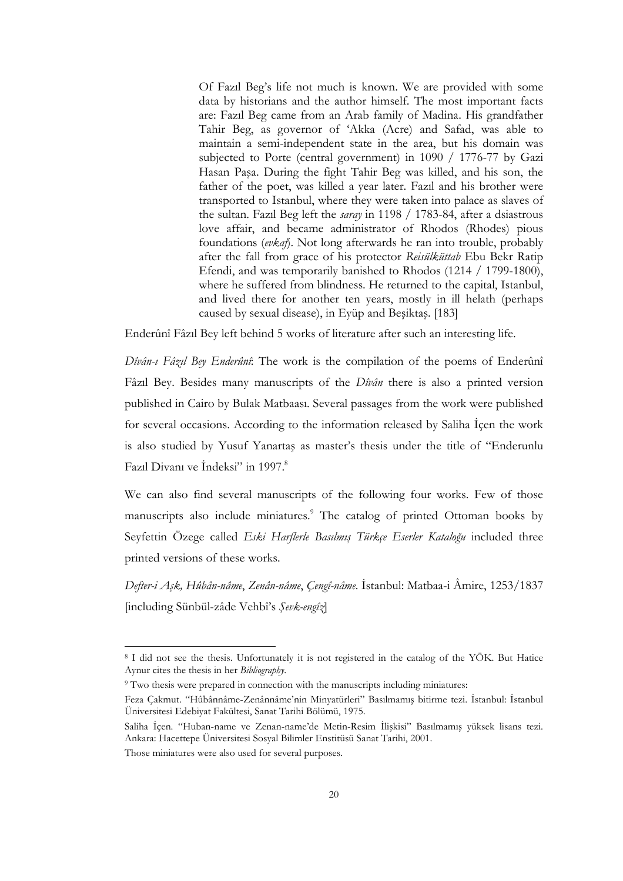Of Fazıl Beg's life not much is known. We are provided with some data by historians and the author himself. The most important facts are: Fazıl Beg came from an Arab family of Madina. His grandfather Tahir Beg, as governor of 'Akka (Acre) and Safad, was able to maintain a semi-independent state in the area, but his domain was subjected to Porte (central government) in 1090 / 1776-77 by Gazi Hasan Paşa. During the fight Tahir Beg was killed, and his son, the father of the poet, was killed a year later. Fazıl and his brother were transported to Istanbul, where they were taken into palace as slaves of the sultan. Fazil Beg left the *saray* in 1198 / 1783-84, after a dsiastrous love affair, and became administrator of Rhodos (Rhodes) pious foundations (evkaf). Not long afterwards he ran into trouble, probably after the fall from grace of his protector Reisülküttab Ebu Bekr Ratip Efendi, and was temporarily banished to Rhodos (1214 / 1799-1800), where he suffered from blindness. He returned to the capital, Istanbul, and lived there for another ten years, mostly in ill helath (perhaps caused by sexual disease), in Eyüp and Beşiktaş. [183]

Enderûnî Fâzıl Bey left behind 5 works of literature after such an interesting life.

Dîvân-ı Fâzıl Bey Enderûnî: The work is the compilation of the poems of Enderûnî Fâzıl Bey. Besides many manuscripts of the *Dîvân* there is also a printed version published in Cairo by Bulak Matbaası. Several passages from the work were published for several occasions. According to the information released by Saliha Icen the work is also studied by Yusuf Yanartaş as master's thesis under the title of "Enderunlu Fazıl Divanı ve İndeksi" in 1997.<sup>8</sup>

We can also find several manuscripts of the following four works. Few of those manuscripts also include miniatures.<sup>9</sup> The catalog of printed Ottoman books by Seyfettin Özege called Eski Harflerle Basılmış Türkçe Eserler Kataloğu included three printed versions of these works.

Defter-i Aşk, Hûbân-nâme, Zenân-nâme, Çengî-nâme. İstanbul: Matbaa-i Âmire, 1253/1837 [including Sünbül-zâde Vehbî's Şevk-engîz]

<sup>8</sup> I did not see the thesis. Unfortunately it is not registered in the catalog of the YÖK. But Hatice Aynur cites the thesis in her Bibliography.

<sup>9</sup> Two thesis were prepared in connection with the manuscripts including miniatures:

Feza Çakmut. "Hûbânnâme-Zenânnâme'nin Minyatürleri" Basılmamış bitirme tezi. İstanbul: İstanbul Üniversitesi Edebiyat Fakültesi, Sanat Tarihi Bölümü, 1975.

Saliha İçen. "Huban-name ve Zenan-name'de Metin-Resim İlişkisi" Basılmamış yüksek lisans tezi. Ankara: Hacettepe Üniversitesi Sosyal Bilimler Enstitüsü Sanat Tarihi, 2001.

Those miniatures were also used for several purposes.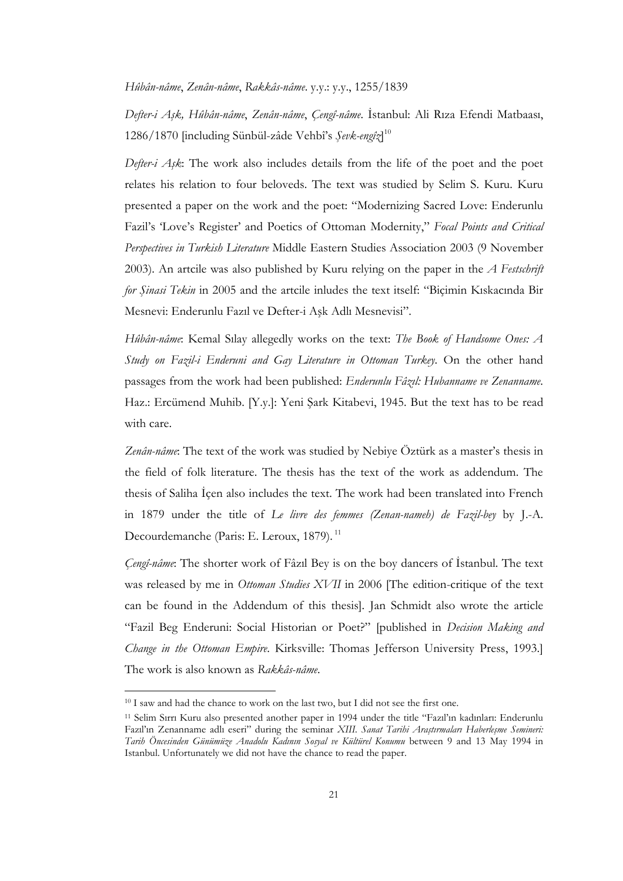Hûbân-nâme, Zenân-nâme, Rakkâs-nâme. y.y.: y.y., 1255/1839

Defter-i Aşk, Hûbân-nâme, Zenân-nâme, Çengî-nâme. İstanbul: Ali Rıza Efendi Matbaası, 1286/1870 [including Sünbül-zâde Vehbî's Şevk-engîz]<sup>10</sup>

Defter-i  $A_3$ k: The work also includes details from the life of the poet and the poet relates his relation to four beloveds. The text was studied by Selim S. Kuru. Kuru presented a paper on the work and the poet: "Modernizing Sacred Love: Enderunlu Fazil's 'Love's Register' and Poetics of Ottoman Modernity," Focal Points and Critical Perspectives in Turkish Literature Middle Eastern Studies Association 2003 (9 November 2003). An artcile was also published by Kuru relying on the paper in the  $\overline{A}$  Festschrift for Şinasi Tekin in 2005 and the artcile inludes the text itself: "Biçimin Kıskacında Bir Mesnevi: Enderunlu Fazıl ve Defter-i Aşk Adlı Mesnevisi".

Hûbân-nâme: Kemal Sılay allegedly works on the text: The Book of Handsome Ones: A Study on Fazil-i Enderuni and Gay Literature in Ottoman Turkey. On the other hand passages from the work had been published: Enderunlu Fâzıl: Hubanname ve Zenanname. Haz.: Ercümend Muhib. [Y.y.]: Yeni Şark Kitabevi, 1945. But the text has to be read with care.

Zenân-nâme: The text of the work was studied by Nebiye Öztürk as a master's thesis in the field of folk literature. The thesis has the text of the work as addendum. The thesis of Saliha Icen also includes the text. The work had been translated into French in 1879 under the title of Le livre des femmes (Zenan-nameh) de Fazil-bey by J.-A. Decourdemanche (Paris: E. Leroux, 1879).<sup>11</sup>

*Cengî-nâme*: The shorter work of Fâzil Bey is on the boy dancers of Istanbul. The text was released by me in *Ottoman Studies XVII* in 2006 [The edition-critique of the text can be found in the Addendum of this thesis]. Jan Schmidt also wrote the article "Fazil Beg Enderuni: Social Historian or Poet?" [published in Decision Making and Change in the Ottoman Empire. Kirksville: Thomas Jefferson University Press, 1993.] The work is also known as Rakkâs-nâme.

<sup>&</sup>lt;sup>10</sup> I saw and had the chance to work on the last two, but I did not see the first one.

<sup>11</sup> Selim Sırrı Kuru also presented another paper in 1994 under the title "Fazıl'ın kadınları: Enderunlu Fazıl'ın Zenanname adlı eseri" during the seminar XIII. Sanat Tarihi Araştırmaları Haberleşme Semineri: Tarih Öncesinden Günümüze Anadolu Kadının Sosyal ve Kültürel Konumu between 9 and 13 May 1994 in Istanbul. Unfortunately we did not have the chance to read the paper.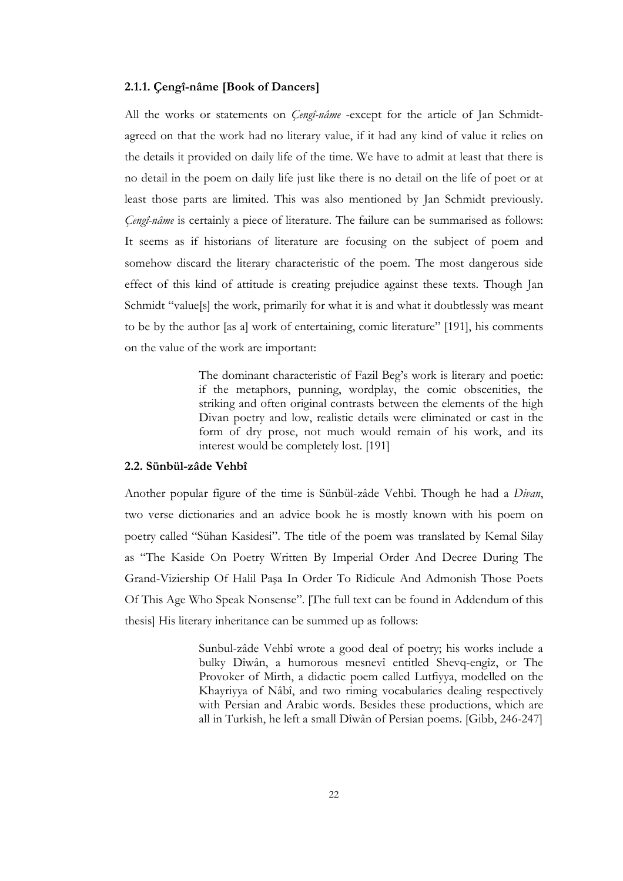#### 2.1.1. Çengî-nâme [Book of Dancers]

All the works or statements on  $Ceng<sup>2</sup>-nâme$  -except for the article of Jan Schmidtagreed on that the work had no literary value, if it had any kind of value it relies on the details it provided on daily life of the time. We have to admit at least that there is no detail in the poem on daily life just like there is no detail on the life of poet or at least those parts are limited. This was also mentioned by Jan Schmidt previously. Çengî-nâme is certainly a piece of literature. The failure can be summarised as follows: It seems as if historians of literature are focusing on the subject of poem and somehow discard the literary characteristic of the poem. The most dangerous side effect of this kind of attitude is creating prejudice against these texts. Though Jan Schmidt "value[s] the work, primarily for what it is and what it doubtlessly was meant to be by the author [as a] work of entertaining, comic literature" [191], his comments on the value of the work are important:

> The dominant characteristic of Fazil Beg's work is literary and poetic: if the metaphors, punning, wordplay, the comic obscenities, the striking and often original contrasts between the elements of the high Divan poetry and low, realistic details were eliminated or cast in the form of dry prose, not much would remain of his work, and its interest would be completely lost. [191]

#### 2.2. Sünbül-zâde Vehbî

Another popular figure of the time is Sünbül-zâde Vehbî. Though he had a Divan, two verse dictionaries and an advice book he is mostly known with his poem on poetry called "Sühan Kasidesi". The title of the poem was translated by Kemal Silay as "The Kaside On Poetry Written By Imperial Order And Decree During The Grand-Viziership Of Halil Paşa In Order To Ridicule And Admonish Those Poets Of This Age Who Speak Nonsense". [The full text can be found in Addendum of this thesis] His literary inheritance can be summed up as follows:

> Sunbul-zâde Vehbî wrote a good deal of poetry; his works include a bulky Dîwân, a humorous mesnevî entitled Shevq-engîz, or The Provoker of Mirth, a didactic poem called Lutfiyya, modelled on the Khayriyya of Nâbî, and two riming vocabularies dealing respectively with Persian and Arabic words. Besides these productions, which are all in Turkish, he left a small Dîwân of Persian poems. [Gibb, 246-247]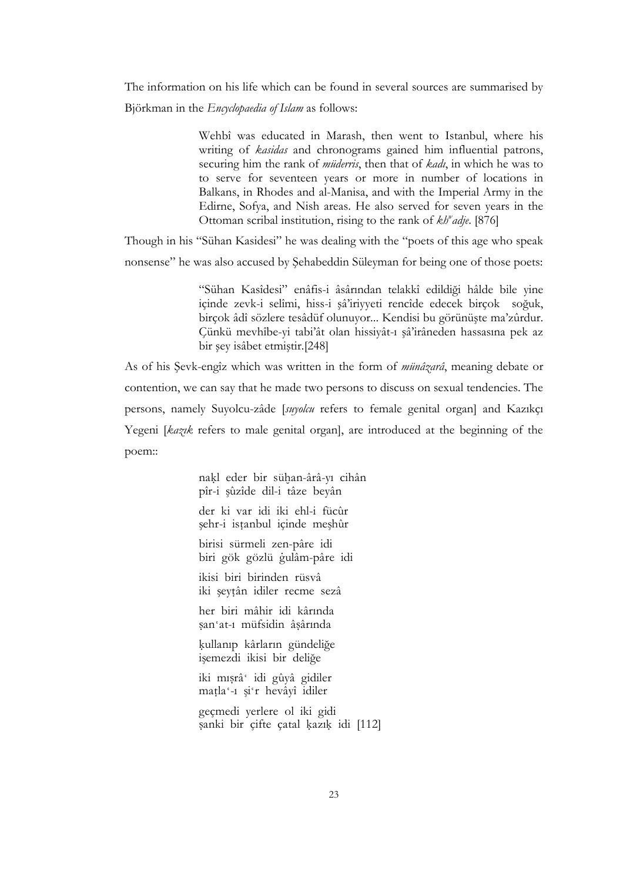The information on his life which can be found in several sources are summarised by Björkman in the Encyclopaedia of Islam as follows:

> Wehbî was educated in Marash, then went to Istanbul, where his writing of *kasidas* and chronograms gained him influential patrons, securing him the rank of *müderris*, then that of *kadi*, in which he was to to serve for seventeen years or more in number of locations in Balkans, in Rhodes and al-Manisa, and with the Imperial Army in the Edirne, Sofya, and Nish areas. He also served for seven years in the Ottoman scribal institution, rising to the rank of kh<sup>w</sup>adje. [876]

Though in his "Sühan Kasidesi" he was dealing with the "poets of this age who speak nonsense" he was also accused by Şehabeddin Süleyman for being one of those poets:

> "Sühan Kasîdesi" enâfis-i âsârından telakkî edildiği hâlde bile yine içinde zevk-i selîmi, hiss-i şâ'iriyyeti rencîde edecek birçok soğuk, birçok âdî sözlere tesâdüf olunuyor... Kendisi bu görünüşte ma'zûrdur. Çünkü mevhîbe-yi tabi'ât olan hissiyât-ı şâ'irâneden hassasına pek az bir şey isâbet etmiştir.[248]

As of his Şevk-engîz which was written in the form of *münâzarâ*, meaning debate or contention, we can say that he made two persons to discuss on sexual tendencies. The persons, namely Suyolcu-zâde [suyolcu refers to female genital organ] and Kazıkçı Yegeni [kazık refers to male genital organ], are introduced at the beginning of the poem::

> nakl eder bir sühan-ârâ-yı cihân pîr-i şûzîde dil-i tâze beyân

der ki var idi iki ehl-i fücûr şehr-i istanbul içinde meşhûr

birisi sürmeli zen-pâre idi biri gök gözlü gulâm-pâre idi

ikisi biri birinden rüsvâ iki şeytân idiler recme sezâ

her biri mâhir idi kârında san'at-1 müfsidin âsârında

kullanıp kârların gündeliğe işemezdi ikisi bir deliğe

iki mısrâ' idi gûyâ gidiler matla'-1 şi'r hevâyî idiler

geçmedi yerlere ol iki gidi sanki bir çifte çatal kazık idi [112]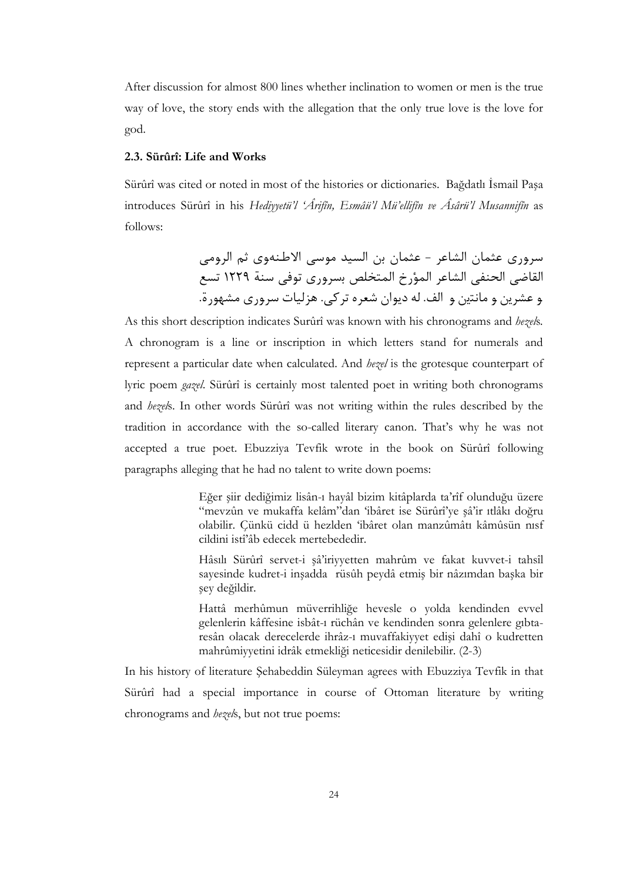After discussion for almost 800 lines whether inclination to women or men is the true way of love, the story ends with the allegation that the only true love is the love for god.

#### 2.3. Sürûrî: Life and Works

Sürûrî was cited or noted in most of the histories or dictionaries. Bağdatlı İsmail Paşa introduces Sürûrî in his Hediyyetü'l 'Ârifîn, Esmâü'l Mü'ellifîn ve Âsârü'l Musannifîn as follows:

> سروري عثمان الشاعر - عثمان بن السيد موسى الاطنهوي ثم الرومي القاضي الحنفي الشاعر المؤرخ المتخلص بسروري توفي سنة ١٢٢٩ تسع و عشرين و مانتين و الف. له ديوان شعره تركي. هزليات سروري مشهورة.

As this short description indicates Surûrî was known with his chronograms and hezels. A chronogram is a line or inscription in which letters stand for numerals and represent a particular date when calculated. And *hezel* is the grotesque counterpart of lyric poem gazel. Sürûrî is certainly most talented poet in writing both chronograms and hezels. In other words Sürûrî was not writing within the rules described by the tradition in accordance with the so-called literary canon. That's why he was not accepted a true poet. Ebuzziya Tevfik wrote in the book on Sürûrî following paragraphs alleging that he had no talent to write down poems:

> Eğer şiir dediğimiz lisân-ı hayâl bizim kitâplarda ta'rîf olunduğu üzere "mevzûn ve mukaffa kelâm"dan 'ibâret ise Sürûrî'ye şâ'ir ıtlâkı doğru olabilir. Çünkü cidd ü hezlden 'ibâret olan manzûmâtı kâmûsün nısf cildini istî'âb edecek mertebededir.

> Hâsılı Sürûrî servet-i şâ'iriyyetten mahrûm ve fakat kuvvet-i tahsîl sayesinde kudret-i inşadda rüsûh peydâ etmiş bir nâzımdan başka bir şey değildir.

> Hattâ merhûmun müverrihliğe hevesle o yolda kendinden evvel gelenlerin kâffesine isbât-ı rüchân ve kendinden sonra gelenlere gıbtaresân olacak derecelerde ihrâz-ı muvaffakiyyet edişi dahî o kudretten mahrûmiyyetini idrâk etmekliği neticesidir denilebilir. (2-3)

In his history of literature Şehabeddin Süleyman agrees with Ebuzziya Tevfik in that Sürûrî had a special importance in course of Ottoman literature by writing chronograms and hezels, but not true poems: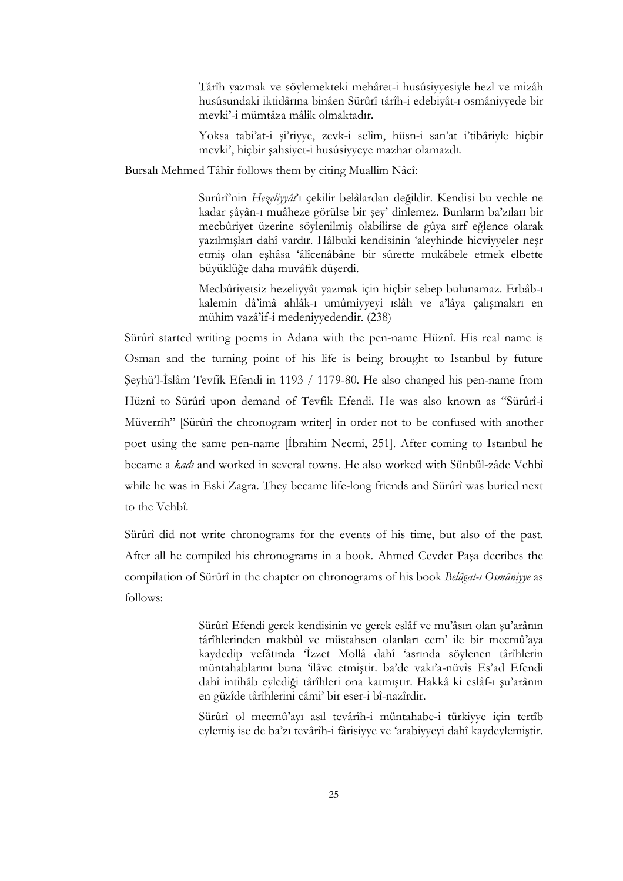Târîh yazmak ve söylemekteki mehâret-i husûsiyyesiyle hezl ve mizâh husûsundaki iktidârına binâen Sürûrî târîh-i edebiyât-ı osmâniyyede bir mevki'-i mümtâza mâlik olmaktadır.

Yoksa tabi'at-i şi'riyye, zevk-i selîm, hüsn-i san'at i'tibâriyle hiçbir mevki', hiçbir şahsiyet-i husûsiyyeye mazhar olamazdı.

Bursalı Mehmed Tâhîr follows them by citing Muallim Nâcî:

Surûrî'nin Hezeliyyât'ı çekilir belâlardan değildir. Kendisi bu vechle ne kadar şâyân-ı muâheze görülse bir şey' dinlemez. Bunların ba'zıları bir mecbûriyet üzerine söylenilmiş olabilirse de gûya sırf eğlence olarak yazılmışları dahî vardır. Hâlbuki kendisinin 'aleyhinde hicviyyeler neşr etmiş olan eşhâsa 'âlîcenâbâne bir sûrette mukâbele etmek elbette büyüklüğe daha muvâfık düşerdi.

Mecbûriyetsiz hezeliyyât yazmak için hiçbir sebep bulunamaz. Erbâb-ı kalemin dâ'imâ ahlâk-ı umûmiyyeyi ıslâh ve a'lâya çalışmaları en mühim vazâ'if-i medeniyyedendir. (238)

Sürûrî started writing poems in Adana with the pen-name Hüznî. His real name is Osman and the turning point of his life is being brought to Istanbul by future Şeyhü'l-İslâm Tevfîk Efendi in 1193 / 1179-80. He also changed his pen-name from Hüznî to Sürûrî upon demand of Tevfik Efendi. He was also known as "Sürûrî-i Müverrih" [Sürûrî the chronogram writer] in order not to be confused with another poet using the same pen-name [İbrahim Necmi, 251]. After coming to Istanbul he became a *kadı* and worked in several towns. He also worked with Sünbül-zâde Vehbî while he was in Eski Zagra. They became life-long friends and Sürûrî was buried next to the Vehbî.

Sürûrî did not write chronograms for the events of his time, but also of the past. After all he compiled his chronograms in a book. Ahmed Cevdet Paşa decribes the compilation of Sürûrî in the chapter on chronograms of his book Belâgat-ı Osmâniyye as follows:

> Sürûrî Efendi gerek kendisinin ve gerek eslâf ve mu'âsırı olan şu'arânın târîhlerinden makbûl ve müstahsen olanları cem' ile bir mecmû'aya kaydedip vefâtında 'İzzet Mollâ dahî 'asrında söylenen târîhlerin müntahablarını buna 'ilâve etmiştir. ba'de vakı'a-nüvîs Es'ad Efendi dahî intihâb eylediği târîhleri ona katmıştır. Hakkâ ki eslâf-ı şu'arânın en güzîde târîhlerini câmi' bir eser-i bî-nazîrdir.

> Sürûrî ol mecmû'ayı asıl tevârîh-i müntahabe-i türkiyye için tertîb eylemiş ise de ba'zı tevârîh-i fârisiyye ve 'arabiyyeyi dahî kaydeylemiştir.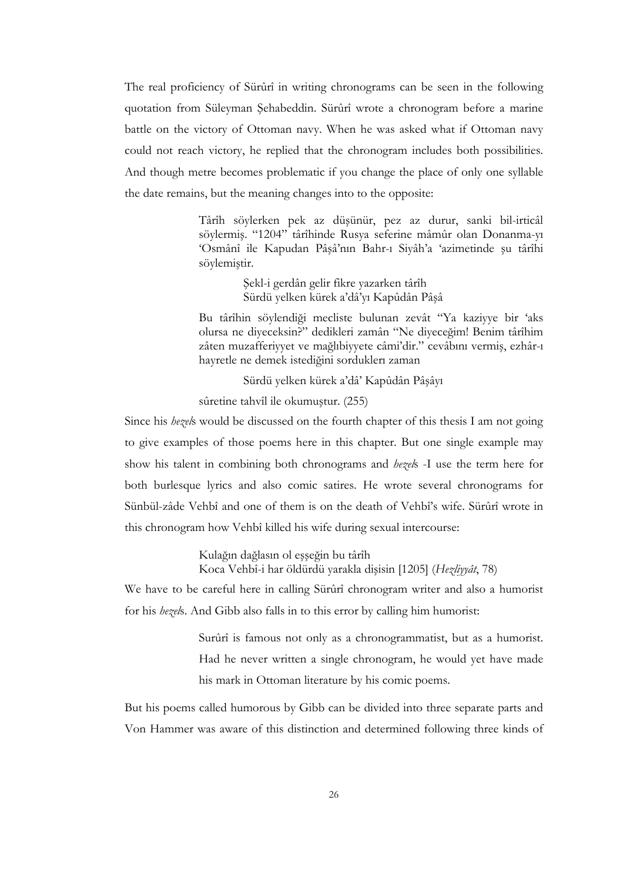The real proficiency of Sürûrî in writing chronograms can be seen in the following quotation from Süleyman Şehabeddin. Sürûrî wrote a chronogram before a marine battle on the victory of Ottoman navy. When he was asked what if Ottoman navy could not reach victory, he replied that the chronogram includes both possibilities. And though metre becomes problematic if you change the place of only one syllable the date remains, but the meaning changes into to the opposite:

> Târîh söylerken pek az düşünür, pez az durur, sanki bil-irticâl söylermiş. "1204" târîhinde Rusya seferine mâmûr olan Donanma-yı 'Osmânî ile Kapudan Pâşâ'nın Bahr-ı Siyâh'a 'azimetinde şu târîhi söylemiştir.

> > Şekl-i gerdân gelir fikre yazarken târîh Sürdü yelken kürek a'dâ'yı Kapûdân Pâşâ

Bu târîhin söylendiği mecliste bulunan zevât "Ya kaziyye bir 'aks olursa ne diyeceksin?" dedikleri zamân "Ne diyeceğim! Benim târîhim zâten muzafferiyyet ve mağlıbiyyete câmi'dir." cevâbını vermiş, ezhâr-ı hayretle ne demek istediğini sorduklerı zaman

Sürdü yelken kürek a'dâ' Kapûdân Pâşâyı

sûretine tahvîl ile okumuştur. (255)

Since his *hezels* would be discussed on the fourth chapter of this thesis I am not going to give examples of those poems here in this chapter. But one single example may show his talent in combining both chronograms and *hezels* -I use the term here for both burlesque lyrics and also comic satires. He wrote several chronograms for Sünbül-zâde Vehbî and one of them is on the death of Vehbî's wife. Sürûrî wrote in this chronogram how Vehbî killed his wife during sexual intercourse:

> Kulağın dağlasın ol eşşeğin bu târîh Koca Vehbî-i har öldürdü yarakla dişisin [1205] (Hezliyyât, 78)

We have to be careful here in calling Sürûrî chronogram writer and also a humorist for his hezels. And Gibb also falls in to this error by calling him humorist:

> Surûrî is famous not only as a chronogrammatist, but as a humorist. Had he never written a single chronogram, he would yet have made his mark in Ottoman literature by his comic poems.

But his poems called humorous by Gibb can be divided into three separate parts and Von Hammer was aware of this distinction and determined following three kinds of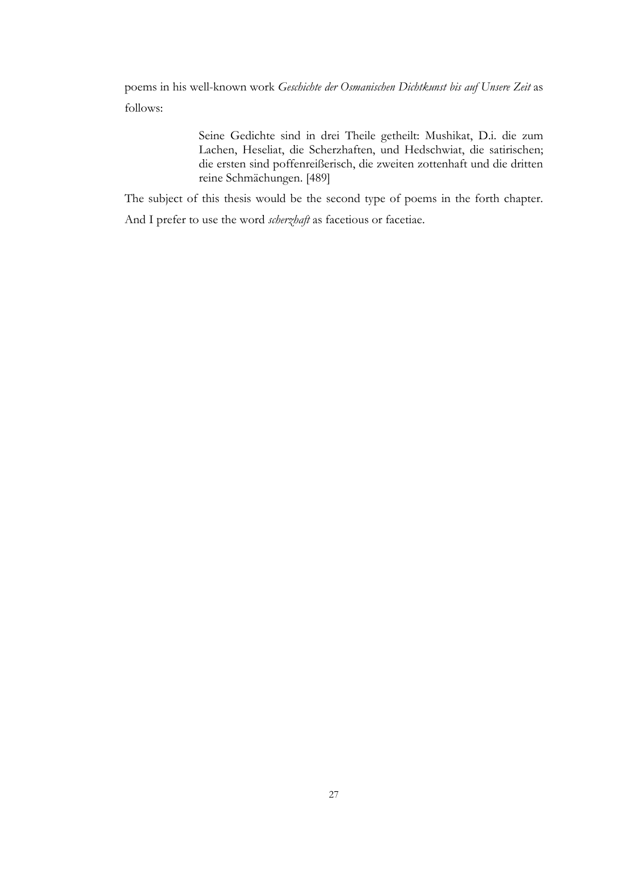poems in his well-known work Geschichte der Osmanischen Dichtkunst bis auf Unsere Zeit as follows:

> Seine Gedichte sind in drei Theile getheilt: Mushikat, D.i. die zum Lachen, Heseliat, die Scherzhaften, und Hedschwiat, die satirischen; die ersten sind poffenreißerisch, die zweiten zottenhaft und die dritten reine Schmächungen. [489]

The subject of this thesis would be the second type of poems in the forth chapter.

And I prefer to use the word scherzhaft as facetious or facetiae.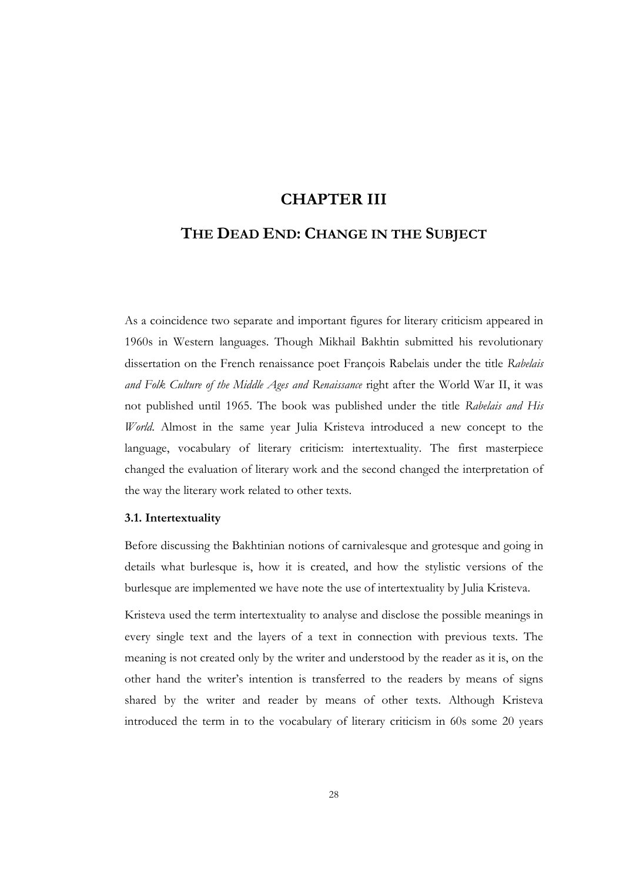### CHAPTER III

# THE DEAD END: CHANGE IN THE SUBJECT

As a coincidence two separate and important figures for literary criticism appeared in 1960s in Western languages. Though Mikhail Bakhtin submitted his revolutionary dissertation on the French renaissance poet François Rabelais under the title Rabelais and Folk Culture of the Middle Ages and Renaissance right after the World War II, it was not published until 1965. The book was published under the title Rabelais and His World. Almost in the same year Julia Kristeva introduced a new concept to the language, vocabulary of literary criticism: intertextuality. The first masterpiece changed the evaluation of literary work and the second changed the interpretation of the way the literary work related to other texts.

#### 3.1. Intertextuality

Before discussing the Bakhtinian notions of carnivalesque and grotesque and going in details what burlesque is, how it is created, and how the stylistic versions of the burlesque are implemented we have note the use of intertextuality by Julia Kristeva.

Kristeva used the term intertextuality to analyse and disclose the possible meanings in every single text and the layers of a text in connection with previous texts. The meaning is not created only by the writer and understood by the reader as it is, on the other hand the writer's intention is transferred to the readers by means of signs shared by the writer and reader by means of other texts. Although Kristeva introduced the term in to the vocabulary of literary criticism in 60s some 20 years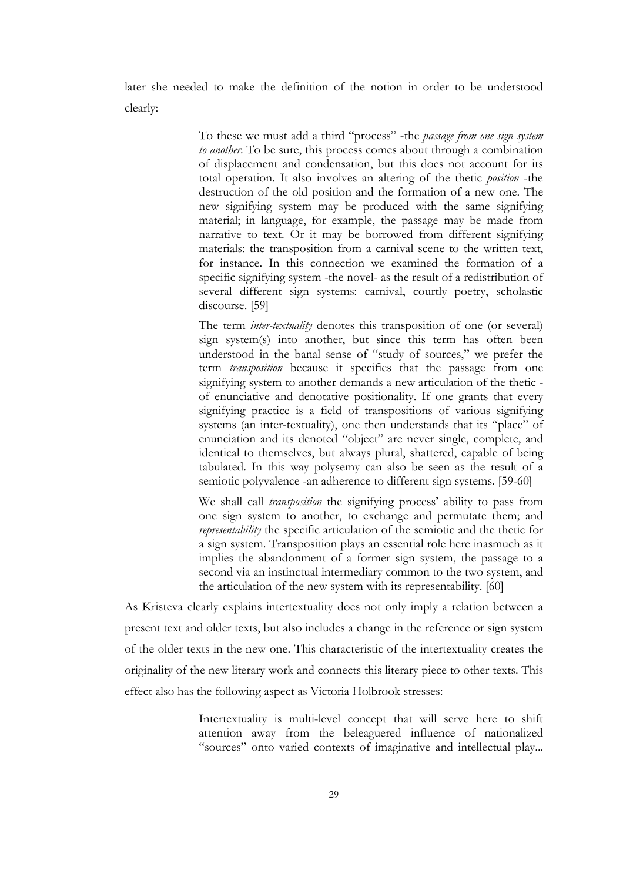later she needed to make the definition of the notion in order to be understood clearly:

> To these we must add a third "process" -the passage from one sign system to another. To be sure, this process comes about through a combination of displacement and condensation, but this does not account for its total operation. It also involves an altering of the thetic position -the destruction of the old position and the formation of a new one. The new signifying system may be produced with the same signifying material; in language, for example, the passage may be made from narrative to text. Or it may be borrowed from different signifying materials: the transposition from a carnival scene to the written text, for instance. In this connection we examined the formation of a specific signifying system -the novel- as the result of a redistribution of several different sign systems: carnival, courtly poetry, scholastic discourse. [59]

> The term *inter-textuality* denotes this transposition of one (or several) sign system(s) into another, but since this term has often been understood in the banal sense of "study of sources," we prefer the term *transposition* because it specifies that the passage from one signifying system to another demands a new articulation of the thetic of enunciative and denotative positionality. If one grants that every signifying practice is a field of transpositions of various signifying systems (an inter-textuality), one then understands that its "place" of enunciation and its denoted "object" are never single, complete, and identical to themselves, but always plural, shattered, capable of being tabulated. In this way polysemy can also be seen as the result of a semiotic polyvalence -an adherence to different sign systems. [59-60]

> We shall call *transposition* the signifying process' ability to pass from one sign system to another, to exchange and permutate them; and representability the specific articulation of the semiotic and the thetic for a sign system. Transposition plays an essential role here inasmuch as it implies the abandonment of a former sign system, the passage to a second via an instinctual intermediary common to the two system, and the articulation of the new system with its representability. [60]

As Kristeva clearly explains intertextuality does not only imply a relation between a present text and older texts, but also includes a change in the reference or sign system of the older texts in the new one. This characteristic of the intertextuality creates the originality of the new literary work and connects this literary piece to other texts. This effect also has the following aspect as Victoria Holbrook stresses:

> Intertextuality is multi-level concept that will serve here to shift attention away from the beleaguered influence of nationalized "sources" onto varied contexts of imaginative and intellectual play...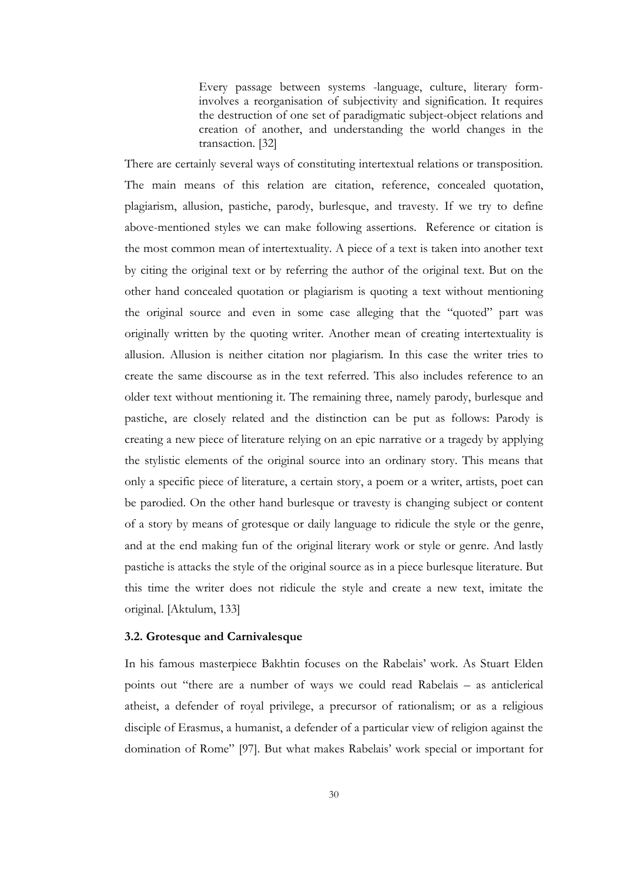Every passage between systems -language, culture, literary forminvolves a reorganisation of subjectivity and signification. It requires the destruction of one set of paradigmatic subject-object relations and creation of another, and understanding the world changes in the transaction. [32]

There are certainly several ways of constituting intertextual relations or transposition. The main means of this relation are citation, reference, concealed quotation, plagiarism, allusion, pastiche, parody, burlesque, and travesty. If we try to define above-mentioned styles we can make following assertions. Reference or citation is the most common mean of intertextuality. A piece of a text is taken into another text by citing the original text or by referring the author of the original text. But on the other hand concealed quotation or plagiarism is quoting a text without mentioning the original source and even in some case alleging that the "quoted" part was originally written by the quoting writer. Another mean of creating intertextuality is allusion. Allusion is neither citation nor plagiarism. In this case the writer tries to create the same discourse as in the text referred. This also includes reference to an older text without mentioning it. The remaining three, namely parody, burlesque and pastiche, are closely related and the distinction can be put as follows: Parody is creating a new piece of literature relying on an epic narrative or a tragedy by applying the stylistic elements of the original source into an ordinary story. This means that only a specific piece of literature, a certain story, a poem or a writer, artists, poet can be parodied. On the other hand burlesque or travesty is changing subject or content of a story by means of grotesque or daily language to ridicule the style or the genre, and at the end making fun of the original literary work or style or genre. And lastly pastiche is attacks the style of the original source as in a piece burlesque literature. But this time the writer does not ridicule the style and create a new text, imitate the original. [Aktulum, 133]

### 3.2. Grotesque and Carnivalesque

In his famous masterpiece Bakhtin focuses on the Rabelais' work. As Stuart Elden points out "there are a number of ways we could read Rabelais – as anticlerical atheist, a defender of royal privilege, a precursor of rationalism; or as a religious disciple of Erasmus, a humanist, a defender of a particular view of religion against the domination of Rome" [97]. But what makes Rabelais' work special or important for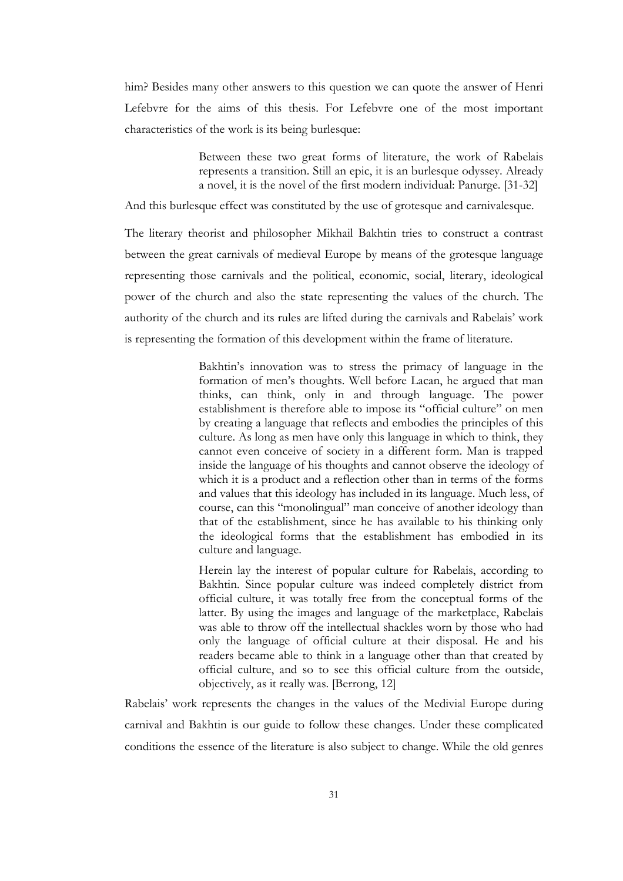him? Besides many other answers to this question we can quote the answer of Henri Lefebvre for the aims of this thesis. For Lefebvre one of the most important characteristics of the work is its being burlesque:

> Between these two great forms of literature, the work of Rabelais represents a transition. Still an epic, it is an burlesque odyssey. Already a novel, it is the novel of the first modern individual: Panurge. [31-32]

And this burlesque effect was constituted by the use of grotesque and carnivalesque.

The literary theorist and philosopher Mikhail Bakhtin tries to construct a contrast between the great carnivals of medieval Europe by means of the grotesque language representing those carnivals and the political, economic, social, literary, ideological power of the church and also the state representing the values of the church. The authority of the church and its rules are lifted during the carnivals and Rabelais' work is representing the formation of this development within the frame of literature.

> Bakhtin's innovation was to stress the primacy of language in the formation of men's thoughts. Well before Lacan, he argued that man thinks, can think, only in and through language. The power establishment is therefore able to impose its "official culture" on men by creating a language that reflects and embodies the principles of this culture. As long as men have only this language in which to think, they cannot even conceive of society in a different form. Man is trapped inside the language of his thoughts and cannot observe the ideology of which it is a product and a reflection other than in terms of the forms and values that this ideology has included in its language. Much less, of course, can this "monolingual" man conceive of another ideology than that of the establishment, since he has available to his thinking only the ideological forms that the establishment has embodied in its culture and language.

> Herein lay the interest of popular culture for Rabelais, according to Bakhtin. Since popular culture was indeed completely district from official culture, it was totally free from the conceptual forms of the latter. By using the images and language of the marketplace, Rabelais was able to throw off the intellectual shackles worn by those who had only the language of official culture at their disposal. He and his readers became able to think in a language other than that created by official culture, and so to see this official culture from the outside, objectively, as it really was. [Berrong, 12]

Rabelais' work represents the changes in the values of the Medivial Europe during carnival and Bakhtin is our guide to follow these changes. Under these complicated conditions the essence of the literature is also subject to change. While the old genres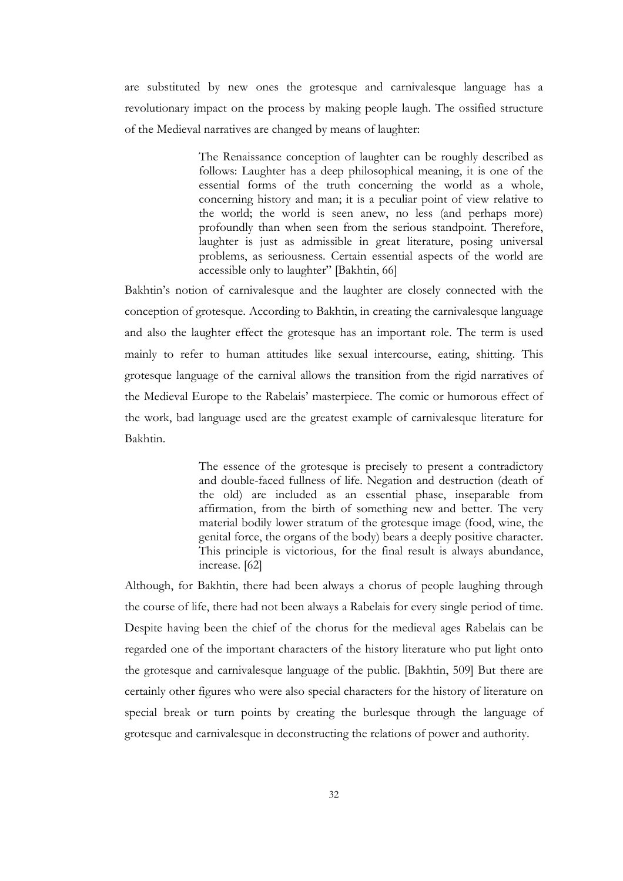are substituted by new ones the grotesque and carnivalesque language has a revolutionary impact on the process by making people laugh. The ossified structure of the Medieval narratives are changed by means of laughter:

> The Renaissance conception of laughter can be roughly described as follows: Laughter has a deep philosophical meaning, it is one of the essential forms of the truth concerning the world as a whole, concerning history and man; it is a peculiar point of view relative to the world; the world is seen anew, no less (and perhaps more) profoundly than when seen from the serious standpoint. Therefore, laughter is just as admissible in great literature, posing universal problems, as seriousness. Certain essential aspects of the world are accessible only to laughter" [Bakhtin, 66]

Bakhtin's notion of carnivalesque and the laughter are closely connected with the conception of grotesque. According to Bakhtin, in creating the carnivalesque language and also the laughter effect the grotesque has an important role. The term is used mainly to refer to human attitudes like sexual intercourse, eating, shitting. This grotesque language of the carnival allows the transition from the rigid narratives of the Medieval Europe to the Rabelais' masterpiece. The comic or humorous effect of the work, bad language used are the greatest example of carnivalesque literature for Bakhtin.

> The essence of the grotesque is precisely to present a contradictory and double-faced fullness of life. Negation and destruction (death of the old) are included as an essential phase, inseparable from affirmation, from the birth of something new and better. The very material bodily lower stratum of the grotesque image (food, wine, the genital force, the organs of the body) bears a deeply positive character. This principle is victorious, for the final result is always abundance, increase. [62]

Although, for Bakhtin, there had been always a chorus of people laughing through the course of life, there had not been always a Rabelais for every single period of time. Despite having been the chief of the chorus for the medieval ages Rabelais can be regarded one of the important characters of the history literature who put light onto the grotesque and carnivalesque language of the public. [Bakhtin, 509] But there are certainly other figures who were also special characters for the history of literature on special break or turn points by creating the burlesque through the language of grotesque and carnivalesque in deconstructing the relations of power and authority.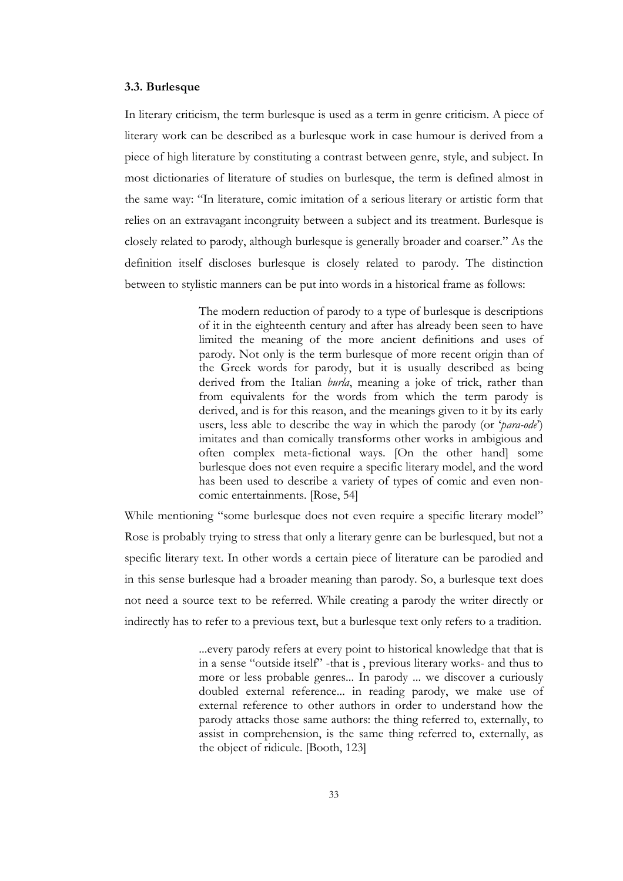### 3.3. Burlesque

In literary criticism, the term burlesque is used as a term in genre criticism. A piece of literary work can be described as a burlesque work in case humour is derived from a piece of high literature by constituting a contrast between genre, style, and subject. In most dictionaries of literature of studies on burlesque, the term is defined almost in the same way: "In literature, comic imitation of a serious literary or artistic form that relies on an extravagant incongruity between a subject and its treatment. Burlesque is closely related to parody, although burlesque is generally broader and coarser." As the definition itself discloses burlesque is closely related to parody. The distinction between to stylistic manners can be put into words in a historical frame as follows:

> The modern reduction of parody to a type of burlesque is descriptions of it in the eighteenth century and after has already been seen to have limited the meaning of the more ancient definitions and uses of parody. Not only is the term burlesque of more recent origin than of the Greek words for parody, but it is usually described as being derived from the Italian *burla*, meaning a joke of trick, rather than from equivalents for the words from which the term parody is derived, and is for this reason, and the meanings given to it by its early users, less able to describe the way in which the parody (or 'para-ode') imitates and than comically transforms other works in ambigious and often complex meta-fictional ways. [On the other hand] some burlesque does not even require a specific literary model, and the word has been used to describe a variety of types of comic and even noncomic entertainments. [Rose, 54]

While mentioning "some burlesque does not even require a specific literary model" Rose is probably trying to stress that only a literary genre can be burlesqued, but not a specific literary text. In other words a certain piece of literature can be parodied and in this sense burlesque had a broader meaning than parody. So, a burlesque text does not need a source text to be referred. While creating a parody the writer directly or indirectly has to refer to a previous text, but a burlesque text only refers to a tradition.

> ...every parody refers at every point to historical knowledge that that is in a sense "outside itself" -that is , previous literary works- and thus to more or less probable genres... In parody ... we discover a curiously doubled external reference... in reading parody, we make use of external reference to other authors in order to understand how the parody attacks those same authors: the thing referred to, externally, to assist in comprehension, is the same thing referred to, externally, as the object of ridicule. [Booth, 123]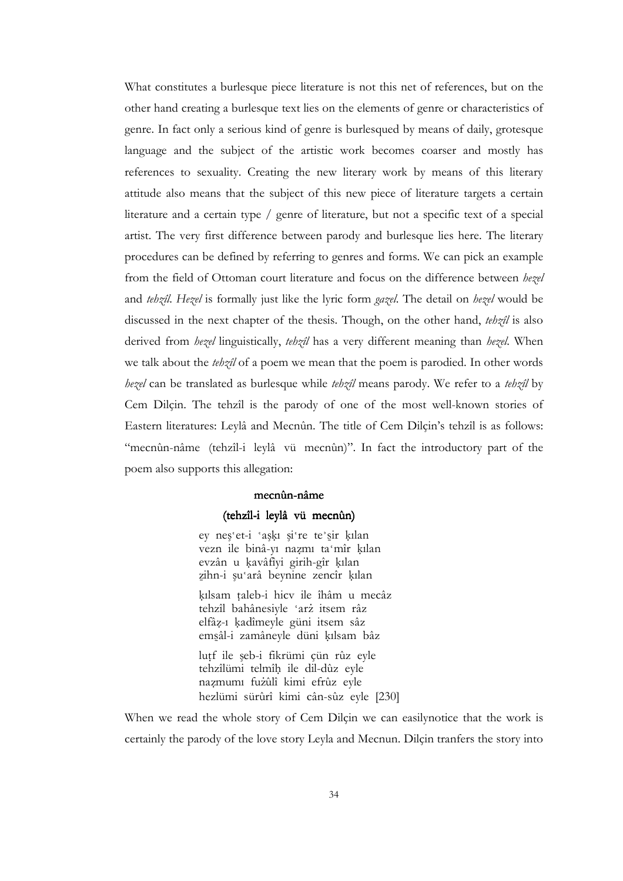What constitutes a burlesque piece literature is not this net of references, but on the other hand creating a burlesque text lies on the elements of genre or characteristics of genre. In fact only a serious kind of genre is burlesqued by means of daily, grotesque language and the subject of the artistic work becomes coarser and mostly has references to sexuality. Creating the new literary work by means of this literary attitude also means that the subject of this new piece of literature targets a certain literature and a certain type / genre of literature, but not a specific text of a special artist. The very first difference between parody and burlesque lies here. The literary procedures can be defined by referring to genres and forms. We can pick an example from the field of Ottoman court literature and focus on the difference between hezel and tehzîl. Hezel is formally just like the lyric form gazel. The detail on hezel would be discussed in the next chapter of the thesis. Though, on the other hand, tehzil is also derived from hezel linguistically, tehzil has a very different meaning than hezel. When we talk about the *tehzil* of a poem we mean that the poem is parodied. In other words hezel can be translated as burlesque while tehzîl means parody. We refer to a tehzîl by Cem Dilçin. The tehzîl is the parody of one of the most well-known stories of Eastern literatures: Leylâ and Mecnûn. The title of Cem Dilçin's tehzîl is as follows: "mecnûn-nâme (tehzîl-i leylâ vü mecnûn)". In fact the introductory part of the poem also supports this allegation:

### mecnûn-nâme

#### (tehzîl-i leylâ vü mecnûn)

ey neş'et-i 'aşKı şi're te`śir Kılan vezn ile binâ-yı nazmı ta'mîr kılan evzân u kavâfîyi girih-gîr kılan zihn-i şu'arâ beynine zencîr kılan

kılsam taleb-i hicv ile îhâm u mecâz tehzîl bahânesiyle 'arż itsem râz elfâz-ı kadîmeyle güni itsem sâz emsâl-i zamâneyle düni kılsam bâz

lutf ile şeb-i fikrümi çün rûz eyle tehzîlümi telmîh ile dil-dûz eyle nazmumı fużûlî kimi efrûz eyle hezlümi sürûrî kimi cân-sûz eyle [230]

When we read the whole story of Cem Dilçin we can easilynotice that the work is certainly the parody of the love story Leyla and Mecnun. Dilçin tranfers the story into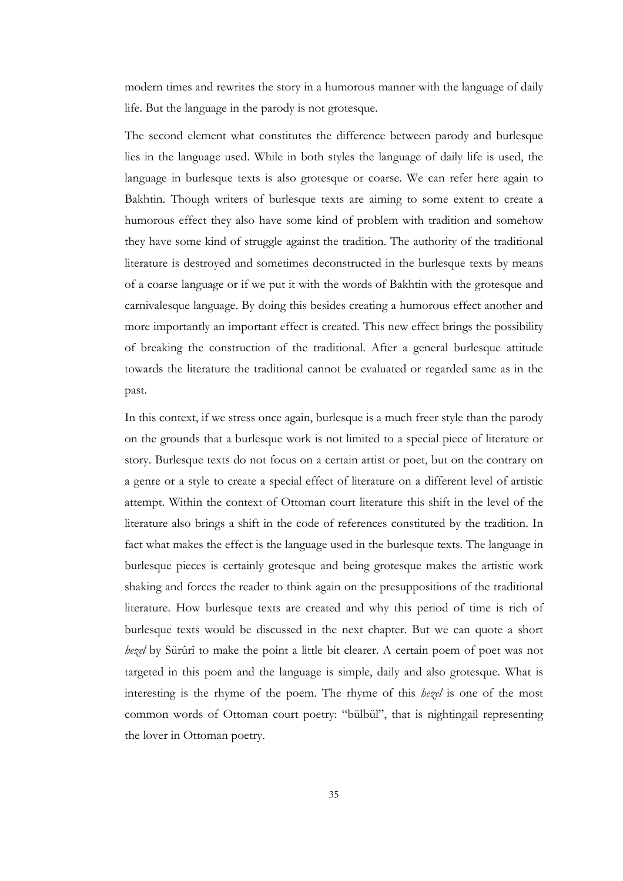modern times and rewrites the story in a humorous manner with the language of daily life. But the language in the parody is not grotesque.

The second element what constitutes the difference between parody and burlesque lies in the language used. While in both styles the language of daily life is used, the language in burlesque texts is also grotesque or coarse. We can refer here again to Bakhtin. Though writers of burlesque texts are aiming to some extent to create a humorous effect they also have some kind of problem with tradition and somehow they have some kind of struggle against the tradition. The authority of the traditional literature is destroyed and sometimes deconstructed in the burlesque texts by means of a coarse language or if we put it with the words of Bakhtin with the grotesque and carnivalesque language. By doing this besides creating a humorous effect another and more importantly an important effect is created. This new effect brings the possibility of breaking the construction of the traditional. After a general burlesque attitude towards the literature the traditional cannot be evaluated or regarded same as in the past.

In this context, if we stress once again, burlesque is a much freer style than the parody on the grounds that a burlesque work is not limited to a special piece of literature or story. Burlesque texts do not focus on a certain artist or poet, but on the contrary on a genre or a style to create a special effect of literature on a different level of artistic attempt. Within the context of Ottoman court literature this shift in the level of the literature also brings a shift in the code of references constituted by the tradition. In fact what makes the effect is the language used in the burlesque texts. The language in burlesque pieces is certainly grotesque and being grotesque makes the artistic work shaking and forces the reader to think again on the presuppositions of the traditional literature. How burlesque texts are created and why this period of time is rich of burlesque texts would be discussed in the next chapter. But we can quote a short *hezel* by Sürûrî to make the point a little bit clearer. A certain poem of poet was not targeted in this poem and the language is simple, daily and also grotesque. What is interesting is the rhyme of the poem. The rhyme of this *hezel* is one of the most common words of Ottoman court poetry: "bülbül", that is nightingail representing the lover in Ottoman poetry.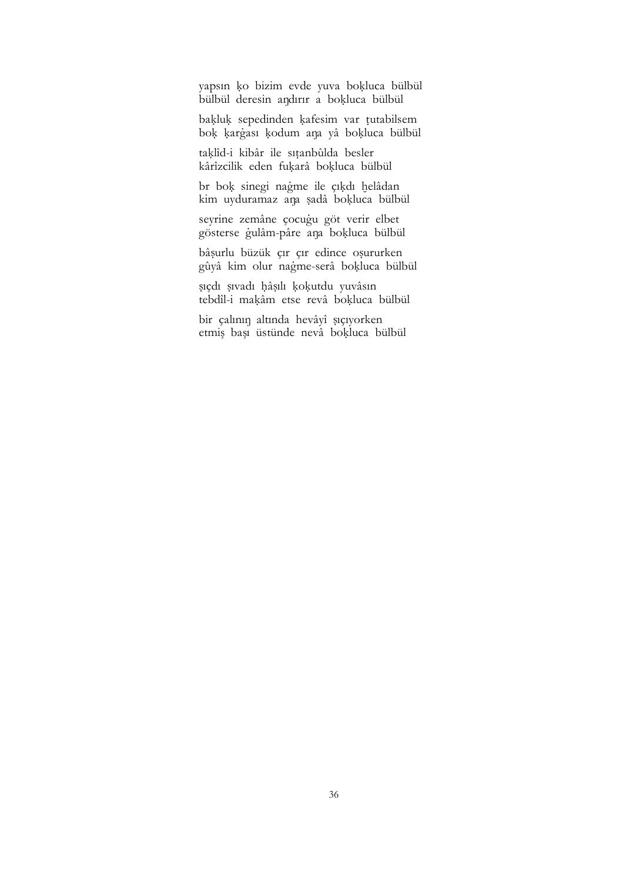yapsın ko bizim evde yuva bokluca bülbül bülbül deresin andırır a bokluca bülbül

bakluk sepedinden kafesim var tutabilsem bok kargası kodum ana yâ bokluca bülbül

taklîd-i kibâr ile sıtanbûlda besler kârîzcilik eden fukarâ bokluca bülbül

br bok sinegi nağme ile çıkdı helâdan kim uyduramaz ana sadâ bokluca bülbül

seyrine zemâne çocugu göt verir elbet gösterse gulâm-pâre ana bokluca bülbül

bâsurlu büzük çır çır edince osururken gûyâ kim olur nagme-serâ bokluca bülbül

sıçdı sıvadı hâsılı kokutdu yuvâsın tebdîl-i makâm etse revâ bokluca bülbül

bir çalının altında hevâyî sıçıyorken etmiş başı üstünde nevâ bokluca bülbül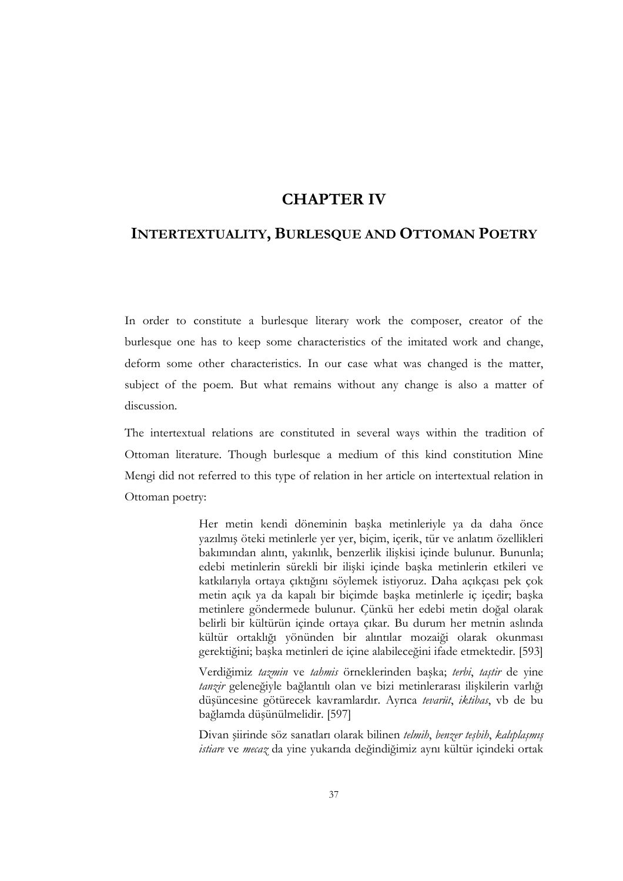# CHAPTER IV

# INTERTEXTUALITY, BURLESQUE AND OTTOMAN POETRY

In order to constitute a burlesque literary work the composer, creator of the burlesque one has to keep some characteristics of the imitated work and change, deform some other characteristics. In our case what was changed is the matter, subject of the poem. But what remains without any change is also a matter of discussion.

The intertextual relations are constituted in several ways within the tradition of Ottoman literature. Though burlesque a medium of this kind constitution Mine Mengi did not referred to this type of relation in her article on intertextual relation in Ottoman poetry:

> Her metin kendi döneminin başka metinleriyle ya da daha önce yazılmış öteki metinlerle yer yer, biçim, içerik, tür ve anlatım özellikleri bakımından alıntı, yakınlık, benzerlik ilişkisi içinde bulunur. Bununla; edebi metinlerin sürekli bir ilişki içinde başka metinlerin etkileri ve katkılarıyla ortaya çıktığını söylemek istiyoruz. Daha açıkçası pek çok metin açık ya da kapalı bir biçimde başka metinlerle iç içedir; başka metinlere göndermede bulunur. Çünkü her edebi metin doğal olarak belirli bir kültürün içinde ortaya çıkar. Bu durum her metnin aslında kültür ortaklığı yönünden bir alıntılar mozaiği olarak okunması gerektiğini; başka metinleri de içine alabileceğini ifade etmektedir. [593]

> Verdiğimiz tazmin ve tahmis örneklerinden başka; terbi, taştir de yine tanzir geleneğiyle bağlantılı olan ve bizi metinlerarası ilişkilerin varlığı düşüncesine götürecek kavramlardır. Ayrıca tevarüt, iktibas, vb de bu bağlamda düşünülmelidir. [597]

> Divan şiirinde söz sanatları olarak bilinen telmih, benzer teşbih, kalıplaşmış istiare ve mecaz da yine yukarıda değindiğimiz aynı kültür içindeki ortak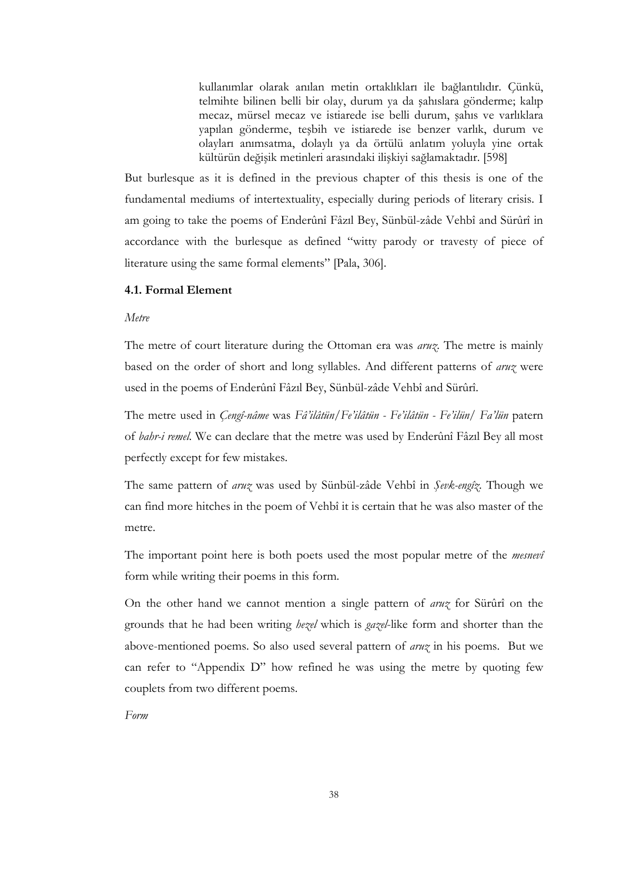kullanımlar olarak anılan metin ortaklıkları ile bağlantılıdır. Çünkü, telmihte bilinen belli bir olay, durum ya da şahıslara gönderme; kalıp mecaz, mürsel mecaz ve istiarede ise belli durum, şahıs ve varlıklara yapılan gönderme, teşbih ve istiarede ise benzer varlık, durum ve olayları anımsatma, dolaylı ya da örtülü anlatım yoluyla yine ortak kültürün değişik metinleri arasındaki ilişkiyi sağlamaktadır. [598]

But burlesque as it is defined in the previous chapter of this thesis is one of the fundamental mediums of intertextuality, especially during periods of literary crisis. I am going to take the poems of Enderûnî Fâzıl Bey, Sünbül-zâde Vehbî and Sürûrî in accordance with the burlesque as defined "witty parody or travesty of piece of literature using the same formal elements" [Pala, 306].

### 4.1. Formal Element

## Metre

The metre of court literature during the Ottoman era was  $\frac{a}{w}$ . The metre is mainly based on the order of short and long syllables. And different patterns of *aruz* were used in the poems of Enderûnî Fâzıl Bey, Sünbül-zâde Vehbî and Sürûrî.

The metre used in Çengî-nâme was Fâ'ilâtün/Fe'ilâtün - Fe'ilâtün - Fe'ilün/ Fa'lün patern of bahr-i remel. We can declare that the metre was used by Enderûnî Fâzıl Bey all most perfectly except for few mistakes.

The same pattern of aruz was used by Sünbül-zâde Vehbî in Şevk-engîz. Though we can find more hitches in the poem of Vehbî it is certain that he was also master of the metre.

The important point here is both poets used the most popular metre of the *mesnevi* form while writing their poems in this form.

On the other hand we cannot mention a single pattern of aruz for Sürûrî on the grounds that he had been writing *hezel* which is *gazel*-like form and shorter than the above-mentioned poems. So also used several pattern of *aruz* in his poems. But we can refer to "Appendix D" how refined he was using the metre by quoting few couplets from two different poems.

Form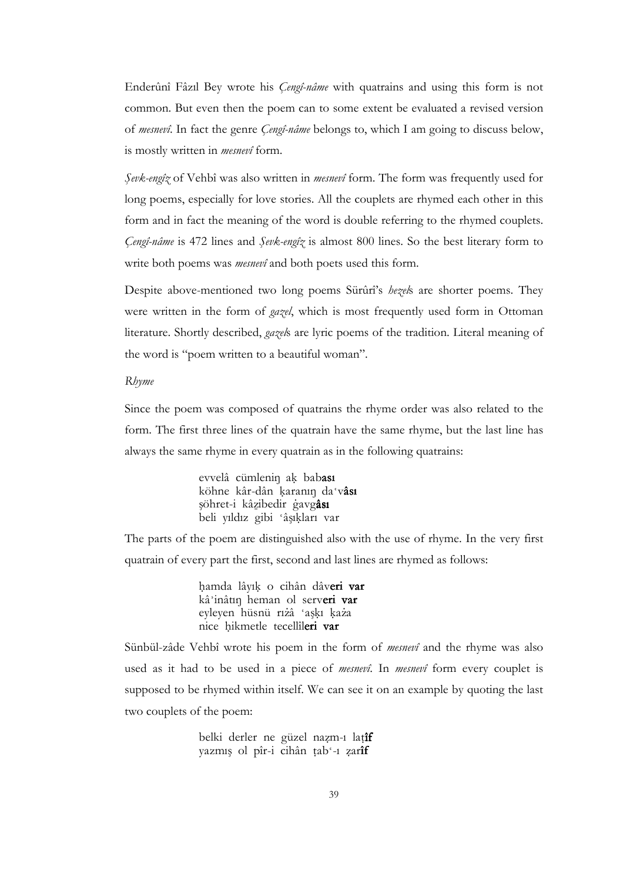Enderûnî Fâzıl Bey wrote his *Çengî-nâme* with quatrains and using this form is not common. But even then the poem can to some extent be evaluated a revised version of mesnevî. In fact the genre Cengî-nâme belongs to, which I am going to discuss below, is mostly written in *mesnevî* form.

Sevk-engîz of Vehbî was also written in *mesnevî* form. The form was frequently used for long poems, especially for love stories. All the couplets are rhymed each other in this form and in fact the meaning of the word is double referring to the rhymed couplets. Çengî-nâme is 472 lines and Şevk-engîz is almost 800 lines. So the best literary form to write both poems was *mesnevî* and both poets used this form.

Despite above-mentioned two long poems Sürûrî's hezels are shorter poems. They were written in the form of *gazel*, which is most frequently used form in Ottoman literature. Shortly described, gazels are lyric poems of the tradition. Literal meaning of the word is "poem written to a beautiful woman".

#### Rhyme

Since the poem was composed of quatrains the rhyme order was also related to the form. The first three lines of the quatrain have the same rhyme, but the last line has always the same rhyme in every quatrain as in the following quatrains:

> evvelâ cümlenin ak babası köhne kâr-dân karanın da'vâsı şöhret-i kâzibedir gavgâsı beli yıldız gibi 'âşıkları var

The parts of the poem are distinguished also with the use of rhyme. In the very first quatrain of every part the first, second and last lines are rhymed as follows:

> hamda lâyık o cihân dâveri var kâ'inâtin heman ol serveri var eyleyen hüsnü rıżâ 'askı każa nice hikmetle tecellîleri var

Sünbül-zâde Vehbî wrote his poem in the form of mesnevî and the rhyme was also used as it had to be used in a piece of mesnevî. In mesnevî form every couplet is supposed to be rhymed within itself. We can see it on an example by quoting the last two couplets of the poem:

> belki derler ne güzel nazm-ı latîf yazmış ol pîr-i cihân tab'-ı zarîf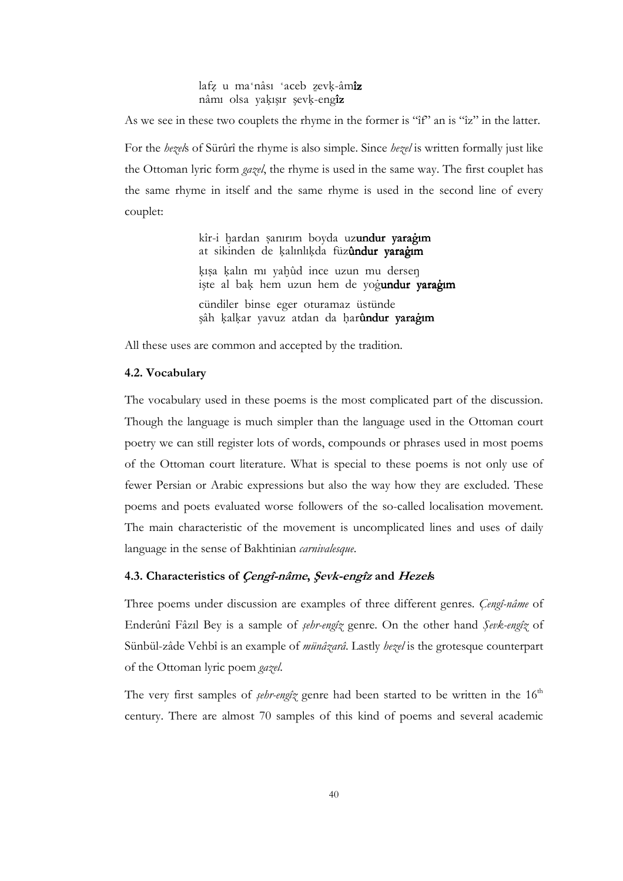### lafz u ma'nâsı 'aceb zevk-âmîz nâmı olsa yakısır sevk-engîz

As we see in these two couplets the rhyme in the former is "îf" an is "îz" in the latter. For the *hezels* of Sürûrî the rhyme is also simple. Since *hezel* is written formally just like the Ottoman lyric form *gazel*, the rhyme is used in the same way. The first couplet has the same rhyme in itself and the same rhyme is used in the second line of every couplet:

> kîr-i hardan şanırım boyda uzundur yarağım at sikinden de kalınlıkda füzûndur yaragım kısa kalın mı yahûd ince uzun mu dersen işte al bak hem uzun hem de yogundur yaragım cündiler binse eger oturamaz üstünde şâh kalkar yavuz atdan da harûndur yaragım

All these uses are common and accepted by the tradition.

## 4.2. Vocabulary

The vocabulary used in these poems is the most complicated part of the discussion. Though the language is much simpler than the language used in the Ottoman court poetry we can still register lots of words, compounds or phrases used in most poems of the Ottoman court literature. What is special to these poems is not only use of fewer Persian or Arabic expressions but also the way how they are excluded. These poems and poets evaluated worse followers of the so-called localisation movement. The main characteristic of the movement is uncomplicated lines and uses of daily language in the sense of Bakhtinian *carnivalesque*.

# 4.3. Characteristics of Çengî-nâme, Şevk-engîz and Hezels

Three poems under discussion are examples of three different genres. Cengî-nâme of Enderûnî Fâzıl Bey is a sample of şehr-engîz genre. On the other hand Şevk-engîz of Sünbül-zâde Vehbî is an example of *münâzarâ*. Lastly hezel is the grotesque counterpart of the Ottoman lyric poem gazel.

The very first samples of *sehr-engîz* genre had been started to be written in the  $16<sup>th</sup>$ century. There are almost 70 samples of this kind of poems and several academic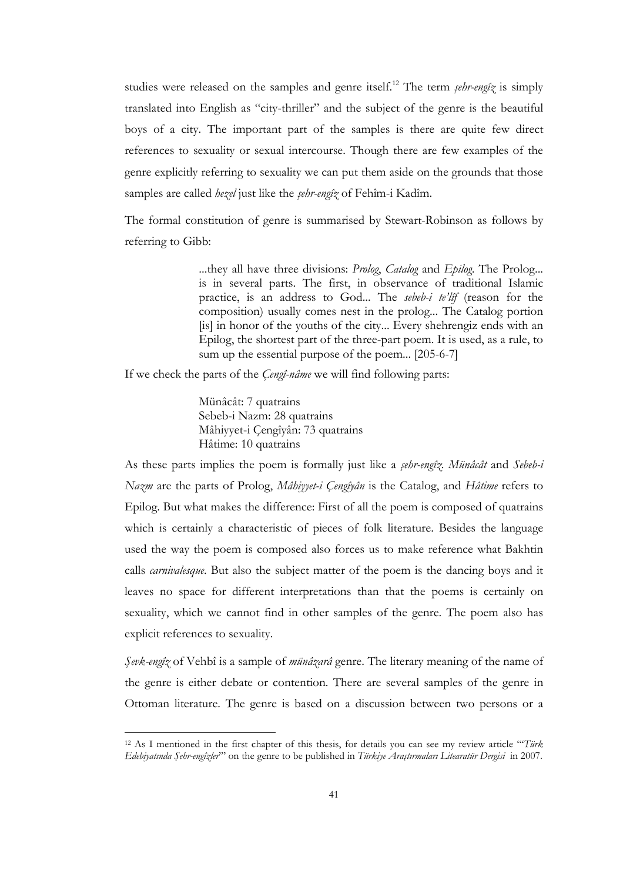studies were released on the samples and genre itself.<sup>12</sup> The term *sebr-engîz* is simply translated into English as "city-thriller" and the subject of the genre is the beautiful boys of a city. The important part of the samples is there are quite few direct references to sexuality or sexual intercourse. Though there are few examples of the genre explicitly referring to sexuality we can put them aside on the grounds that those samples are called *hezel* just like the *şehr-engîz* of Fehîm-i Kadîm.

The formal constitution of genre is summarised by Stewart-Robinson as follows by referring to Gibb:

> ...they all have three divisions: *Prolog, Catalog* and *Epilog*. The Prolog... is in several parts. The first, in observance of traditional Islamic practice, is an address to God... The sebeb-i te'lîf (reason for the composition) usually comes nest in the prolog... The Catalog portion [is] in honor of the youths of the city... Every shehrengiz ends with an Epilog, the shortest part of the three-part poem. It is used, as a rule, to sum up the essential purpose of the poem... [205-6-7]

If we check the parts of the *Cengî-nâme* we will find following parts:

Münâcât: 7 quatrains Sebeb-i Nazm: 28 quatrains Mâhiyyet-i Çengîyân: 73 quatrains Hâtime: 10 quatrains

As these parts implies the poem is formally just like a *şehr-engîz*. Münâcât and Sebeb-i Nazm are the parts of Prolog, Mâhiyyet-i Çengîyân is the Catalog, and Hâtime refers to Epilog. But what makes the difference: First of all the poem is composed of quatrains which is certainly a characteristic of pieces of folk literature. Besides the language used the way the poem is composed also forces us to make reference what Bakhtin calls *carnivalesque*. But also the subject matter of the poem is the dancing boys and it leaves no space for different interpretations than that the poems is certainly on sexuality, which we cannot find in other samples of the genre. The poem also has explicit references to sexuality.

Şevk-engîz of Vehbî is a sample of münâzarâ genre. The literary meaning of the name of the genre is either debate or contention. There are several samples of the genre in Ottoman literature. The genre is based on a discussion between two persons or a

 $\overline{a}$ 

<sup>&</sup>lt;sup>12</sup> As I mentioned in the first chapter of this thesis, for details you can see my review article "Türk" Edebiyatında Şehr-engîzler'" on the genre to be published in Türkiye Araştırmaları Litearatür Dergisi in 2007.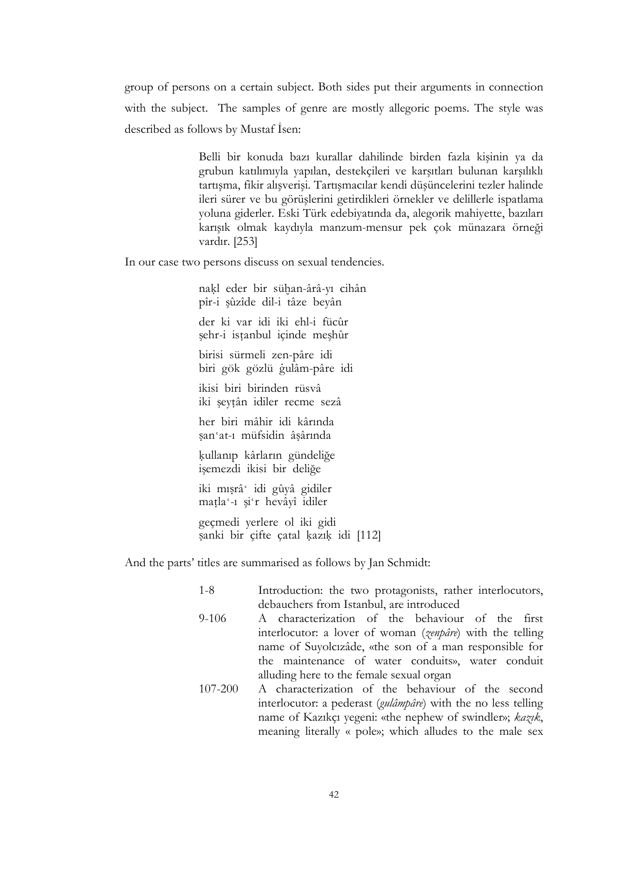group of persons on a certain subject. Both sides put their arguments in connection with the subject. The samples of genre are mostly allegoric poems. The style was described as follows by Mustaf Isen:

> Belli bir konuda bazı kurallar dahilinde birden fazla kişinin ya da grubun katılımıyla yapılan, destekçileri ve karşıtları bulunan karşılıklı tartışma, fikir alışverişi. Tartışmacılar kendi düşüncelerini tezler halinde ileri sürer ve bu görüşlerini getirdikleri örnekler ve delillerle ispatlama yoluna giderler. Eski Türk edebiyatında da, alegorik mahiyette, bazıları karışık olmak kaydıyla manzum-mensur pek çok münazara örneği vardır. [253]

In our case two persons discuss on sexual tendencies.

nakl eder bir sühan-ârâ-yı cihân pîr-i şûzîde dil-i tâze beyân der ki var idi iki ehl-i fücûr şehr-i istanbul içinde meşhûr birisi sürmeli zen-pâre idi

biri gök gözlü gulâm-pâre idi

ikisi biri birinden rüsvâ iki şeytân idiler recme sezâ

her biri mâhir idi kârında san'at-1 müfsidin âsârında

kullanıp kârların gündeliğe işemezdi ikisi bir deliğe

iki mışrâ' idi gûyâ gidiler matla'-1 şi'r hevâyî idiler

geçmedi yerlere ol iki gidi sanki bir çifte çatal kazık idi [112]

And the parts' titles are summarised as follows by Jan Schmidt:

- 1-8 Introduction: the two protagonists, rather interlocutors, debauchers from Istanbul, are introduced
- 9-106 A characterization of the behaviour of the first interlocutor: a lover of woman (*zenpâre*) with the telling name of Suyolcızâde, «the son of a man responsible for the maintenance of water conduits», water conduit alluding here to the female sexual organ
- 107-200 A characterization of the behaviour of the second interlocutor: a pederast (gulâmpâre) with the no less telling name of Kazıkçı yegeni: «the nephew of swindler»; kazık, meaning literally « pole»; which alludes to the male sex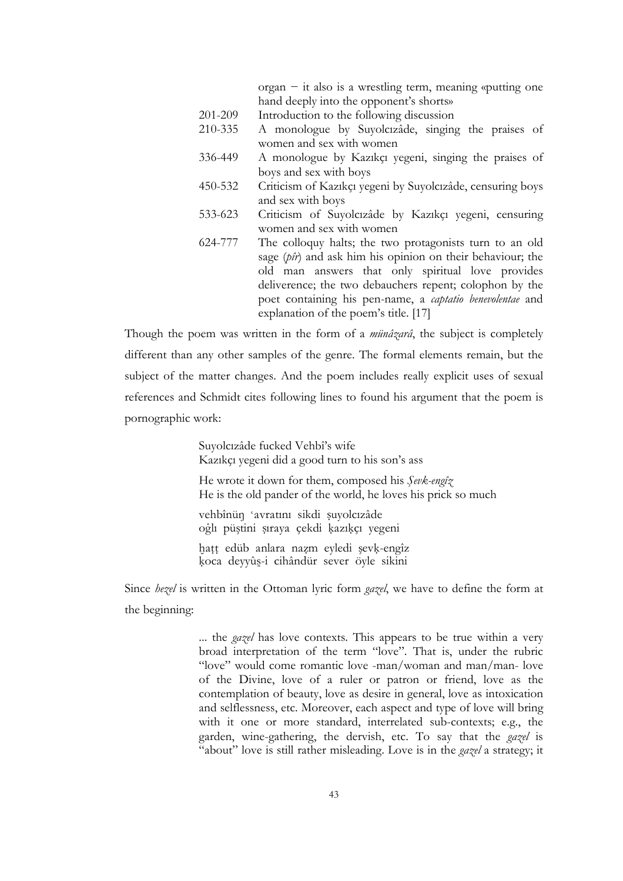organ − it also is a wrestling term, meaning «putting one hand deeply into the opponent's shorts»

- 201-209 Introduction to the following discussion
- 210-335 A monologue by Suyolcızâde, singing the praises of women and sex with women
- 336-449 A monologue by Kazıkçı yegeni, singing the praises of boys and sex with boys
- 450-532 Criticism of Kazıkçı yegeni by Suyolcızâde, censuring boys and sex with boys
- 533-623 Criticism of Suyolcızâde by Kazıkçı yegeni, censuring women and sex with women
- 624-777 The colloquy halts; the two protagonists turn to an old sage (pîr) and ask him his opinion on their behaviour; the old man answers that only spiritual love provides deliverence; the two debauchers repent; colophon by the poet containing his pen-name, a captatio benevolentae and explanation of the poem's title. [17]

Though the poem was written in the form of a *münâzarâ*, the subject is completely different than any other samples of the genre. The formal elements remain, but the subject of the matter changes. And the poem includes really explicit uses of sexual references and Schmidt cites following lines to found his argument that the poem is pornographic work:

> Suyolcızâde fucked Vehbî's wife Kazıkçı yegeni did a good turn to his son's ass

He wrote it down for them, composed his Sevk-engîz He is the old pander of the world, he loves his prick so much

vehbînün 'avratını sikdi suyolcızâde oğlı püştini sıraya çekdi kazıkçı yegeni

hatt edüb anlara nazm eyledi şevk-engîz koca deyyûş-i cihândür sever öyle sikini

Since *hezel* is written in the Ottoman lyric form *gazel*, we have to define the form at the beginning:

> ... the *gazel* has love contexts. This appears to be true within a very broad interpretation of the term "love". That is, under the rubric "love" would come romantic love -man/woman and man/man- love of the Divine, love of a ruler or patron or friend, love as the contemplation of beauty, love as desire in general, love as intoxication and selflessness, etc. Moreover, each aspect and type of love will bring with it one or more standard, interrelated sub-contexts; e.g., the garden, wine-gathering, the dervish, etc. To say that the gazel is "about" love is still rather misleading. Love is in the *gazel* a strategy; it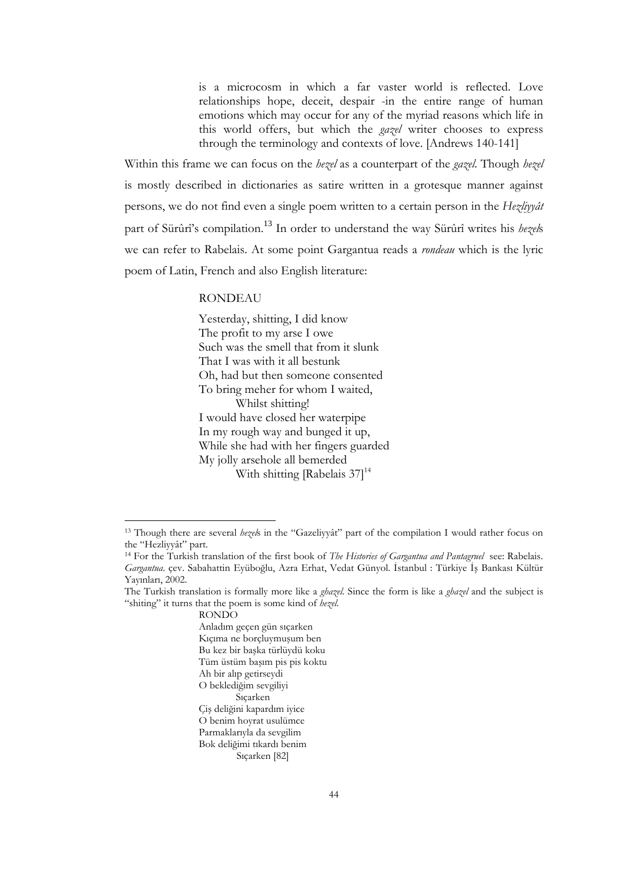is a microcosm in which a far vaster world is reflected. Love relationships hope, deceit, despair -in the entire range of human emotions which may occur for any of the myriad reasons which life in this world offers, but which the gazel writer chooses to express through the terminology and contexts of love. [Andrews 140-141]

Within this frame we can focus on the hezel as a counterpart of the *gazel*. Though hezel is mostly described in dictionaries as satire written in a grotesque manner against persons, we do not find even a single poem written to a certain person in the Hezliyyât part of Sürûrî's compilation.<sup>13</sup> In order to understand the way Sürûrî writes his hezels we can refer to Rabelais. At some point Gargantua reads a *rondeau* which is the lyric poem of Latin, French and also English literature:

### RONDEAU

Yesterday, shitting, I did know The profit to my arse I owe Such was the smell that from it slunk That I was with it all bestunk Oh, had but then someone consented To bring meher for whom I waited, Whilst shitting! I would have closed her waterpipe In my rough way and bunged it up, While she had with her fingers guarded My jolly arsehole all bemerded With shitting [Rabelais  $37$ ]<sup>14</sup>

RONDO

 $\overline{a}$ 

<sup>&</sup>lt;sup>13</sup> Though there are several hezels in the "Gazeliyyât" part of the compilation I would rather focus on the "Hezliyyât" part.

<sup>&</sup>lt;sup>14</sup> For the Turkish translation of the first book of *The Histories of Gargantua and Pantagruel* see: Rabelais. Gargantua. çev. Sabahattin Eyüboğlu, Azra Erhat, Vedat Günyol. İstanbul : Türkiye İş Bankası Kültür Yayınları, 2002.

The Turkish translation is formally more like a *ghazel*. Since the form is like a *ghazel* and the subject is "shiting" it turns that the poem is some kind of hezel.

Anladım geçen gün sıçarken Kıçıma ne borçluymuşum ben Bu kez bir başka türlüydü koku Tüm üstüm başım pis pis koktu Ah bir alıp getirseydi O beklediğim sevgiliyi Sıçarken Çiş deliğini kapardım iyice O benim hoyrat usulümce Parmaklarıyla da sevgilim Bok deliğimi tıkardı benim Sıçarken [82]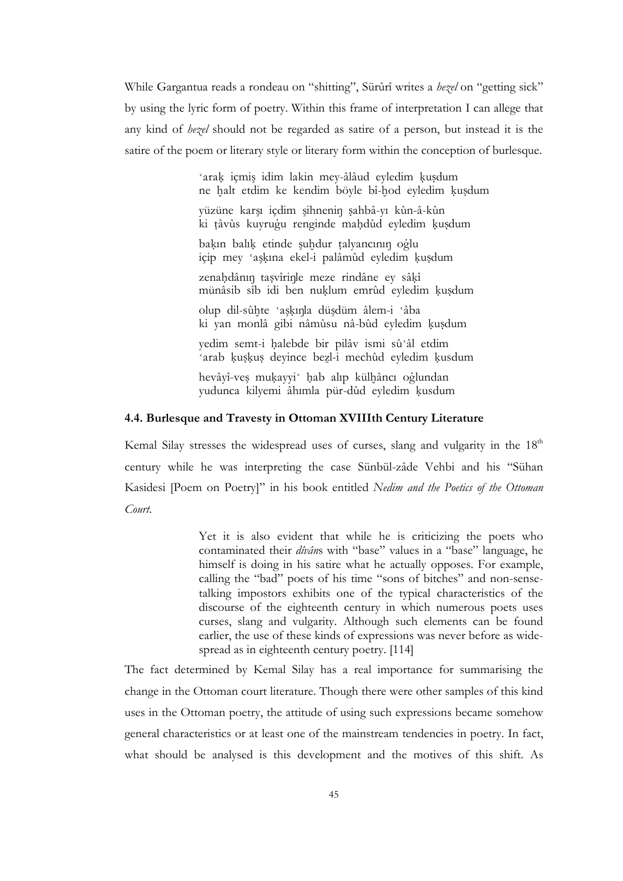While Gargantua reads a rondeau on "shitting", Sürûrî writes a *hezel* on "getting sick" by using the lyric form of poetry. Within this frame of interpretation I can allege that any kind of hezel should not be regarded as satire of a person, but instead it is the satire of the poem or literary style or literary form within the conception of burlesque.

> 'arak içmiş idim lakin mey-âlâud eyledim kusdum ne halt etdim ke kendim böyle bî-hod eyledim kusdum yüzüne karşı içdim şihnenin şahbâ-yı kûn-â-kûn ki tâvûs kuyrugu renginde mahdûd eyledim kuşdum bakın balık etinde şuhdur talyancının oğlu içip mey 'aşkına ekel-i palâmûd eyledim kuşdum zenahdânın taşvîrinle meze rindâne ey sâkî münâsib sîb idi ben nuklum emrûd eyledim kusdum

olup dil-sûhte 'aşkınla düşdüm âlem-i 'âba ki yan monlâ gibi nâmûsu nâ-bûd eyledim kuşdum

yedim semt-i halebde bir pilâv ismi sû'âl etdim 'arab kuşkuş deyince bezl-i mechûd eyledim kusdum

hevâyî-ves mukayyi' hab alıp külhâncı oglundan yudunca kilyemi âhımla pür-dûd eyledim kusdum

## 4.4. Burlesque and Travesty in Ottoman XVIIIth Century Literature

Kemal Silay stresses the widespread uses of curses, slang and vulgarity in the 18<sup>th</sup> century while he was interpreting the case Sünbül-zâde Vehbi and his "Sühan Kasidesi [Poem on Poetry]" in his book entitled Nedim and the Poetics of the Ottoman Court.

> Yet it is also evident that while he is criticizing the poets who contaminated their *divâns* with "base" values in a "base" language, he himself is doing in his satire what he actually opposes. For example, calling the "bad" poets of his time "sons of bitches" and non-sensetalking impostors exhibits one of the typical characteristics of the discourse of the eighteenth century in which numerous poets uses curses, slang and vulgarity. Although such elements can be found earlier, the use of these kinds of expressions was never before as widespread as in eighteenth century poetry. [114]

The fact determined by Kemal Silay has a real importance for summarising the change in the Ottoman court literature. Though there were other samples of this kind uses in the Ottoman poetry, the attitude of using such expressions became somehow general characteristics or at least one of the mainstream tendencies in poetry. In fact, what should be analysed is this development and the motives of this shift. As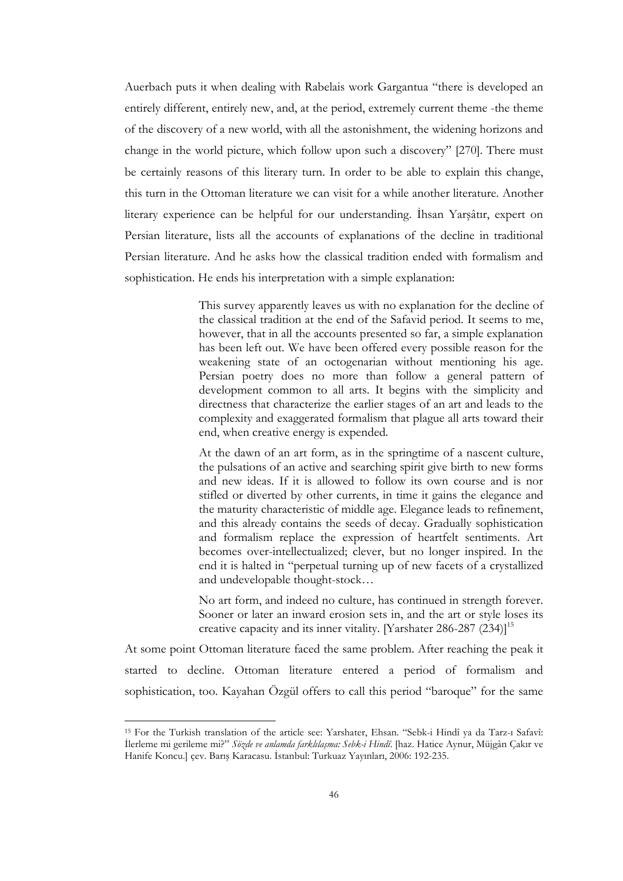Auerbach puts it when dealing with Rabelais work Gargantua "there is developed an entirely different, entirely new, and, at the period, extremely current theme -the theme of the discovery of a new world, with all the astonishment, the widening horizons and change in the world picture, which follow upon such a discovery" [270]. There must be certainly reasons of this literary turn. In order to be able to explain this change, this turn in the Ottoman literature we can visit for a while another literature. Another literary experience can be helpful for our understanding. İhsan Yarşâtır, expert on Persian literature, lists all the accounts of explanations of the decline in traditional Persian literature. And he asks how the classical tradition ended with formalism and sophistication. He ends his interpretation with a simple explanation:

> This survey apparently leaves us with no explanation for the decline of the classical tradition at the end of the Safavid period. It seems to me, however, that in all the accounts presented so far, a simple explanation has been left out. We have been offered every possible reason for the weakening state of an octogenarian without mentioning his age. Persian poetry does no more than follow a general pattern of development common to all arts. It begins with the simplicity and directness that characterize the earlier stages of an art and leads to the complexity and exaggerated formalism that plague all arts toward their end, when creative energy is expended.

> At the dawn of an art form, as in the springtime of a nascent culture, the pulsations of an active and searching spirit give birth to new forms and new ideas. If it is allowed to follow its own course and is nor stifled or diverted by other currents, in time it gains the elegance and the maturity characteristic of middle age. Elegance leads to refinement, and this already contains the seeds of decay. Gradually sophistication and formalism replace the expression of heartfelt sentiments. Art becomes over-intellectualized; clever, but no longer inspired. In the end it is halted in "perpetual turning up of new facets of a crystallized and undevelopable thought-stock…

> No art form, and indeed no culture, has continued in strength forever. Sooner or later an inward erosion sets in, and the art or style loses its creative capacity and its inner vitality. [Yarshater 286-287  $(234)$ ]<sup>15</sup>

At some point Ottoman literature faced the same problem. After reaching the peak it started to decline. Ottoman literature entered a period of formalism and sophistication, too. Kayahan Özgül offers to call this period "baroque" for the same

 $\overline{a}$ 

<sup>15</sup> For the Turkish translation of the article see: Yarshater, Ehsan. "Sebk-i Hindî ya da Tarz-ı Safavî: İlerleme mi gerileme mi?" Sözde ve anlamda farklılaşma: Sebk-i Hindî. [haz. Hatice Aynur, Müjgân Çakır ve Hanife Koncu.] çev. Barış Karacasu. İstanbul: Turkuaz Yayınları, 2006: 192-235.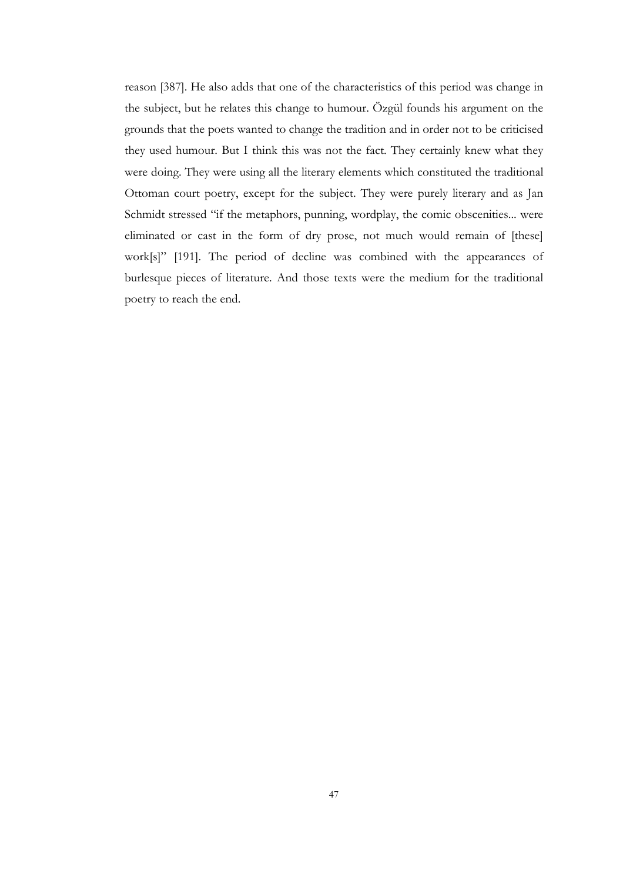reason [387]. He also adds that one of the characteristics of this period was change in the subject, but he relates this change to humour. Özgül founds his argument on the grounds that the poets wanted to change the tradition and in order not to be criticised they used humour. But I think this was not the fact. They certainly knew what they were doing. They were using all the literary elements which constituted the traditional Ottoman court poetry, except for the subject. They were purely literary and as Jan Schmidt stressed "if the metaphors, punning, wordplay, the comic obscenities... were eliminated or cast in the form of dry prose, not much would remain of [these] work[s]" [191]. The period of decline was combined with the appearances of burlesque pieces of literature. And those texts were the medium for the traditional poetry to reach the end.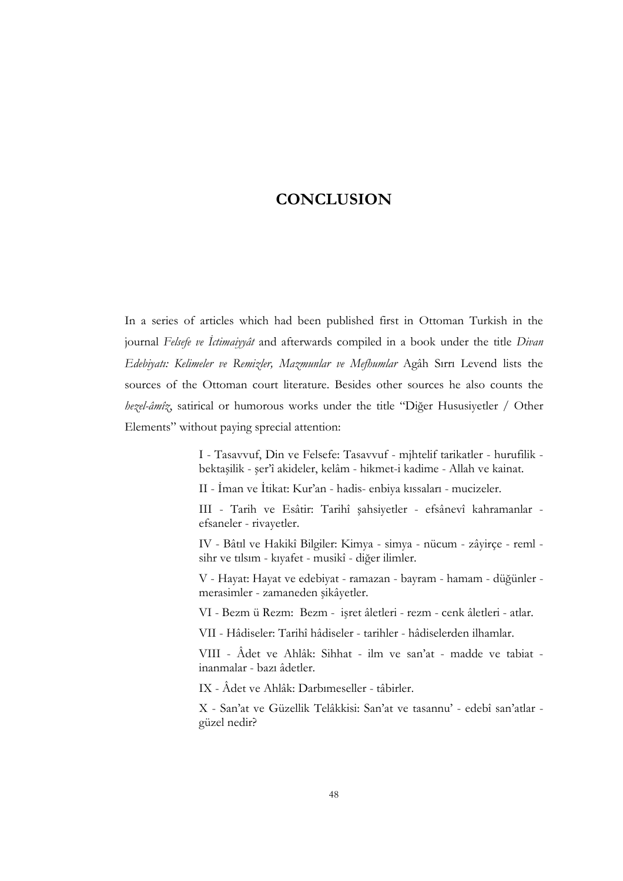# **CONCLUSION**

In a series of articles which had been published first in Ottoman Turkish in the journal Felsefe ve Ictimaiyyât and afterwards compiled in a book under the title Divan Edebiyatı: Kelimeler ve Remizler, Mazmunlar ve Mefhumlar Agâh Sırrı Levend lists the sources of the Ottoman court literature. Besides other sources he also counts the hezel-âmîz, satirical or humorous works under the title "Diğer Hususiyetler / Other Elements" without paying sprecial attention:

> I - Tasavvuf, Din ve Felsefe: Tasavvuf - mjhtelif tarikatler - hurufilik bektaşilik - şer'î akideler, kelâm - hikmet-i kadime - Allah ve kainat.

II - İman ve İtikat: Kur'an - hadis- enbiya kıssaları - mucizeler.

III - Tarih ve Esâtir: Tarihî şahsiyetler - efsânevî kahramanlar efsaneler - rivayetler.

IV - Bâtıl ve Hakikî Bilgiler: Kimya - simya - nücum - zâyirçe - reml sihr ve tılsım - kıyafet - musikî - diğer ilimler.

V - Hayat: Hayat ve edebiyat - ramazan - bayram - hamam - düğünler merasimler - zamaneden şikâyetler.

VI - Bezm ü Rezm: Bezm - işret âletleri - rezm - cenk âletleri - atlar.

VII - Hâdiseler: Tarihî hâdiseler - tarihler - hâdiselerden ilhamlar.

VIII - Âdet ve Ahlâk: Sihhat - ilm ve san'at - madde ve tabiat inanmalar - bazı âdetler.

IX - Âdet ve Ahlâk: Darbımeseller - tâbirler.

X - San'at ve Güzellik Telâkkisi: San'at ve tasannu' - edebî san'atlar güzel nedir?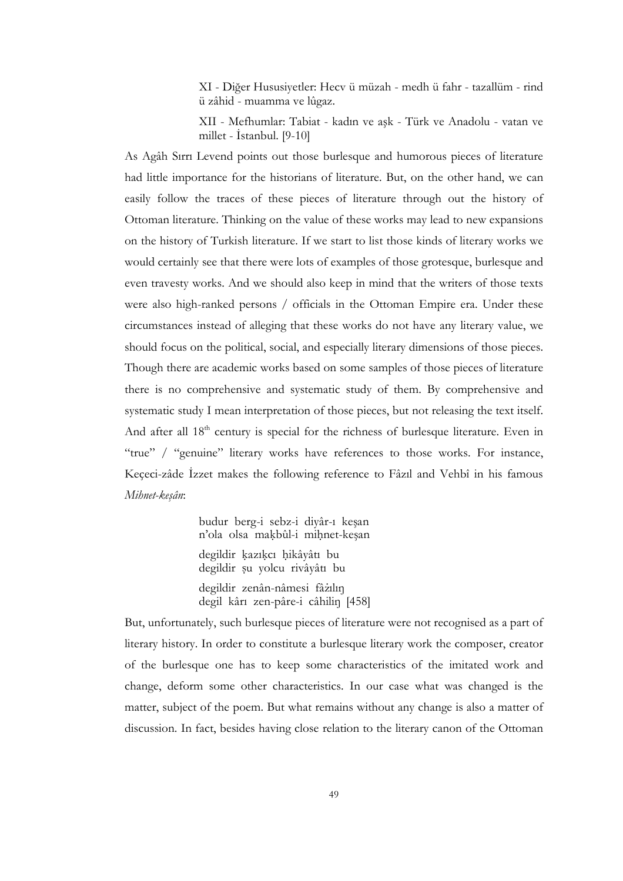XI - Diğer Hususiyetler: Hecv ü müzah - medh ü fahr - tazallüm - rind ü zâhid - muamma ve lûgaz.

XII - Mefhumlar: Tabiat - kadın ve aşk - Türk ve Anadolu - vatan ve millet - İstanbul.  $[9-10]$ 

As Agâh Sırrı Levend points out those burlesque and humorous pieces of literature had little importance for the historians of literature. But, on the other hand, we can easily follow the traces of these pieces of literature through out the history of Ottoman literature. Thinking on the value of these works may lead to new expansions on the history of Turkish literature. If we start to list those kinds of literary works we would certainly see that there were lots of examples of those grotesque, burlesque and even travesty works. And we should also keep in mind that the writers of those texts were also high-ranked persons / officials in the Ottoman Empire era. Under these circumstances instead of alleging that these works do not have any literary value, we should focus on the political, social, and especially literary dimensions of those pieces. Though there are academic works based on some samples of those pieces of literature there is no comprehensive and systematic study of them. By comprehensive and systematic study I mean interpretation of those pieces, but not releasing the text itself. And after all 18<sup>th</sup> century is special for the richness of burlesque literature. Even in "true" / "genuine" literary works have references to those works. For instance, Keçeci-zâde İzzet makes the following reference to Fâzıl and Vehbî in his famous Mihnet-keşân:

> budur berg-i sebz-i diyâr-ı kesan n'ola olsa makbûl-i mihnet-kesan degildir kazıkcı hikâyâtı bu degildir su yolcu rivâyâtı bu degildir zenân-nâmesi fâzılın degil kârı zen-pâre-i câhilin [458]

But, unfortunately, such burlesque pieces of literature were not recognised as a part of literary history. In order to constitute a burlesque literary work the composer, creator of the burlesque one has to keep some characteristics of the imitated work and change, deform some other characteristics. In our case what was changed is the matter, subject of the poem. But what remains without any change is also a matter of discussion. In fact, besides having close relation to the literary canon of the Ottoman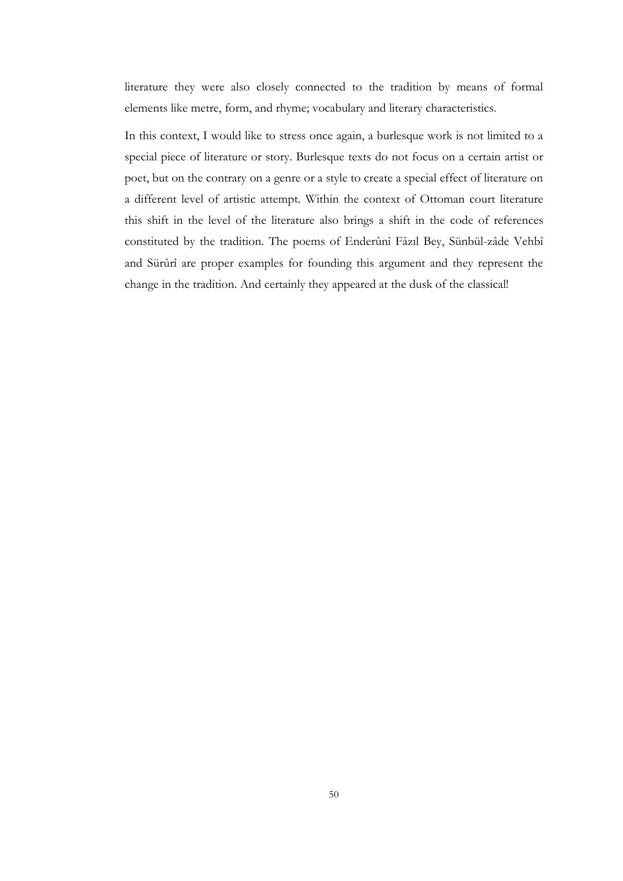literature they were also closely connected to the tradition by means of formal elements like metre, form, and rhyme; vocabulary and literary characteristics.

In this context, I would like to stress once again, a burlesque work is not limited to a special piece of literature or story. Burlesque texts do not focus on a certain artist or poet, but on the contrary on a genre or a style to create a special effect of literature on a different level of artistic attempt. Within the context of Ottoman court literature this shift in the level of the literature also brings a shift in the code of references constituted by the tradition. The poems of Enderûnî Fâzıl Bey, Sünbül-zâde Vehbî and Sürûrî are proper examples for founding this argument and they represent the change in the tradition. And certainly they appeared at the dusk of the classical!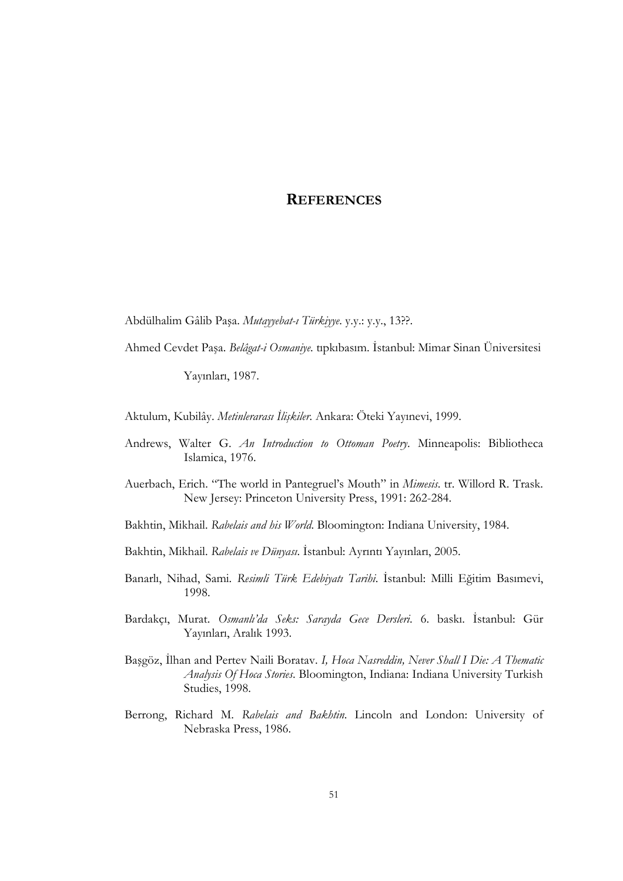# **REFERENCES**

Abdülhalim Gâlib Paşa. Mutayyebat-ı Türkiyye. y.y.: y.y., 13??.

Ahmed Cevdet Paşa. Belâgat-i Osmaniye. tıpkıbasım. İstanbul: Mimar Sinan Üniversitesi

Yayınları, 1987.

Aktulum, Kubilây. *Metinlerarası İlişkiler*. Ankara: Öteki Yayınevi, 1999.

- Andrews, Walter G. An Introduction to Ottoman Poetry. Minneapolis: Bibliotheca Islamica, 1976.
- Auerbach, Erich. "The world in Pantegruel's Mouth" in Mimesis. tr. Willord R. Trask. New Jersey: Princeton University Press, 1991: 262-284.
- Bakhtin, Mikhail. Rabelais and his World. Bloomington: Indiana University, 1984.
- Bakhtin, Mikhail. Rabelais ve Dünyası. İstanbul: Ayrıntı Yayınları, 2005.
- Banarlı, Nihad, Sami. Resimli Türk Edebiyatı Tarihi. İstanbul: Milli Eğitim Basımevi, 1998.
- Bardakçı, Murat. Osmanlı'da Seks: Sarayda Gece Dersleri. 6. baskı. İstanbul: Gür Yayınları, Aralık 1993.
- Başgöz, İlhan and Pertev Naili Boratav. I, Hoca Nasreddin, Never Shall I Die: A Thematic Analysis Of Hoca Stories. Bloomington, Indiana: Indiana University Turkish Studies, 1998.
- Berrong, Richard M. Rabelais and Bakhtin. Lincoln and London: University of Nebraska Press, 1986.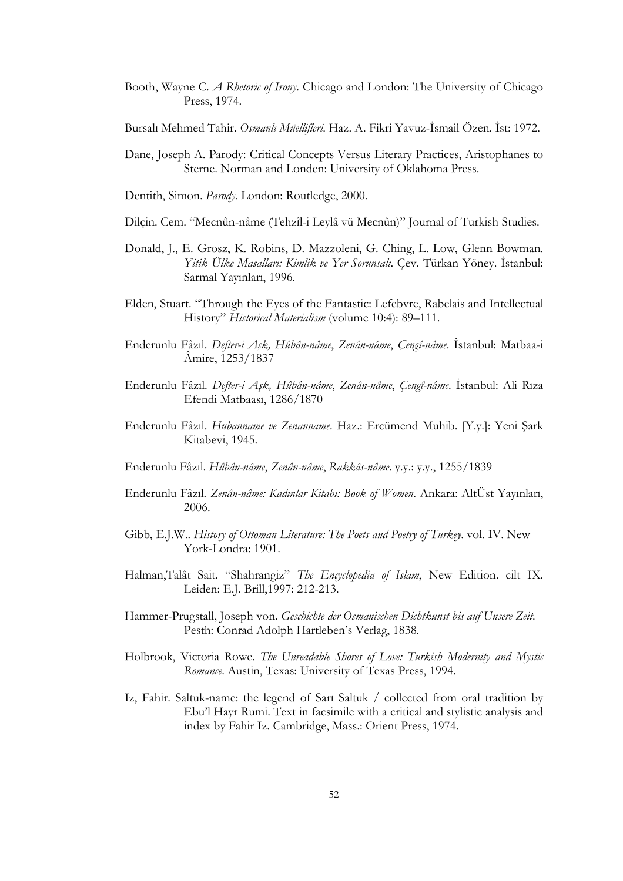- Booth, Wayne C. A Rhetoric of Irony. Chicago and London: The University of Chicago Press, 1974.
- Bursalı Mehmed Tahir. Osmanlı Müellifleri. Haz. A. Fikri Yavuz-İsmail Özen. İst: 1972.
- Dane, Joseph A. Parody: Critical Concepts Versus Literary Practices, Aristophanes to Sterne. Norman and Londen: University of Oklahoma Press.
- Dentith, Simon. Parody. London: Routledge, 2000.
- Dilçin. Cem. "Mecnûn-nâme (Tehzîl-i Leylâ vü Mecnûn)" Journal of Turkish Studies.
- Donald, J., E. Grosz, K. Robins, D. Mazzoleni, G. Ching, L. Low, Glenn Bowman. Yitik Ülke Masalları: Kimlik ve Yer Sorunsalı. Çev. Türkan Yöney. İstanbul: Sarmal Yayınları, 1996.
- Elden, Stuart. "Through the Eyes of the Fantastic: Lefebvre, Rabelais and Intellectual History" Historical Materialism (volume 10:4): 89-111.
- Enderunlu Fâzıl. Defter-i Aşk, Hûbân-nâme, Zenân-nâme, Çengî-nâme. İstanbul: Matbaa-i Âmire, 1253/1837
- Enderunlu Fâzıl. Defter-i Aşk, Hûbân-nâme, Zenân-nâme, Çengî-nâme. İstanbul: Ali Rıza Efendi Matbaası, 1286/1870
- Enderunlu Fâzıl. Hubanname ve Zenanname. Haz.: Ercümend Muhib. [Y.y.]: Yeni Şark Kitabevi, 1945.
- Enderunlu Fâzıl. Hûbân-nâme, Zenân-nâme, Rakkâs-nâme. y.y.: y.y., 1255/1839
- Enderunlu Fâzıl. Zenân-nâme: Kadınlar Kitabı: Book of Women. Ankara: AltÜst Yayınları, 2006.
- Gibb, E.J.W.. History of Ottoman Literature: The Poets and Poetry of Turkey. vol. IV. New York-Londra: 1901.
- Halman,Talât Sait. "Shahrangiz" The Encyclopedia of Islam, New Edition. cilt IX. Leiden: E.J. Brill,1997: 212-213.
- Hammer-Prugstall, Joseph von. Geschichte der Osmanischen Dichtkunst bis auf Unsere Zeit. Pesth: Conrad Adolph Hartleben's Verlag, 1838.
- Holbrook, Victoria Rowe. The Unreadable Shores of Love: Turkish Modernity and Mystic Romance. Austin, Texas: University of Texas Press, 1994.
- Iz, Fahir. Saltuk-name: the legend of Sarı Saltuk / collected from oral tradition by Ebu'l Hayr Rumi. Text in facsimile with a critical and stylistic analysis and index by Fahir Iz. Cambridge, Mass.: Orient Press, 1974.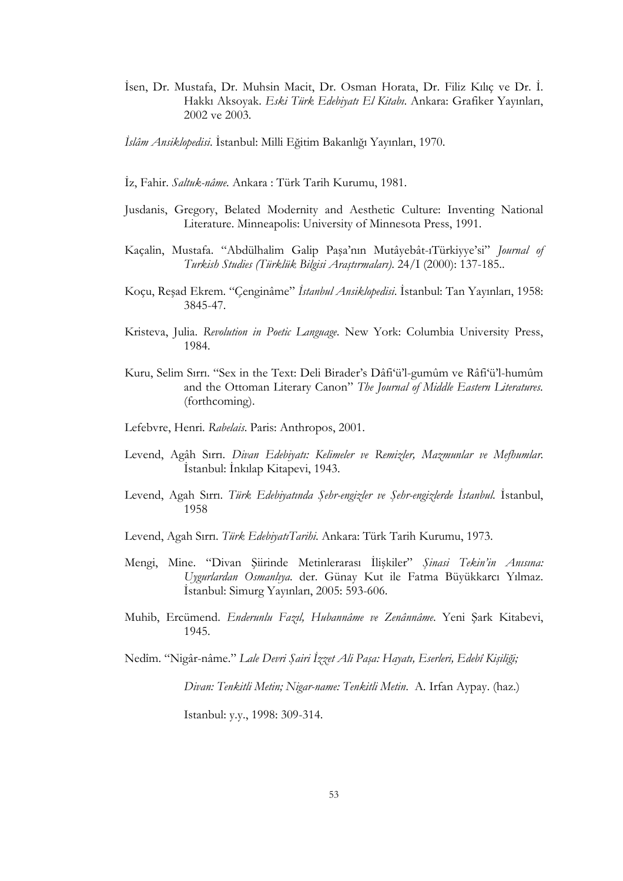İsen, Dr. Mustafa, Dr. Muhsin Macit, Dr. Osman Horata, Dr. Filiz Kılıç ve Dr. İ. Hakkı Aksoyak. Eski Türk Edebiyatı El Kitabı. Ankara: Grafiker Yayınları, 2002 ve 2003.

İslâm Ansiklopedisi. İstanbul: Milli Eğitim Bakanlığı Yayınları, 1970.

- İz, Fahir. Saltuk-nâme. Ankara : Türk Tarih Kurumu, 1981.
- Jusdanis, Gregory, Belated Modernity and Aesthetic Culture: Inventing National Literature. Minneapolis: University of Minnesota Press, 1991.
- Kaçalin, Mustafa. "Abdülhalim Galip Paşa'nın Mutâyebât-ıTürkiyye'si" Journal of Turkish Studies (Türklük Bilgisi Araştırmaları). 24/I (2000): 137-185..
- Koçu, Reşad Ekrem. "Çenginâme" İstanbul Ansiklopedisi. İstanbul: Tan Yayınları, 1958: 3845-47.
- Kristeva, Julia. Revolution in Poetic Language. New York: Columbia University Press, 1984.
- Kuru, Selim Sırrı. "Sex in the Text: Deli Birader's Dâfi'ü'l-gumûm ve Râfi'ü'l-humûm and the Ottoman Literary Canon" The Journal of Middle Eastern Literatures. (forthcoming).
- Lefebvre, Henri. Rabelais. Paris: Anthropos, 2001.
- Levend, Agâh Sırrı. Divan Edebiyatı: Kelimeler ve Remizler, Mazmunlar ve Mefhumlar. İstanbul: İnkılap Kitapevi, 1943.
- Levend, Agah Sırrı. Türk Edebiyatında Şehr-engizler ve Şehr-engizlerde İstanbul. İstanbul, 1958
- Levend, Agah Sırrı. Türk EdebiyatıTarihi. Ankara: Türk Tarih Kurumu, 1973.
- Mengi, Mine. "Divan Şiirinde Metinlerarası İlişkiler" Şinasi Tekin'in Anısına: Uygurlardan Osmanlıya. der. Günay Kut ile Fatma Büyükkarcı Yılmaz. İstanbul: Simurg Yayınları, 2005: 593-606.
- Muhib, Ercümend. Enderunlu Fazıl, Hubannâme ve Zenânnâme. Yeni Şark Kitabevi, 1945.

Nedîm. "Nigâr-nâme." Lale Devri Şairi İzzet Ali Paşa: Hayatı, Eserleri, Edebî Kişiliği;

Divan: Tenkitli Metin; Nigar-name: Tenkitli Metin. A. Irfan Aypay. (haz.)

Istanbul: y.y., 1998: 309-314.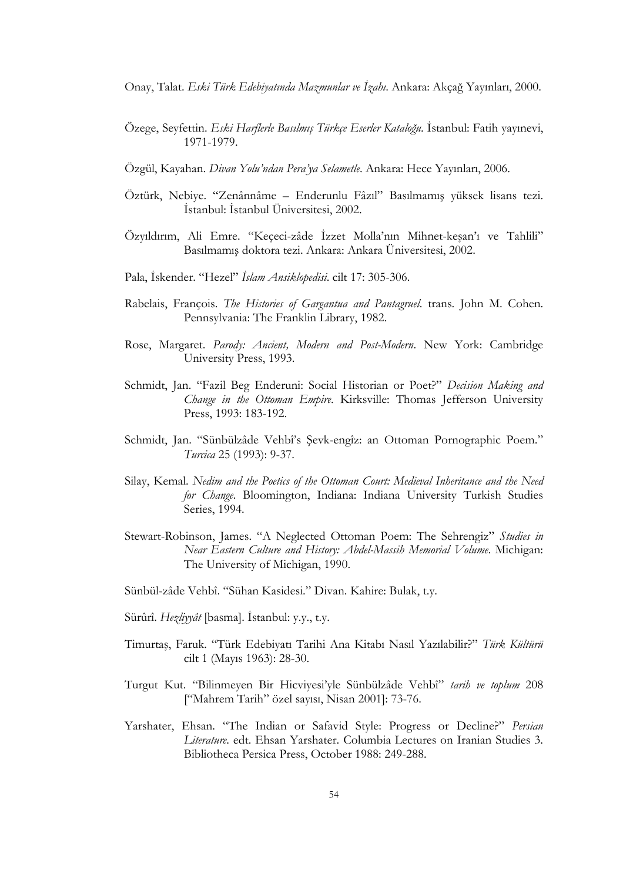Onay, Talat. Eski Türk Edebiyatında Mazmunlar ve İzahı. Ankara: Akçağ Yayınları, 2000.

- Özege, Seyfettin. Eski Harflerle Basılmış Türkçe Eserler Kataloğu. İstanbul: Fatih yayınevi, 1971-1979.
- Özgül, Kayahan. Divan Yolu'ndan Pera'ya Selametle. Ankara: Hece Yayınları, 2006.
- Öztürk, Nebiye. "Zenânnâme Enderunlu Fâzıl" Basılmamış yüksek lisans tezi. İstanbul: İstanbul Üniversitesi, 2002.
- Özyıldırım, Ali Emre. "Keçeci-zâde İzzet Molla'nın Mihnet-keşan'ı ve Tahlili" Basılmamış doktora tezi. Ankara: Ankara Üniversitesi, 2002.
- Pala, İskender. "Hezel" İslam Ansiklopedisi. cilt 17: 305-306.
- Rabelais, François. The Histories of Gargantua and Pantagruel. trans. John M. Cohen. Pennsylvania: The Franklin Library, 1982.
- Rose, Margaret. Parody: Ancient, Modern and Post-Modern. New York: Cambridge University Press, 1993.
- Schmidt, Jan. "Fazil Beg Enderuni: Social Historian or Poet?" Decision Making and Change in the Ottoman Empire. Kirksville: Thomas Jefferson University Press, 1993: 183-192.
- Schmidt, Jan. "Sünbülzâde Vehbî's Şevk-engîz: an Ottoman Pornographic Poem." Turcica 25 (1993): 9-37.
- Silay, Kemal. Nedim and the Poetics of the Ottoman Court: Medieval Inheritance and the Need for Change. Bloomington, Indiana: Indiana University Turkish Studies Series, 1994.
- Stewart-Robinson, James. "A Neglected Ottoman Poem: The Sehrengiz" Studies in Near Eastern Culture and History: Abdel-Massih Memorial Volume. Michigan: The University of Michigan, 1990.
- Sünbül-zâde Vehbî. "Sühan Kasidesi." Divan. Kahire: Bulak, t.y.
- Sürûrî. Hezliyyât [basma]. İstanbul: y.y., t.y.
- Timurtaş, Faruk. "Türk Edebiyatı Tarihi Ana Kitabı Nasıl Yazılabilir?" Türk Kültürü cilt 1 (Mayıs 1963): 28-30.
- Turgut Kut. "Bilinmeyen Bir Hicviyesi'yle Sünbülzâde Vehbî" tarih ve toplum 208 ["Mahrem Tarih" özel sayısı, Nisan 2001]: 73-76.
- Yarshater, Ehsan. "The Indian or Safavid Style: Progress or Decline?" Persian Literature. edt. Ehsan Yarshater. Columbia Lectures on Iranian Studies 3. Bibliotheca Persica Press, October 1988: 249-288.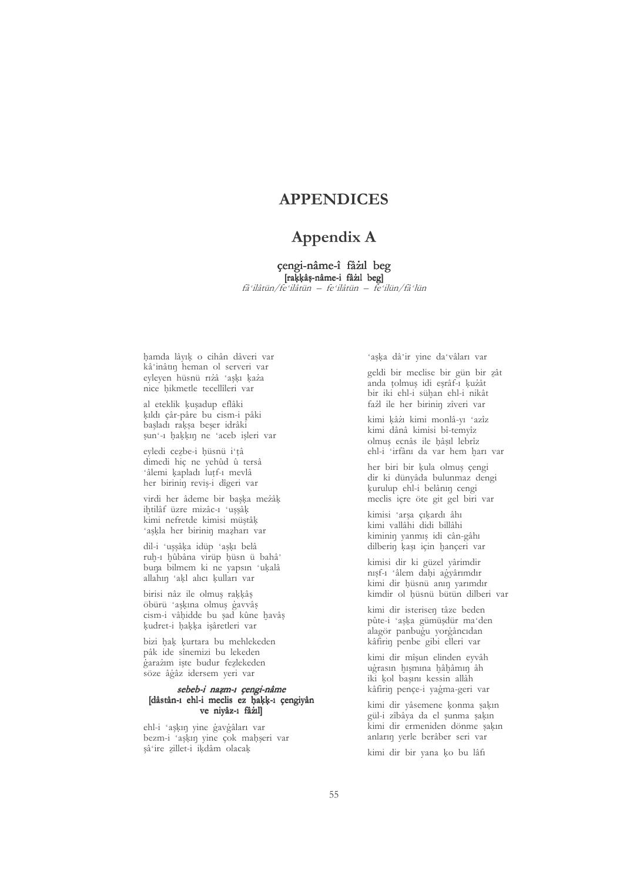# **APPENDICES**

# Appendix A

#### çengi-nâme-î fâzil beg [raķķâș-nâme-i fâzil beg]

fâ ilâtün/fe ilâtün – fe ilâtün – fe ilün/fâ lün

hamda lâyık o cihân dâveri var kâ'inâtin heman ol serveri var eyleyen hüsnü rızâ 'aşkı kaza nice hikmetle tecellîleri var

al eteklik kuşadup eflâki kıldı çâr-pâre bu cism-i pâki başladı rakşa beşer idrâki sun'-1 hakkın ne 'aceb işleri var

eyledi cezbe-i hüsnü i'tâ dimedi hiç ne yehûd û tersâ 'âlemi kapladı lutf-ı mevlâ her birinin reviş-i dîgeri var

virdi her âdeme bir baska meżâk ihtilâf üzre mizâc-1 'uşşâk kimi nefretde kimisi müstâk 'aşkla her birinin mazharı var

dil-i 'uşşâka idüp 'aşkı belâ ruh-1 hûbâna virüp hüsn ü bahâ' buna bilmem ki ne yapsın 'ukalâ allahın 'akl alıcı kulları var

birisi nâz ile olmuş rakkâş öbürü 'aşkına olmuş gavvâş cism-i vâhidde bu șad kûne havâș kudret-i hakka isâretleri var

bizi hak kurtara bu mehlekeden pâk ide sînemizi bu lekeden garażim iste budur fezlekeden söze âgâz idersem veri var

#### sebeb-i nazm-ı çengi-nâme [dâstân-1 ehl-i meclis ez hakk-1 çengiyân ve nivâz-1 fâzil

ehl-i 'aşkın yine gavgâları var bezm-i 'askin vine çok mahseri var şâ ire zillet-i ikdâm olacak

'aşka dâ'ir yine da'vâları var

geldi bir meclise bir gün bir zât anda tolmuş idi eşrâf-ı kuzât bir iki ehl-i sühan ehl-i nikât fażl ile her birinin zîveri var

kimi kâżı kimi monlâ-vı 'azîz kimi dânâ kimisi bî-temyîz olmuș ecnâs ile hâșil lebrîz ehl-i 'irfânı da var hem harı var

her biri bir kula olmuş çengi dir ki dünyâda bulunmaz dengi kurulup ehl-i belânın cengi meclis içre öte git gel biri var

kimisi 'arsa çıkardı âhı kimi vallâhi didi billâhi kiminin yanmış idi cân-gâhı dilberin kaşı için hançeri var

kimisi dir ki güzel yârimdir nısf-1 'âlem dahi agyârımdır kimi dir hüsnü anın yarımdır kimdir ol hüsnü bütün dilberi var

kimi dir isterisen tâze beden pûte-i 'aşka gümüşdür ma'den alagör panbugu vorgâncıdan kâfirin penbe gibi elleri var

kimi dir mîşun elinden eyvâh ugrasın hışmına hâhâmın âh iki kol basını kessin allâh kâfirin pençe-i yagma-geri var

kimi dir yâsemene konma şakın gül-i zîbâya da el şunma şakın kimi dir ermeniden dönme sakın anların yerle berâber seri var

kimi dir bir yana ko bu lâfı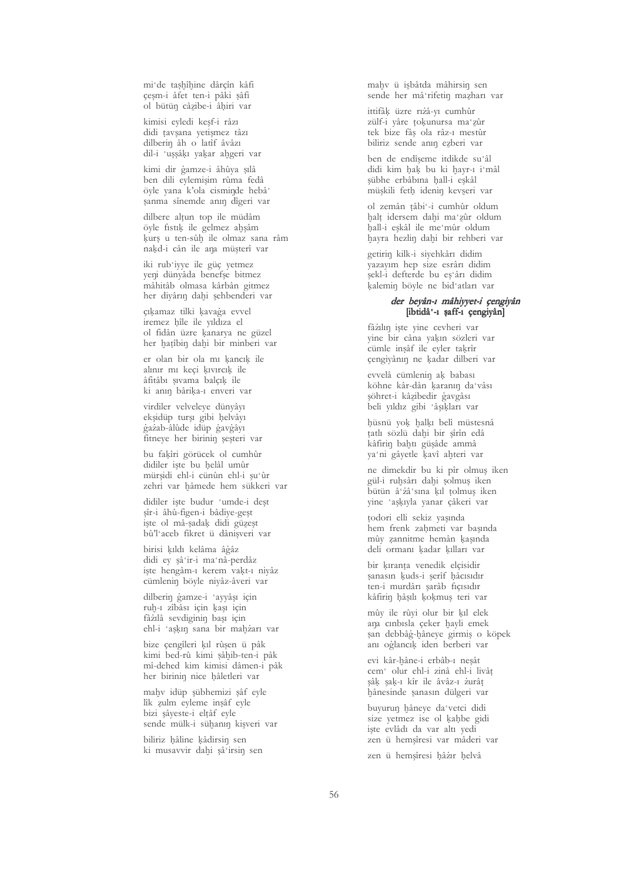mi'de taşhîhine dârçîn kâfi çeşm-i âfet ten-i pâki şâfi ol bütün câzibe-i âhiri var

kimisi evledi kesf-i râzı didi tavșana yetişmez tâzı dilberin âh o latîf âvâzı dil-i 'uşşâkı yakar algeri var

kimi dir gamze-i âhûya şılâ ben dili eylemisim rûma fedâ öyle yana k'ola cisminde hebâ' sanma sînemde anın dîgeri var

dilbere alțun top ile müdâm öyle fistik ile gelmez alışâm kurs u ten-sûh ile olmaz sana râm nakd-i cân ile ana müsterî var

iki rub'iyye ile güç yetmez yeni dünyâda benefşe bitmez mâhitâb olmasa kârbân gitmez her diyârın dahi şehbenderi var

çıkamaz tilki kavağa evvel iremez bîle ile yıldıza el ol fidân üzre kanarya ne güzel her hatîbin dahi bir minberi var

er olan bir ola mı kancık ile alınır mı keçi kıvırcık ile âfitâbi sivama balçık ile ki anın bârika-ı enveri var

virdiler velveleye dünyâyı ekşidüp turşı gibi helvâyı gażab-âlûde idüp gavgâyı fitneye her birinin şeşteri var

bu fakîri görücek ol cumhûr didiler işte bu helâl umûr mürşidi ehl-i cünûn ehl-i şu'ûr zehri var hâmede hem sükkeri var

didiler iste budur 'umde-i dest şîr-i âhû-figen-i bâdiye-geşt iște ol mâ-șadak didi güzeșt bû'l'aceb fikret ü dânişveri var

birisi kıldı kelâma âgâz didi ey şâ'ir-i ma'nâ-perdâz işte hengâm-ı kerem vakt-ı niyâz cümlenin böyle niyâz-âveri var

dilberin gamze-i 'ayyâşı için ruh-1 zîbâsı için kaşı için fâzılâ sevdiginin başı için ehl-i 'askın sana bir mahżarı var

bize çengîleri kıl rûşen ü pâk kimi bed-rû kimi şâhib-ten-i pâk mî-dehed kim kimisi dâmen-i pâk her birinin nice hâletleri var

mahv idüp şübhemizi şâf eyle lîk zulm eyleme inşâf eyle bizi sâyeste-i elțâf eyle sende mülk-i sühanın kişveri var

biliriz hâline kâdirsin sen ki musavvir dahi şâ'irsin sen mahv ü isbâtda mâhirsin sen sende her mâ'rifetin mazharı var

ittifâk üzre rizâ-vi cumhûr zülf-i yâre tokunursa ma'zûr tek bize fâș ola râz-1 mestûr biliriz sende anın ezberi var

ben de endîseme itdikde su'âl didi kim hak bu ki hayr-1 i'mâl sübhe erbâbına hall-i eskâl müşkili feth idenin kevseri var

ol zemân țâbi'-i cumhûr oldum halt idersem dahi ma'zûr oldum hall-i eşkâl ile me'mûr oldum havra hezlin dahi bir rehberi var

getirin kilk-i siyehkârı didim yazayım hep size esrârı didim şekl-i defterde bu eş'ârı didim kalemin böyle ne bid'atları var

#### der beyân-ı mâhiyyet-i çengiyân [ibtidâ'-1 șaff-1 çengiyân]

fâzılın iste vine cevheri var vine bir câna yakın sözleri var cümle insâf ile eyler takrîr çengiyânın ne kadar dilberi var

evvelâ cümlenin ak babası köhne kâr-dân karanın da'vâsı söhret-i kâzibedir gavgâsı beli yıldız gibi 'âşıkları var

hüsnü yok halkı belî müstesnâ țatlı sözlü dahi bir şîrîn edâ kâfirin bahtı güsâde ammâ ya'ni gâyetle kavî ahteri var

ne dimekdir bu ki pîr olmuş iken gül-i ruhsârı dahi solmuş iken bütün â'zâ'sına kıl tolmuş iken yine 'aşkıyla yanar çâkeri var

țodori elli sekiz yaşında hem frenk zahmeti var basında mûy zannitme hemân kaşında deli ormanı kadar kılları var

bir kıranta venedik elçisidir şanasın kuds-i şerîf hâcısıdır ten-i murdârı şarâb fiçisidir kâfirin hâsılı kokmuş teri var

mûy ile rûyi olur bir kıl elek ana cinbisla çeker hayli emek san debbâg-hâneye girmiş o köpek anı oğlancık iden berberi var

evi kâr-hâne-i erbâb-ı nesât cem<sup>·</sup> olur ehl-i zinâ ehl-i livâț sâk sak-1 kîr ile âvâz-1 zurât hânesinde sanasın dülgeri var

buvurun hâneve da vetci didi size yetmez ise ol kahbe gidi iste evlâdı da var altı yedi zen ü hemsîresi var mâderi var

zen ü hemşîresi hâzır helvâ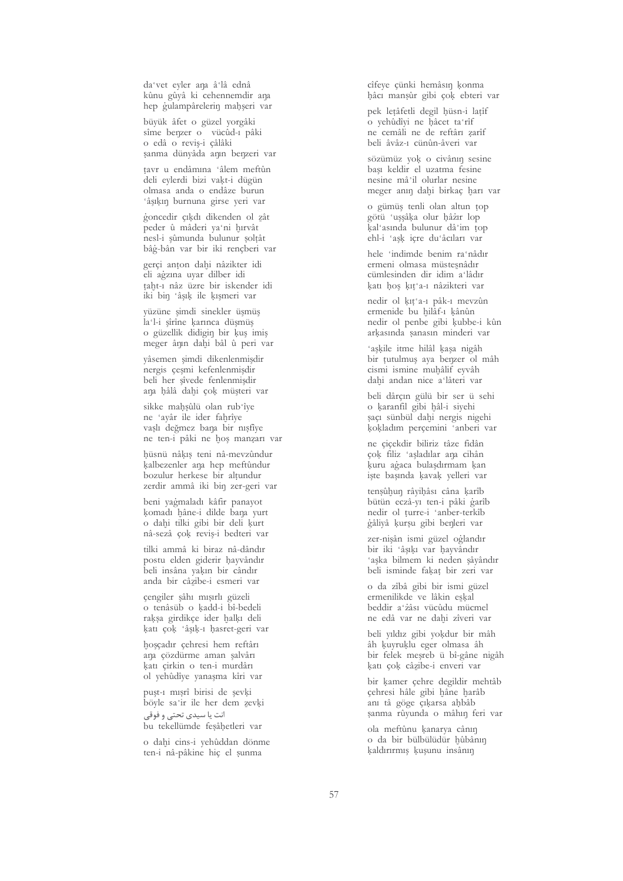da'vet eyler ana â'lâ ednâ kûnu gûyâ ki cehennemdir ana hep gulampârelerin mahşeri var

büyük âfet o güzel yorgâki sîme benzer o vücûd-1 pâki o edâ o reviș-i çâlâki sanma dünyâda anın benzeri var

tavr u endâmına 'âlem meftûn deli evlerdi bizi vakt-i dügün olmasa anda o endâze burun 'âșikin burnuna girse yeri var

goncedir çıkdı dikenden ol zât peder û mâderi ya'ni hırvât nesl-i sûmunda bulunur soltât bâg-bân var bir iki rencberi var

gerçi anton dahi nâzikter idi eli agzına uyar dilber idi taht-1 nåz üzre bir iskender idi iki bin 'âşık ile kışmeri var

yüzüne şimdi sinekler üşmüş la'l-i şîrîne karınca düşmüş o güzellik didigin bir kuş imiş meger ânın dahi bâl û peri var

vâsemen simdi dikenlenmişdir nergis çesmi kefenlenmişdir beli her sîvede fenlenmişdir ana hâlâ dahi çok müşteri var

sikke maḥṣûlü olan rub'îye ne 'ayâr ile ider fahrîye vaslı değmez bana bir nışfiye ne ten-i pâki ne hoș manzarı var

hüsnü nâkış teni nâ-mevzûndur kalbezenler ana hep meftûndur bozulur herkese bir altundur zerdir ammâ iki bin zer-geri var

beni yagmaladı kâfir panayot komadı hâne-i dilde bana yurt o dahi tilki gibi bir deli kurt nâ-sezâ çok reviș-i bedteri var

tilki ammâ ki biraz nâ-dândır postu elden giderir hayvândır beli insâna yakın bir cândır anda bir câzibe-i esmeri var

çengiler şâhı mışırlı güzeli o tenâsüb o kadd-i bî-bedeli raksa girdikçe ider halkı deli katı çok 'âşık-ı hasret-geri var

hoșçadır çehresi hem reftârı ana cözdürme aman salvârı katı çirkin o ten-i murdârı ol yehûdîye yanaşma kîri var

puşt-1 mışrî birisi de şevki böyle sa'ir ile her dem zevki

انت یا سیدی تحتی و فوقی bu tekellümde fesâhetleri var

o dahi cins-i yehûddan dönme ten-i nâ-pâkine hiç el sunma

cîfeye çünki hemâsın konma hâcı manşûr gibi çok ebteri var

pek letâfetli degil hüsn-i latîf o vehûdîvi ne hâcet ta rîf ne cemâli ne de reftâri zarîf beli âvâz-1 cünûn-âveri var

sözümüz vok o civânın sesine bași keldir el uzatma fesine nesine mâ'il olurlar nesine meger anın dahi birkac harı yar

o gümüş tenli olan altun top götü 'uşşâka olur hâzır lop kal asında bulunur dâ'im top ehl-i 'ask icre du'âcıları var

hele 'indimde benim ra'nâdır ermeni olmasa müstesnâdır cümlesinden dir idim a'lâdır katı hoş kıt'a-ı nâzikteri var

nedir ol kıt'a-ı pâk-ı mevzûn ermenide bu hilâf-1 kânûn nedir ol penbe gibi kubbe-i kûn arkasında şanasın minderi var

'askile itme hilâl kasa nigâh bir tutulmuş aya berger ol mâh cismi ismine muhâlif eyvâh dahi andan nice a'lâteri var

beli dârcın gülü bir ser ü sehi o karanfil gibi hâl-i siyehi saçı sünbül dahi nergis nigehi kokladım perçemini 'anberi var

ne cicekdir biliriz tâze fidân çok filiz 'aşladılar ana cihân kuru agaca bulaşdırmam kan iste başında kavak yelleri var

tensûhun râyihâsı câna karîb bütün eczâ-yı ten-i pâki garîb nedir ol turre-i 'anber-terkîb gâliyâ kurșu gibi benleri var

zer-nişân ismi güzel oğlandır bir iki 'âsıkı var havvândır 'aşka bilmem ki neden şâyândır beli isminde fakat bir zeri var

o da zîbâ gibi bir ismi güzel ermenilikde ve lâkin eskal beddir a'żâsı vücûdu mücmel ne edâ var ne dahi zîveri var

beli yıldız gibi yokdur bir mâh âh kuyruklu eger olmasa âh bir felek meşreb ü bî-gâne nigâh katı çok câzibe-i enveri var

bir kamer çehre degildir mehtâb çehresi hâle gibi hâne harâb anı tâ göge çıkarsa ahbâb sanma rûyunda o mâhın feri var

ola meftûnu kanarya cânin o da bir bülbülüdür hûbânın kaldırırmış kuşunu insânın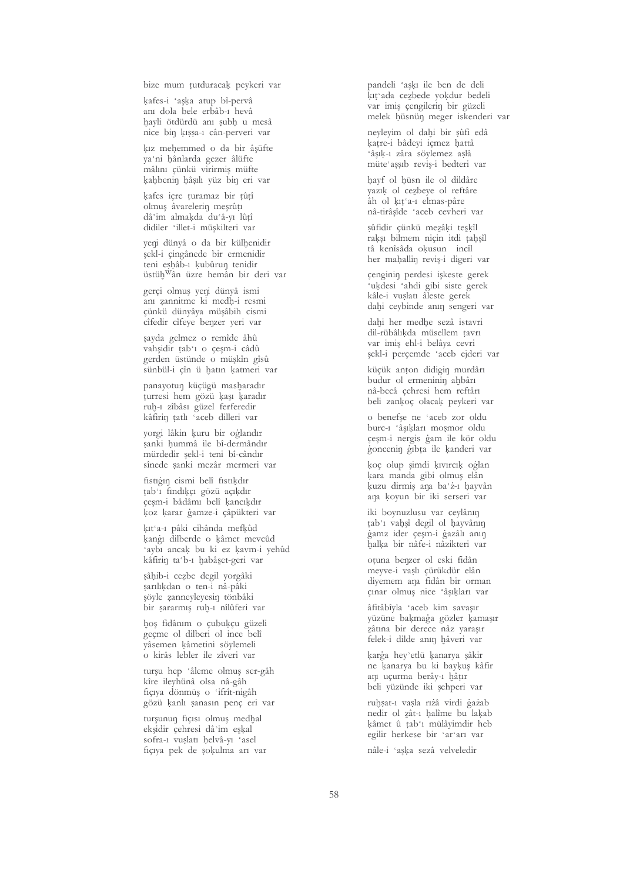bize mum tutduracak peykeri var

kafes-i 'aska atup bî-pervâ anı dola bele erbâb-ı hevâ hayli ötdürdü anı şubh u mesâ nice bin kıssa-ı cân-perveri var

kız mehemmed o da bir âşüfte va'ni hânlarda gezer âlüfte mâlını çünkü virirmiş müfte kahbenin hâsılı yüz bin eri var

kafes içre turamaz bir tûtî olmus âvarelerin meşrûtı dâ'im almaķda du'â-yı lûțî didiler 'illet-i müşkilteri var

yeni dünyâ o da bir külhenidir şekl-i çingânede bir ermenidir teni eshâb-1 kubûrun tenidir üstüh<sup>w</sup>ân üzre hemân bir deri var

gerçi olmuş yeni dünyâ ismi anı zannitme ki medh-i resmi çünkü dünyâya müşâbih cismi cîfedir cîfeye benzer yeri var

șayda gelmez o remîde âhû vahsidir tab'ı o çeşm-i câdû gerden üstünde o müşkîn gîsû sünbül-i çîn ü hatın katmeri var

panayotun küçügü masharadır turresi hem gözü kası karadır ruh-1 zîbâsı güzel ferferedir kâfirin țatlı 'aceb dilleri var

yorgi lâkin kuru bir oglandır sanki hummâ ile bî-dermândır mürdedir sekl-i teni bî-cândır sînede şanki mezâr mermeri var

fistigin cismi belî fistikdir tab'ı fındıkçı gözü açıkdır çeşm-i bâdâmı belî kancıkdır koz karar gamze-i çâpükteri var

kıt'a-ı pâki cihânda mefkûd kangi dilberde o kâmet mevcûd 'avbi ancak bu ki ez kavm-i vehûd kâfirin ta'b-1 habâset-geri var

şâhib-i cezbe degil yorgâki sarılıkdan o ten-i nâ-pâki şöyle zanneyleyesin tönbâki bir şararmış ruh-ı nîlûferi var

hoş fidânım o çubukçu güzeli geçme ol dilberi ol ince belî yâsemen kâmetini söylemeli o kirâs lebler ile zîveri var

turșu hep 'âleme olmuș ser-gâh kîre ileyhünâ olsa nâ-gâh fiçiya dönmüş o 'ifrît-nigâh gözü kanlı şanasın penç eri var

tursunun ficisi olmus medhal eksidir cehresi dâ'im eskal sofra-1 vuslatı helvâ-vı 'asel fiçiya pek de sokulma arı var pandeli 'aşkı ile ben de deli kıt'ada cezbede yokdur bedeli var imis cengilerin bir güzeli melek hüsnün meger iskenderi var

neyleyim ol dahi bir şûfi edâ katre-i bâdeyi içmez hattâ 'âsık-1 zâra söylemez aslâ müte assıb revis-i bedteri var

havf ol hüsn ile ol dildâre vazik ol cezbeve ol reftâre âh ol kıt'a-ı elmas-pâre nâ-tirâsîde 'aceb cevheri var

şûfidir çünkü mezâki teşkîl raksı bilmem nicin itdi tahsîl tâ kenîsâda okusun incîl her mahallin revis-i digeri var

çenginin perdesi işkeste gerek 'ukdesi 'ahdi gibi siste gerek kâle-i vuslatı âleste gerek dahi ceybinde anın sengeri var

dahi her medhe sezâ istavri dil-rübâlıkda müsellem tavrı var imis ehl-i belâya cevri şekl-i perçemde 'aceb ejderi var

küçük anton didigin murdârı budur ol ermeninin ahbârı nâ-becâ cehresi hem reftâri beli zankoç olacak peykeri var

o benefse ne 'aceb zor oldu burc-1 'âșikları moșmor oldu çeşm-i nergis gam ile kör oldu goncenin gibta ile kanderi var

koç olup şimdi kıvırcık oğlan kara manda gibi olmuş elân kuzu dirmiş ana ba'z-ı hayvân ana koyun bir iki serseri var

iki boynuzlusu var ceylânın tab'ı vahşî degil ol hayvânın gamz ider çeşm-i gazâlı anın halka bir nâfe-i nâzikteri var

oțuna benzer ol eski fidân meyve-i vaslı çürükdür elân divemem ana fidân bir orman cinar olmuş nice 'âşıkları var

âfitâbîvla 'aceb kim savasır yüzüne bakmağa gözler kamaşır zâtina bir derece nâz varasır felek-i dilde anın hâveri var

karga hey'etlü kanarya sâkir ne kanarya bu ki baykuş kâfir am uçurma berây-1 hâtır beli vüzünde iki sehperi var

ruhsat-1 vasla rıżâ virdi gazab nedir ol zât-1 halîme bu lakab kâmet û tab'ı mülâyimdir heb egilir herkese bir 'ar'arı var

nâle-i 'aşka sezâ velveledir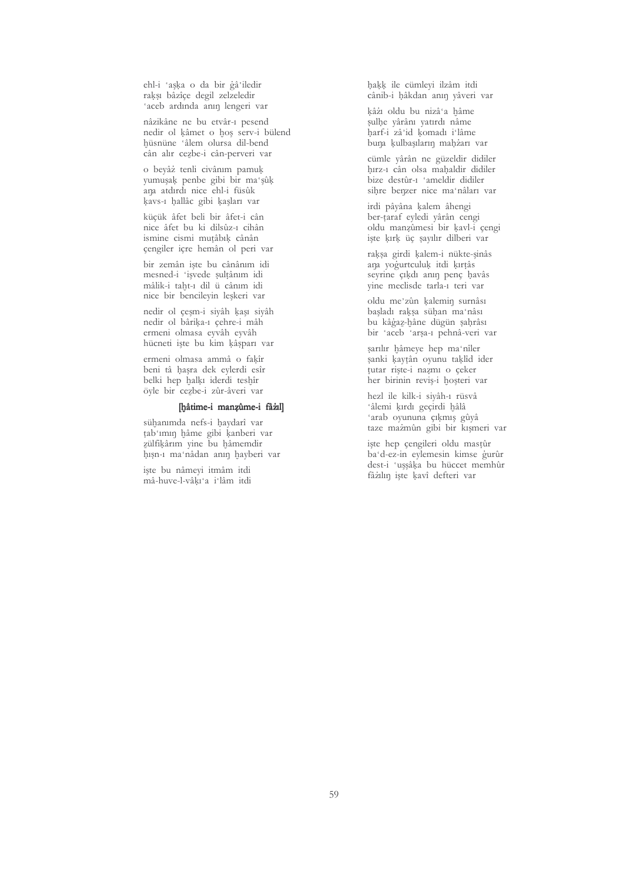ehl-i 'aşka o da bir gâ'iledir raksı bâzîçe degil zelzeledir 'aceb ardında anın lengeri var

nâzikâne ne bu etvâr-1 pesend nedir ol kâmet o hoș serv-i bülend hüsnüne 'âlem olursa dil-bend cân alır cezbe-i cân-perveri var

o beyâż tenli civânim pamuk vumusak penbe gibi bir ma'sûk ana atdırdı nice ehl-i füsûk kavs-1 hallâc gibi kaşları var

kücük âfet beli bir âfet-i cân nice âfet bu ki dilsûz-1 cihân ismine cismi mutâbik cânân cengiler icre hemân ol peri var

bir zemân iște bu cânânım idi mesned-i 'işvede şultânım idi mâlik-i taht-1 dil ü cânım idi nice bir bencileyin leşkeri var

nedir ol çeşm-i siyâh kaşı siyâh nedir ol bârika-ı çehre-i mâh ermeni olmasa eyvâh eyvâh hücneti işte bu kim kâşparı var

ermeni olmasa ammâ o fakîr beni tâ hasra dek eylerdi esîr belki hep halkı iderdi teshîr öyle bir cezbe-i zûr-âveri var

### [hâtime-i manzûme-i fâzıl]

sühanımda nefs-i haydarî var țab mun hâme gibi kanberi var zülfikârım vine bu hâmemdir hışn-ı ma'nâdan anın hayberi var

iste bu nâmevi itmâm itdi mâ-huve-l-vâkı'a i'lâm itdi haķķ ile cümleyi ilzâm itdi cânib-i hâkdan anın yâveri var

kâżi oldu bu nizâ'a hâme sulhe yârânı yatırdı nâme harf-i zâ'id komadı i lâme buna kulbaşıların mahżarı var

cümle vârân ne güzeldir didiler hırz-ı cân olsa mahaldir didiler bize destûr-1 'ameldir didiler sihre benzer nice ma'nâları var

irdi pâyâna kalem âhengi ber-taraf eyledi yârân cengi oldu manzûmesi bir kavl-i çengi iste kırk üc sayılır dilberi var

raksa girdi kalem-i nükte-sinâs ana yogurtculuk itdi kırtâs seyrine çıkdı anın penç havâs vine meclisde tarla-1 teri var

oldu me'zûn kalemin surnâsı başladı rakşa sühan ma'nâsı bu kâġaz-hâne dügün şahrâsı bir 'aceb 'arşa-ı pehnâ-veri var

sarılır hâmeye hep ma'nîler sanki kaytân oyunu taklîd ider tutar riste-i nazmi o ceker her birinin reviș-i hoșteri var

hezl ile kilk-i sivâh-1 rüsvâ 'âlemi kırdı geçirdi hâlâ 'arab oyununa çıkmış gûyâ taze mazmûn gibi bir kışmeri var

işte hep çengileri oldu mastûr ba'd-ez-in eylemesin kimse gurûr dest-i 'uşşâka bu hüccet memhûr fâzılın işte kavî defteri var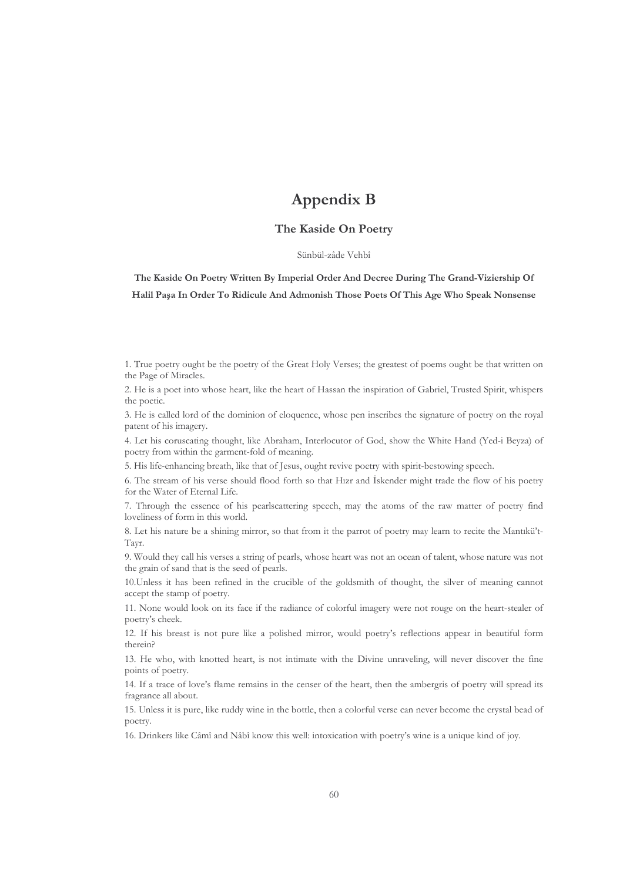# **Appendix B**

#### The Kaside On Poetry

#### Sünbül-zâde Vehbî

The Kaside On Poetry Written By Imperial Order And Decree During The Grand-Viziership Of Halil Paşa In Order To Ridicule And Admonish Those Poets Of This Age Who Speak Nonsense

1. True poetry ought be the poetry of the Great Holy Verses; the greatest of poems ought be that written on the Page of Miracles.

2. He is a poet into whose heart, like the heart of Hassan the inspiration of Gabriel, Trusted Spirit, whispers the poetic.

3. He is called lord of the dominion of eloquence, whose pen inscribes the signature of poetry on the royal patent of his imagery.

4. Let his coruscating thought, like Abraham, Interlocutor of God, show the White Hand (Yed-i Beyza) of poetry from within the garment-fold of meaning.

5. His life-enhancing breath, like that of Jesus, ought revive poetry with spirit-bestowing speech.

6. The stream of his verse should flood forth so that Hizr and Iskender might trade the flow of his poetry for the Water of Eternal Life.

7. Through the essence of his pearlscattering speech, may the atoms of the raw matter of poetry find loveliness of form in this world.

8. Let his nature be a shining mirror, so that from it the parrot of poetry may learn to recite the Mantikü't-Tayr.

9. Would they call his verses a string of pearls, whose heart was not an ocean of talent, whose nature was not the grain of sand that is the seed of pearls.

10. Unless it has been refined in the crucible of the goldsmith of thought, the silver of meaning cannot accept the stamp of poetry.

11. None would look on its face if the radiance of colorful imagery were not rouge on the heart-stealer of poetry's cheek.

12. If his breast is not pure like a polished mirror, would poetry's reflections appear in beautiful form therein?

13. He who, with knotted heart, is not intimate with the Divine unraveling, will never discover the fine points of poetry.

14. If a trace of love's flame remains in the censer of the heart, then the ambergris of poetry will spread its fragrance all about.

15. Unless it is pure, like ruddy wine in the bottle, then a colorful verse can never become the crystal bead of poetry.

16. Drinkers like Câmî and Nâbî know this well: intoxication with poetry's wine is a unique kind of joy.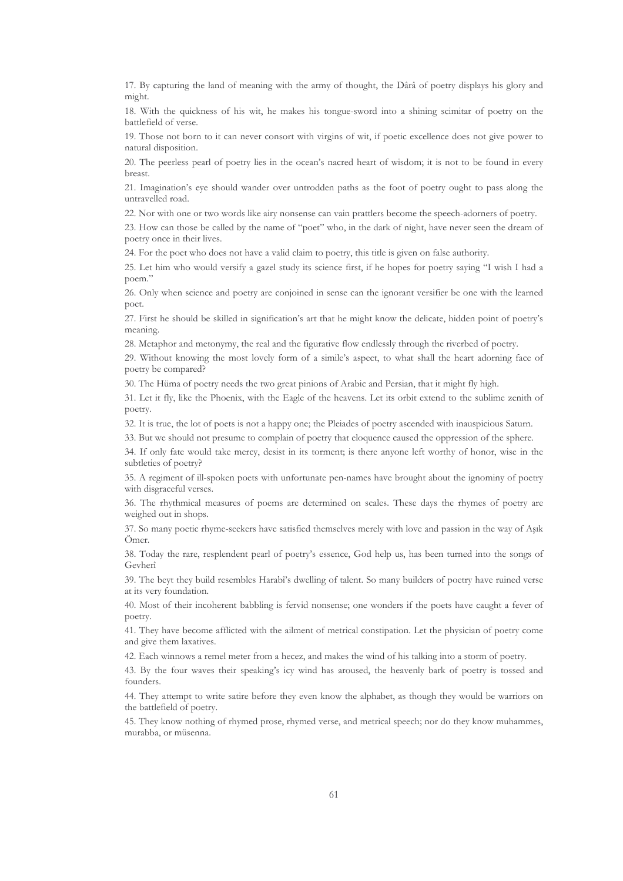17. By capturing the land of meaning with the army of thought, the Dârâ of poetry displays his glory and might.

18. With the quickness of his wit, he makes his tongue-sword into a shining scimitar of poetry on the battlefield of verse.

19. Those not born to it can never consort with virgins of wit, if poetic excellence does not give power to natural disposition.

20. The peerless pearl of poetry lies in the ocean's nacred heart of wisdom; it is not to be found in every breast.

21. Imagination's eye should wander over untrodden paths as the foot of poetry ought to pass along the untravelled road.

22. Nor with one or two words like airy nonsense can vain prattlers become the speech-adorners of poetry.

23. How can those be called by the name of "poet" who, in the dark of night, have never seen the dream of poetry once in their lives.

24. For the poet who does not have a valid claim to poetry, this title is given on false authority.

25. Let him who would versify a gazel study its science first, if he hopes for poetry saying "I wish I had a poem."

26. Only when science and poetry are conjoined in sense can the ignorant versifier be one with the learned poet.

27. First he should be skilled in signification's art that he might know the delicate, hidden point of poetry's meaning.

28. Metaphor and metonymy, the real and the figurative flow endlessly through the riverbed of poetry.

29. Without knowing the most lovely form of a simile's aspect, to what shall the heart adorning face of poetry be compared?

30. The Hüma of poetry needs the two great pinions of Arabic and Persian, that it might fly high.

31. Let it fly, like the Phoenix, with the Eagle of the heavens. Let its orbit extend to the sublime zenith of poetry.

32. It is true, the lot of poets is not a happy one; the Pleiades of poetry ascended with inauspicious Saturn.

33. But we should not presume to complain of poetry that eloquence caused the oppression of the sphere.

34. If only fate would take mercy, desist in its torment; is there anyone left worthy of honor, wise in the subtleties of poetry?

35. A regiment of ill-spoken poets with unfortunate pen-names have brought about the ignominy of poetry with disgraceful verses.

36. The rhythmical measures of poems are determined on scales. These days the rhymes of poetry are weighed out in shops.

37. So many poetic rhyme-seekers have satisfied themselves merely with love and passion in the way of Aşık Ömer.

38. Today the rare, resplendent pearl of poetry's essence, God help us, has been turned into the songs of Geyherî

39. The beyt they build resembles Harabi's dwelling of talent. So many builders of poetry have ruined verse at its very foundation.

40. Most of their incoherent babbling is fervid nonsense; one wonders if the poets have caught a fever of poetry.

41. They have become afflicted with the ailment of metrical constipation. Let the physician of poetry come and give them laxatives.

42. Each winnows a remel meter from a hecez, and makes the wind of his talking into a storm of poetry.

43. By the four waves their speaking's icy wind has aroused, the heavenly bark of poetry is tossed and founders.

44. They attempt to write satire before they even know the alphabet, as though they would be warriors on the battlefield of poetry.

45. They know nothing of rhymed prose, rhymed verse, and metrical speech; nor do they know muhammes, murabba, or müsenna.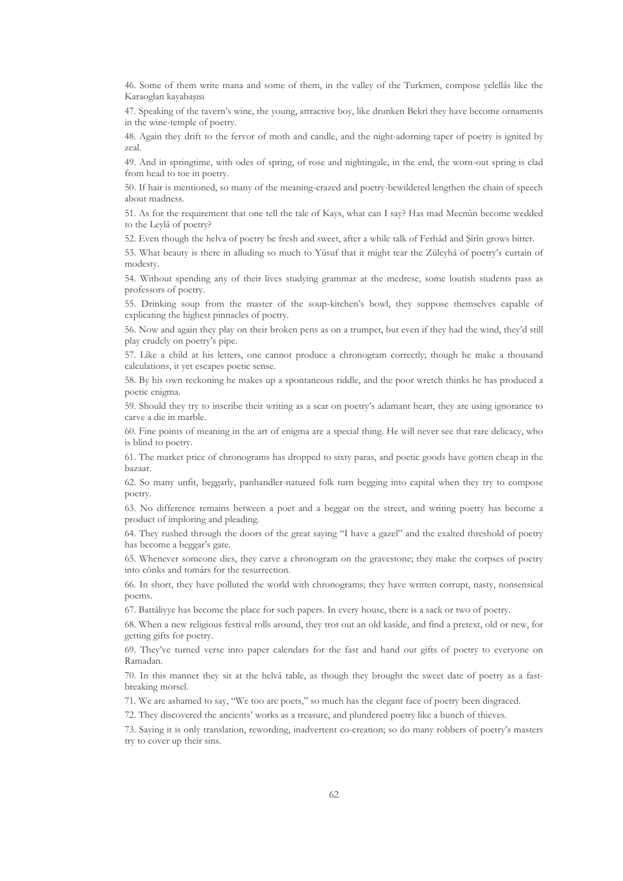46. Some of them write mana and some of them, in the valley of the Turkmen, compose yelellâs like the Karaoglan kayabaşısı

47. Speaking of the tavern's wine, the young, attractive boy, like drunken Bekrî they have become ornaments in the wine-temple of poetry.

48. Again they drift to the fervor of moth and candle, and the night-adorning taper of poetry is ignited by zeal

49. And in springtime, with odes of spring, of rose and nightingale, in the end, the worn-out spring is clad from head to toe in poetry.

50. If hair is mentioned, so many of the meaning-crazed and poetry-bewildered lengthen the chain of speech about madness.

51. As for the requirement that one tell the tale of Kays, what can I say? Has mad Mecnûn become wedded to the Leylâ of poetry?

52. Even though the helva of poetry be fresh and sweet, after a while talk of Ferhâd and Şîrîn grows bitter.

53. What beauty is there in alluding so much to Yusuf that it might tear the Züleyhâ of poetry's curtain of modesty.

54. Without spending any of their lives studying grammar at the medrese, some loutish students pass as professors of poetry.

55. Drinking soup from the master of the soup-kitchen's bowl, they suppose themselves capable of explicating the highest pinnacles of poetry.

56. Now and again they play on their broken pens as on a trumpet, but even if they had the wind, they'd still play crudely on poetry's pipe.

57. Like a child at his letters, one cannot produce a chronogram correctly; though he make a thousand calculations, it yet escapes poetic sense.

58. By his own reckoning he makes up a spontaneous riddle, and the poor wretch thinks he has produced a poetic enigma.

59. Should they try to inscribe their writing as a scar on poetry's adamant heart, they are using ignorance to carve a die in marble.

60. Fine points of meaning in the art of enigma are a special thing. He will never see that rare delicacy, who is blind to poetry.

61. The market price of chronograms has dropped to sixty paras, and poetic goods have gotten cheap in the hazaar.

62. So many unfit, beggarly, panhandler-natured folk turn begging into capital when they try to compose poetry.

63. No difference remains between a poet and a beggar on the street, and writing poetry has become a product of imploring and pleading.

64. They rushed through the doors of the great saying "I have a gazel" and the exalted threshold of poetry has become a beggar's gate.

65. Whenever someone dies, they carve a chronogram on the gravestone; they make the corpses of poetry into cönks and tomârs for the resurrection.

66. In short, they have polluted the world with chronograms; they have written corrupt, nasty, nonsensical poems.

67. Battâliyye has become the place for such papers. In every house, there is a sack or two of poetry.

68. When a new religious festival rolls around, they trot out an old kasîde, and find a pretext, old or new, for getting gifts for poetry.

69. They've turned verse into paper calendars for the fast and hand out gifts of poetry to everyone on Ramadan.

70. In this manner they sit at the helvâ table, as though they brought the sweet date of poetry as a fastbreaking morsel.

71. We are ashamed to say, "We too are poets," so much has the elegant face of poetry been disgraced.

72. They discovered the ancients' works as a treasure, and plundered poetry like a bunch of thieves.

73. Saying it is only translation, rewording, inadvertent co-creation; so do many robbers of poetry's masters try to cover up their sins.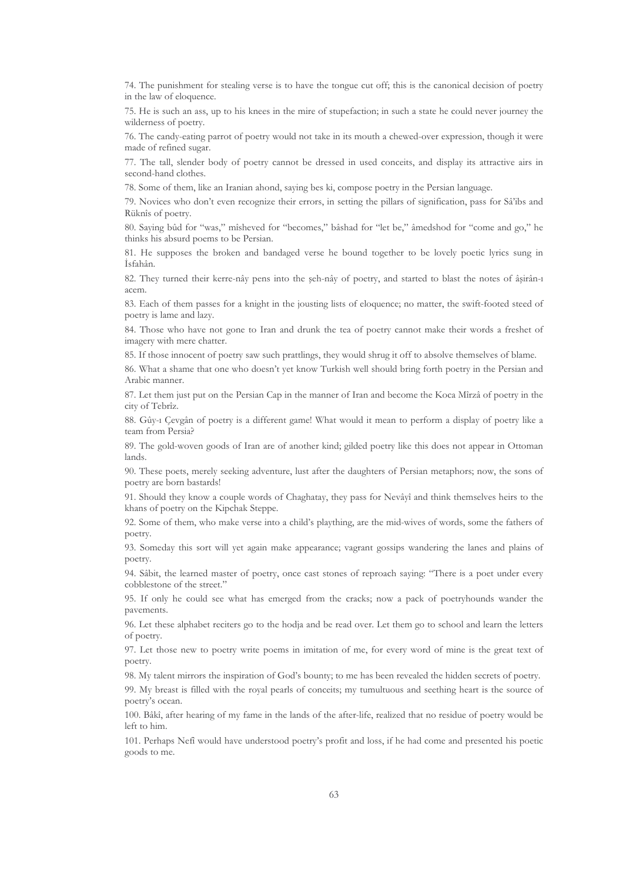74. The punishment for stealing verse is to have the tongue cut off; this is the canonical decision of poetry in the law of eloquence.

75. He is such an ass, up to his knees in the mire of stupefaction; in such a state he could never journey the wilderness of poetry.

76. The candy-eating parrot of poetry would not take in its mouth a chewed-over expression, though it were made of refined sugar.

77. The tall, slender body of poetry cannot be dressed in used conceits, and display its attractive airs in second-hand clothes.

78. Some of them, like an Iranian ahond, saying bes ki, compose poetry in the Persian language.

79. Novices who don't even recognize their errors, in setting the pillars of signification, pass for Sâ'ibs and Rüknîs of poetry.

80. Saying bûd for "was," mîsheved for "becomes," bâshad for "let be," âmedshod for "come and go," he thinks his absurd poems to be Persian.

81. He supposes the broken and bandaged verse he bound together to be lovely poetic lyrics sung in İsfahân.

82. They turned their kerre-nây pens into the seh-nây of poetry, and started to blast the notes of âșirân-1 acem.

83. Each of them passes for a knight in the jousting lists of eloquence; no matter, the swift-footed steed of poetry is lame and lazy.

84. Those who have not gone to Iran and drunk the tea of poetry cannot make their words a freshet of imagery with mere chatter.

85. If those innocent of poetry saw such prattlings, they would shrug it off to absolve themselves of blame.

86. What a shame that one who doesn't yet know Turkish well should bring forth poetry in the Persian and Arabic manner.

87. Let them just put on the Persian Cap in the manner of Iran and become the Koca Mîrzâ of poetry in the city of Tebrîz.

88. Gûy-ı Çevgân of poetry is a different game! What would it mean to perform a display of poetry like a team from Persia?

89. The gold-woven goods of Iran are of another kind; gilded poetry like this does not appear in Ottoman lands

90. These poets, merely seeking adventure, lust after the daughters of Persian metaphors; now, the sons of poetry are born bastards!

91. Should they know a couple words of Chaghatay, they pass for Nevâyî and think themselves heirs to the khans of poetry on the Kipchak Steppe.

92. Some of them, who make verse into a child's plaything, are the mid-wives of words, some the fathers of poetry.

93. Someday this sort will yet again make appearance; vagrant gossips wandering the lanes and plains of poetry.

94. Sâbit, the learned master of poetry, once cast stones of reproach saying: "There is a poet under every cobblestone of the street."

95. If only he could see what has emerged from the cracks; now a pack of poetryhounds wander the pavements.

96. Let these alphabet reciters go to the hodja and be read over. Let them go to school and learn the letters of poetry.

97. Let those new to poetry write poems in imitation of me, for every word of mine is the great text of noetry.

98. My talent mirrors the inspiration of God's bounty; to me has been revealed the hidden secrets of poetry.

99. My breast is filled with the royal pearls of conceits; my tumultuous and seething heart is the source of poetry's ocean.

100. Bâkî, after hearing of my fame in the lands of the after-life, realized that no residue of poetry would be left to him.

101. Perhaps Nefi would have understood poetry's profit and loss, if he had come and presented his poetic goods to me.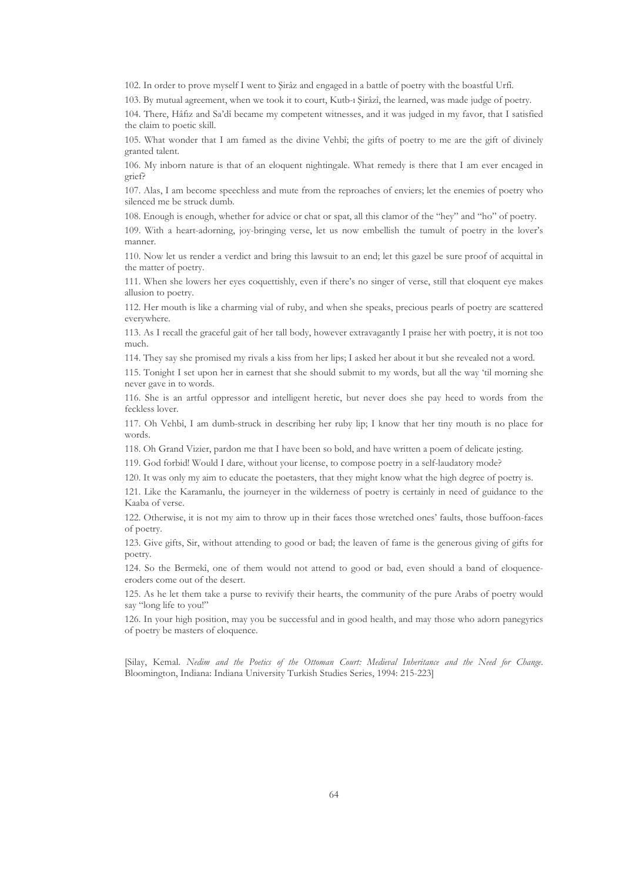102. In order to prove myself I went to Sirâz and engaged in a battle of poetry with the boastful Urfi.

103. By mutual agreement, when we took it to court, Kutb-1 Sirâzî, the learned, was made judge of poetry.

104. There, Hâfiz and Sa'dî became my competent witnesses, and it was judged in my favor, that I satisfied the claim to poetic skill.

105. What wonder that I am famed as the divine Vehbî; the gifts of poetry to me are the gift of divinely granted talent.

106. My inborn nature is that of an eloquent nightingale. What remedy is there that I am ever encaged in grief?

107. Alas, I am become speechless and mute from the reproaches of enviers; let the enemies of poetry who silenced me be struck dumb.

108. Enough is enough, whether for advice or chat or spat, all this clamor of the "hey" and "ho" of poetry.

109. With a heart-adorning, joy-bringing verse, let us now embellish the tumult of poetry in the lover's manner.

110. Now let us render a verdict and bring this lawsuit to an end; let this gazel be sure proof of acquittal in the matter of poetry.

111. When she lowers her eves coquettishly, even if there's no singer of verse, still that eloquent eve makes allusion to poetry.

112. Her mouth is like a charming vial of ruby, and when she speaks, precious pearls of poetry are scattered everywhere.

113. As I recall the graceful gait of her tall body, however extravagantly I praise her with poetry, it is not too much.

114. They say she promised my rivals a kiss from her lips; I asked her about it but she revealed not a word.

115. Tonight I set upon her in earnest that she should submit to my words, but all the way 'til morning she never gave in to words.

116. She is an artful oppressor and intelligent heretic, but never does she pay heed to words from the feckless lover.

117. Oh Vehbî, I am dumb-struck in describing her ruby lip; I know that her tiny mouth is no place for words.

118. Oh Grand Vizier, pardon me that I have been so bold, and have written a poem of delicate jesting.

119. God forbid! Would I dare, without your license, to compose poetry in a self-laudatory mode?

120. It was only my aim to educate the poetasters, that they might know what the high degree of poetry is.

121. Like the Karamanlu, the journeyer in the wilderness of poetry is certainly in need of guidance to the Kaaba of verse.

122. Otherwise, it is not my aim to throw up in their faces those wretched ones' faults, those buffoon-faces of poetry.

123. Give gifts, Sir, without attending to good or bad; the leaven of fame is the generous giving of gifts for poetry.

124. So the Bermekî, one of them would not attend to good or bad, even should a band of eloquenceeroders come out of the desert.

125. As he let them take a purse to revivify their hearts, the community of the pure Arabs of poetry would say "long life to you!"

126. In your high position, may you be successful and in good health, and may those who adorn panegyrics of poetry be masters of eloquence.

[Silay, Kemal. Nedim and the Poetics of the Ottoman Court: Medieval Inheritance and the Need for Change. Bloomington, Indiana: Indiana University Turkish Studies Series, 1994: 215-223]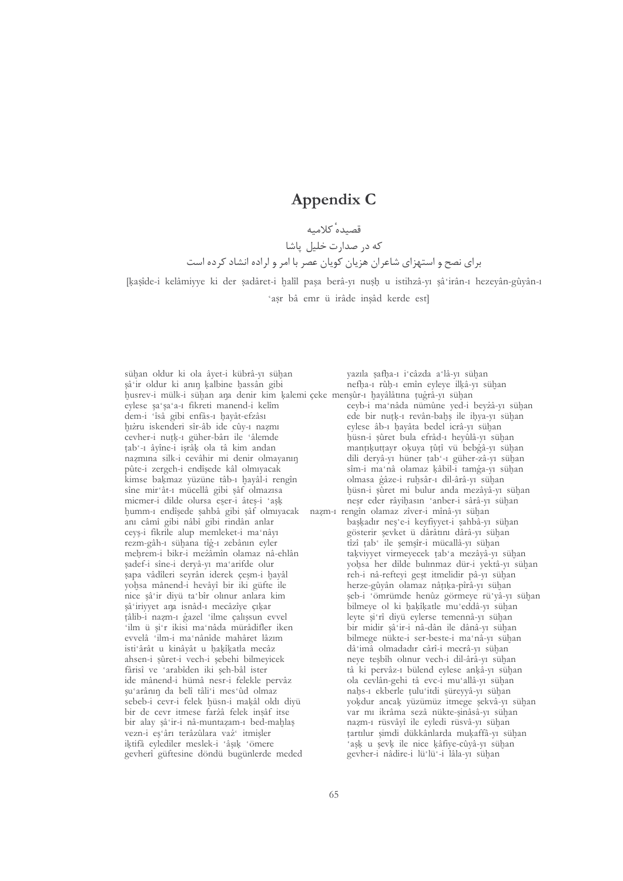## Appendix C

## قصيده كلاميه

## که در صدارت خلیل پاشا برای نصح و استهزای شاعران هزیان کوپان عصر با امر و اراده انشاد کرده است

[kasîde-i kelâmiyye ki der sadâret-i halîl pasa berâ-vi nush u istihzâ-vi sâ irân-i hezevân-gûyân-i 'asr bâ emr ü irâde inşâd kerde est]

sühan oldur ki ola âyet-i kübrâ-vı sühan sâ ir oldur ki anın kalbine hassân gibi husrev-i mülk-i sühan ana denir kim kalemi çeke menşûr-ı hayâlâtına tugrâ-yı sühan eylese şa'şa'a-ı fikreti manend-i kelîm dem-i 'îsâ gibi enfâs-1 hayât-efzâsı hıżru iskenderi sîr-âb ide cûv-1 nazmı cevher-i nuțķ-1 güher-bârı ile 'âlemde țab'-1 âyîne-i işrâk ola tâ kim andan nazmina silk-i cevâhir mi denir olmavanin pûte-i zergeh-i endîşede kâl olmıyacak kimse bakmaz yüzüne tâb-ı hayâl-i rengîn sîne mir ât-1 mücellâ gibi sâf olmazısa micmer-i dilde olursa eser-i âteș-i 'așk humm-1 endîşede şahbâ gibi şâf olmıyacak anı câmî gibi nâbî gibi rindân anlar ceyș-i fikrile alup memleket-i ma'nâyı rezm-gâh-ı sühana tîğ-ı zebânın eyler mehrem-i bikr-i mezâmîn olamaz nâ-ehlân sadef-i sîne-i dervâ-vi ma arifde olur sapa vâdîleri seyrân iderek çeşm-i hayâl yohsa mânend-i hevâyî bir iki güfte ile nice șâ ir divü ta bîr olınur anlara kim sâ irivyet ana isnâd-1 mecâzîye çıkar tâlib-i nazm-1 gazel 'ilme calıssun evvel 'ilm ü şi'r ikisi ma'nâda mürâdifler iken evvelâ 'ilm-i ma nânîde mahâret lâzım isti ârât u kinâyât u hakîkatla mecâz ahsen-i şûret-i vech-i şebehi bilmeyicek fârisî ve 'arabîden iki şeh-bâl ister ide mânend-i hümâ nesr-i felekle pervâz șu arânın da belî tâli'i mes ûd olmaz sebeb-i cevr-i felek hüsn-i makâl oldı diyü bir de cevr itmese farzâ felek insâf itse bir alay şâ'ir-i nâ-muntazam-ı bed-mahlas vezn-i es'ârı terâzûlara vaz' itmişler iktifå eylediler meslek-i 'âsık 'ömere gevherî güftesine döndü bugünlerde meded

yazıla şafha-1 i'câzda a'lâ-vı sühan nefha-1 rûh-1 emîn eyleye ilkâ-yı sühan ceyb-i ma'nâda nümûne yed-i beyzâ-yı sühan ede bir nutk-1 revân-bahş ile ihya-yı sühan eylese âb-ı hayâta bedel icrâ-yı sühan hüsn-i sûret bula efrâd-1 heyûlâ-yı sühan mantıkuttayr okuya tûtî vü bebgâ-yı sühan dili dervâ-vi hüner tab -1 güher-zâ-vi sühan sîm-i ma'nâ olamaz kâbil-i tamga-yı sühan olmasa gâze-i ruhsâr-1 dil-ârâ-yı sühan hüsn-i sûret mi bulur anda mezâyâ-yı sühan neşr eder râyihasın 'anber-i sârâ-yı sühan nazm-1 rengîn olamaz zîver-i mînâ-vi sühan baskadır nes'e-i keyfiyyet-i sahbâ-yı sühan gösterir şevket ü dârâtını dârâ-yı sühan tîzî tab ile şemşîr-i mücallâ-yı sühan takviyyet virmeyecek tab'a mezâyâ-yı sühan yohsa her dilde bulınmaz dür-i yektâ-yı sühan reh-i nâ-refteyi geşt itmelidir pâ-yı sühan herze-gûyân olamaz nâțika-pîrâ-yi sühan şeb-i 'ömrümde henûz görmeye rü'yâ-yı sühan bilmeye ol ki hakîkatle mu'eddâ-yı sühan leyte si'rî divü eylerse temennâ-vi sühan bir midir şâ'ir-i nâ-dân ile dânâ-yı sühan bilmege nükte-i ser-beste-i ma'nâ-vı sühan dâ imâ olmadadır cârî-i mecrâ-vi sühan neye teşbîh olınur vech-i dil-ârâ-yı sühan tà ki pervâz-1 bülend eylese ankâ-yı sühan ola cevlân-gehi tâ evc-i mu allâ-yı sühan nahs-1 ekberle tulu'itdi süreyyâ-yı sühan yokdur ancak yüzümüz itmege şekvâ-yı sühan var mı ikrâma sezâ nükte-şinâsâ-yı sühan nazm-ı rüsvâyî ile eyledi rüsvâ-yı sühan tartılur şimdi dükkânlarda mukaffâ-yı sühan 'ask u sevk ile nice kâfiye-cûyâ-yı sühan gevher-i nâdire-i lü'lü'-i lâla-yı sühan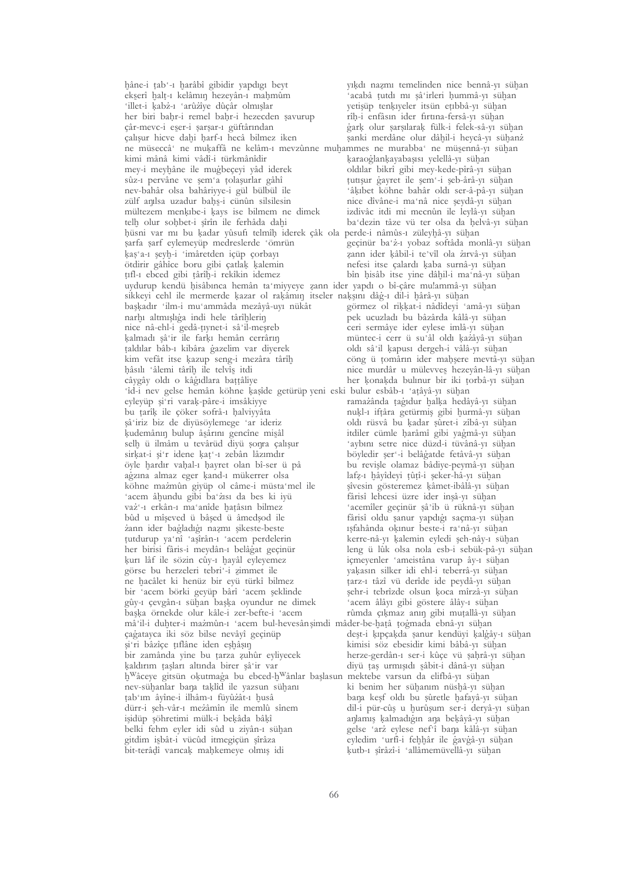hâne-i țab'-1 harâbî gibidir yapdıgı beyt ekserî halt-1 kelâmın hezeyân-1 mahmûm 'illet-i kabż-1 'arûżîye dûçâr olmışlar her biri bahr-i remel bahr-i hezecden savurup çâr-mevc-i eser-i sarsar-1 güftârından çalışur hicve dahi harf-ı hecâ bilmez iken ne müseccâ<sup>®</sup> ne muķaffâ ne kelâm-ı mevzûnne muhammes ne murabba<sup>®</sup> ne müşennâ-yı sühan kimi mânâ kimi vâdî-i türkmânîdir mey-i meyhâne ile mugbeçeyi yâd iderek sûz-1 pervâne ve sem a tolasurlar gâhî nev-bahâr olsa bahârivve-i gül bülbül ile zülf anılsa uzadur bahs-i cünûn silsilesin mültezem menkıbe-i kays ise bilmem ne dimek telh olur sohbet-i şîrîn ile ferhâda dahi hüsni var mı bu kadar yûsufi telmîh iderek çâk ola perde-i nâmûs-ı züleyhâ-yı sühan sarfa sarf eylemeyüp medreslerde 'ömrün kas'a-1 şeyh-i 'imâretden içüp çorbayı ötdirir gâhîce boru gibi çatlak kalemin tıfl-ı ebced gibi târîh-i rekîkin idemez uydurup kendü hisâbınca hemân ta miyyeye zann ider yapdı o bî-çâre mulammâ-yı sühan sikkeyi cehl ile mermerde kazar ol rakâmın itseler nakşını dâğ-ı dil-i hârâ-yı sühan başkadır 'ilm-i mu'ammâda mezâyâ-uyı nükât narhı altmıslığa indi hele târîhlerin nice nâ-ehl-i gedâ-țiynet-i sâ'il-meșreb kalmadı şâ'ir ile farkı hemân cerrârın taldılar bâb-ı kibâra gazelim var diyerek kim vefât itse kazup seng-i mezâra târîh hâsılı 'âlemi târîh ile telvîs itdi câygây oldı o kâğıdlara battâliye 'îd-i nev gelse hemân köhne kasîde getürüp veni eski bulur esbâb-ı 'atâyâ-yı sühan eyleyüp şi'ri varak-pâre-i imsâkiyye bu tarîk ile çöker sofrâ-ı halviyyâta sâ iriz biz de divüsöylemege ar ideriz kudemânın bulup âsârını gencîne mişâl selh ü ilmâm u tevârüd divü sonra çalışur sirkat-i şi'r idene kat'-ı zebân lâzımdır öyle hardır vahal-ı hayret olan bî-ser ü pâ agzına almaz eger kand-ı mükerrer olsa köhne mazmûn giyüp ol câme-i müsta'mel ile 'acem âhundu gibi ba'zısı da bes ki iyü vaż'-1 erkân-1 ma'anîde hatâsın bilmez bûd u mîseved ü bâsed ü âmedsod ile żann ider bagladığı nazmı sikeste-beste tutdurup ya'nî 'aşîrân-ı 'acem perdelerin her birisi fâris-i meydân-1 belâgat gecinür kurı lâf ile sözin cûy-ı hayâl eyleyemez görse bu herzeleri tebri'-i zimmet ile ne hacâlet ki henüz bir eyü türkî bilmez bir 'acem börki geyüp bârî 'acem şeklinde gûy-1 çevgân-1 sühan başka oyundur ne dimek başka örnekde olur kâle-i zer-befte-i 'acem mâ'il-i duhter-i mazmûn-1 'acem bul-hevesân şimdi mâder-be-hatâ togmada ebnâ-yı sühan çağatayca iki söz bilse nevâyî geçinüp și ri bâzîce țiflâne iden eșhâșin bir zamânda vine bu tarza zuhûr evlivecek kaldırım taşları altında birer şâ'ir var h<sup>w</sup>âceye gitsün okutmaga bu ebced-h<sup>w</sup>ânlar başlasun mektebe varsun da elifbâ-yı sühan nev-sühanlar bana taklîd ile yazsun sühanı tab'ım âyîne-i ilhâm-1 füyûzât-1 husâ dürr-i seh-vâr-1 mezâmîn ile memlû sînem isidüp söhretimi mülk-i bekâda bâkî belki fehm eyler idi sûd u ziyân-1 sühan gitdim isbât-i vücûd itmegicün sîrâza bit-terâdî varıcak mahkemeye olmış idi

yıkdı nazmı temelinden nice bennâ-yı sühan 'acabâ țutdı mı şâ'irleri hummâ-yı sühan vetisüp tenkıyeler itsün etıbbâ-yı sühan rîh-i enfâsın ider fırtına-fersâ-yı sühan gark olur sarsılarak fülk-i felek-sâ-yı sühan sanki merdâne olur dâhil-i heycâ-yı sühanz karaoglankavabasısı velellâ-vı sühan oldılar bikrî gibi mey-kede-pîrâ-yı sühan tuttsur gayret ile sem -i seb-ârâ-vi sühan 'âkıbet köhne bahâr oldı ser-â-pâ-yı sühan nice dîvâne-i ma nâ nice şeydâ-yı sühan izdivâc itdi mi mecnûn ile leylâ-yı sühan ba'dezin tâze vü ter olsa da helvâ-yı sühan geçinür ba'z-ı yobaz softâda monlâ-yı sühan zann ider kâbil-i te'vîl ola zırvâ-yı sühan nefesi itse çalardı kaba surnâ-yı sühan bîn hisâb itse yine dâhil-i ma'nâ-yı sühan görmez ol rikkat-i nâdîdeyi 'amâ-yı sühan pek ucuzladı bu bâzârda kâlâ-vı sühan ceri sermâye ider eylese imlâ-vi sühan müntec-i cerr ü su'âl oldı kazâyâ-yı sühan oldı sâ'il kapusı dergeh-i vâlâ-yı sühan cöng ü tomârın ider mahşere mevtâ-yı sühan nice murdâr u mülevves hezevân-lâ-vi sühan her konakda bulınur bir iki torbâ-yı sühan ramażânda tagıdur halka hedâyâ-yı sühan nuķl-1 iftâra getürmiş gibi hurmâ-yı sühan oldı rüsvâ bu kadar şûret-i zîbâ-yı sühan itdiler cümle harâmî gibi yagmâ-yı sühan 'aybını setre nice düzd-i tüvânâ-yı sühan böyledir şer'-i belâğatde fetâvâ-yı sühan bu revişle olamaz bâdiye-peymâ-yı sühan lafz-ı hâyîdeyi tûtî-i şeker-hâ-yı sühan sîvesin gösteremez kâmet-ibâlâ-yı sühan fârisî lehcesi üzre ider insâ-vı sühan 'acemîler geçinür sâ'ib ü rüknâ-yı sühan fârisî oldu şanur yapdığı saçma-yı sühan isfahânda okinur beste-i ra'nâ-vi sühan kerre-nâ-yı kalemin eyledi şeh-nây-ı sühan leng ü lûk olsa nola esb-i sebük-pâ-vı sühan içmeyenler 'ameistâna varup ây-1 sühan vakasın silker idi ehl-i teberrâ-vı sühan tarz-1 tâzî vü derîde ide peydâ-yı sühan şehr-i tebrîzde olsun koca mîrzâ-yı sühan 'acem âlâvı gibi göstere âlây-ı sühan rûmda çıkmaz anın gibi mutallâ-yı sühan deşt-i kıpçakda şanur kendüyi kalgây-ı sühan kimisi söz ebesidir kimi bâbâ-yı sühan herze-gerdân-1 ser-i kûce vü sahrâ-vi sühan diyü taş urmışıdı sâbit-i dânâ-yı sühan ki benim her sühanım nüshâ-yı sühan bana keşf oldı bu şûretle hafayâ-yı sühan dil-i pür-cûs u hurûsum ser-i dervâ-vı sühan anlamış kalmadığın ana bekâyâ-yı sühan gelse 'arz eylese nef'î bana kâlâ-yı sühan eyledim 'urfî-i fehhâr ile eaveâ-vi sühan kutb-1 şîrâzî-i 'allâmemüvellâ-yı sühan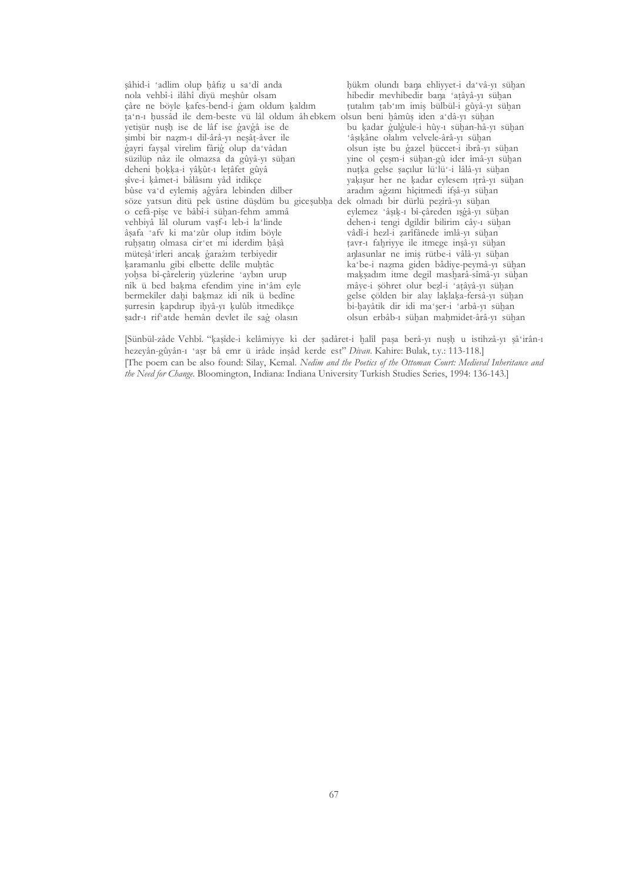șâhid-i 'adlim olup hâfiz u sa'dî anda hükm olundı bana ehliyyet-i da'vâ-yı sühan hibedir mevhibedir bana 'atâyâ-yı sühan nola vehbî-i ilâhî diyü meşhûr olsam çâre ne böyle kafes-bend-i gam oldum kaldım tutalım tab'ım imiş bülbül-i gûyâ-yı sühan ta n-1 hussâd ile dem-beste vü lâl oldum âhebkem olsun beni hâmûş iden a dâ-yı sühan yetişür nuşh ise de lâf ise gavgâ ise de bu kadar gulgule-i hûy-1 sühan-hâ-yı sühan simbi bir nazm-1 dil-ârâ-vı neşât-âver ile 'âşıkâne olalım velvele-ârâ-yı sühan gayri faysal virelim fârig olup da vâdan olsun işte bu gazel hüccet-i ibrâ-yı sühan süzilüp nâz ile olmazsa da gûyâ-yı sühan vine ol cesm-i sühan-gû ider îmâ-vı sühan deheni hokka-i vâkût-1 letâfet gûyâ nutka gelse saçılur lü'lü'-i lâlâ-yı sühan sîve-i kâmet-i bâlâsını vâd itdikce vakısur her ne kadar eylesem itrâ-vi sühan bûse va'd eylemiş agyâra lebinden dilber aradım ağzını hîcitmedi ifsâ-yı sühan söze yatsun ditü pek üstine düşdüm bu gicesubha dek olmadı bir dürlü pezîrâ-yı sühan o cefâ-pîse ve bâbî-i sühan-fehm ammâ eylemez 'âsık-ı bî-çâreden isgâ-yı sühan vehbiyâ lâl olurum vasf-1 leb-i la linde dehen-i tengi dgildir bilirim cây-ı sühan âșafa 'afv ki ma'zûr olup itdim böyle vâdî-i hezl-i zarîfânede imlâ-vi sühan ruhsatın olmasa cir'et mi iderdim hâşâ tavr-1 fahriyye ile itmege inşâ-yı sühan müteşâ irleri ancak garazım terbiyedir anlasunlar ne imiş rütbe-i vâlâ-yı sühan karamanlu gibi elbette delîle muhtâc ka be-i nazma giden bâdiye-peymâ-yı sühan yohsa bî-çârelerin yüzlerine 'aybın urup maksadım itme degil masharâ-sîmâ-yı sühan nîk ü bed bakma efendim yine in âm eyle mâye-i şöhret olur bezl-i 'atâyâ-yı sühan bermekîler dahi bakmaz idi nîk ü bedîne gelse çölden bir alay laklaka-fersâ-yı sühan surresin kapdırup ihyâ-yı kulûb itmedikçe bi-hayâtik dir idi ma'şer-i 'arbâ-yı sühan sadr-1 rif atde hemân devlet ile sag olasın olsun erbâb-1 sühan mahmidet-ârâ-vi sühan

[Sünbül-zâde Vehbî. "kaşîde-i kelâmiyye ki der şadâret-i halîl paşa berâ-yı nuşh u istihzâ-yı şâ'irân-ı hezeyân-gûyân-1 'aşr bâ emr ü irâde inşâd kerde est" Divan. Kahire: Bulak, t.v.: 113-118.] [The poem can be also found: Silay, Kemal. Nedim and the Poetics of the Ottoman Court: Medieval Inheritance and the Need for Change. Bloomington, Indiana: Indiana University Turkish Studies Series, 1994: 136-143.]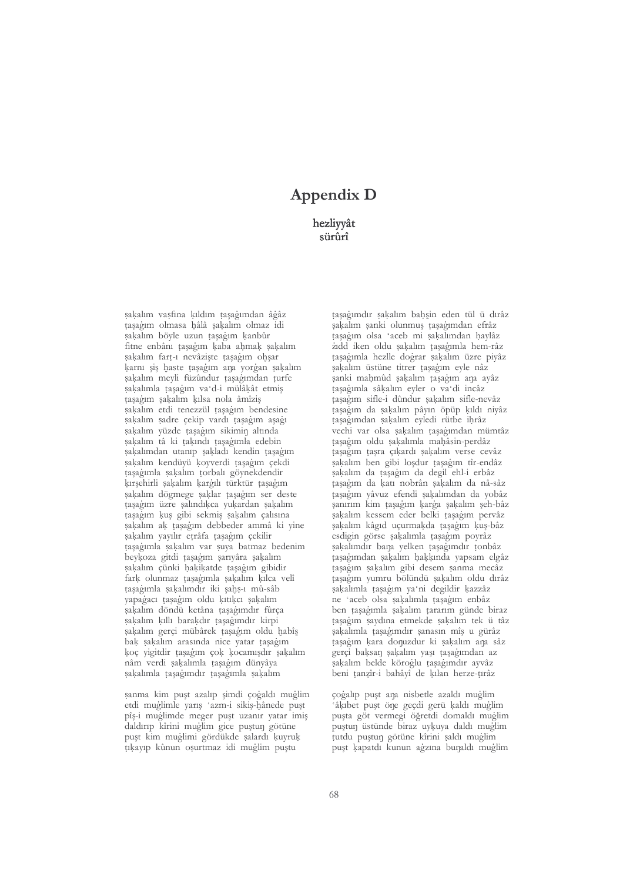## **Appendix D**

hezliyyât sürûrî

sakalım vasfına kıldım tasağımdan âğâz taşağım olmasa hâlâ şakalım olmaz idi sakalım böyle uzun taşağım kanbûr fitne enbânı taşağım kaba ahmak şakalım sakalım fart-1 nevâziste tasağım ohsar karnı sis haste tasağım ana yorğan sakalım şakalım meyli füzûndur taşağımdan turfe sakalımla tasağım va'd-i mülâkât etmiş taşağım şakalım kılsa nola âmîziş sakalım etdi tenezzül taşağım bendesine sakalım sadre cekip vardı tasağım asağı sakalım yüzde taşağım sikimin altında şakalım tâ ki takındı taşağımla edebin sakalımdan utanıp sakladı kendin taşağım sakalım kendüyü koyverdi taşağım cekdi tasagımla sakalım torbalı göynekdendir kırşehirli şakalım kargılı türktür taşağım sakalım dögmege saklar taşağım ser deste taşağım üzre şalındıkca yukardan şakalım tasagim kus gibi sekmis sakalim calisina sakalım ak taşağım debbeder ammâ ki vine şakalım yayılır etrâfa taşağım çekilir tasagımla sakalım var suya batmaz bedenim beykoza gitdi taşağım şarıyâra şakalım sakalım çünki hakikatde tasağım gibidir fark olunmaz taşağımla şakalım kılca velî taşağımla şakalımdır iki şahş-ı mû-sâb vapagacı taşağım oldu kıtıkcı şakalım şakalım döndü ketâna taşağımdır fûrça şakalım kıllı barakdır taşağımdır kirpi sakalım gerçi mübârek tasağım oldu habîs bak sakalım arasında nice yatar taşağım koç yigitdir taşağım çok kocamışdır sakalım nâm verdi şakalımla taşağım dünyâya sakalımla tasağımdır tasağımla sakalım

şanma kim puşt azalıp şimdi çoğaldı muğlim etdi muglimle varis 'azm-i sikis-hânede pust pîş-i muglimde meger puşt uzanır yatar imiş daldırıp kîrini muğlim gice puştun götüne puşt kim muğlimi gördükde salardı kuyruk tıkayıp kûnun osurtmaz idi muğlim puştu

tasagımdır sakalım bahsin eden tül ü dırâz sakalım sanki olunmuş taşağımdan efrâz tasagim olsa 'aceb mi sakalımdan haylâz żidd iken oldu sakalım taşağımla hem-râz tasagımla hezlle doğrar sakalım üzre piyâz sakalım üstüne titrer taşağım eyle nâz şanki mahmûd şakalım taşağım ana ayâz tasagımla sâkalım eyler o va'di incâz taşağım sifle-i dûndur şakalım sifle-nevâz taşağım da şakalım pâyın öpüp kıldı niyâz tasagımdan sakalım eyledi rütbe ihrâz vechi var olsa sakalım taşağımdan mümtâz taşağım oldu şakalımla mahâsin-perdâz tasagim tasra cikardı sakalım verse cevâz sakalım ben gibi loşdur taşağım tîr-endâz sakalım da tasağım da degil ehl-i erbâz taşağım da katı nobrân sakalım da nâ-sâz tasağım yâvuz efendi sakalımdan da yobâz sanırım kim taşağım karğa sakalım şeh-bâz sakalım kessem eder belki taşağım pervâz sakalım kâgıd uçurmakda tasağım kus-bâz esdigin görse sakalımla taşağım poyrâz sakalımdır bana yelken taşağımdır tonbâz taşağımdan şakalım hakkında yapsam elgâz taşağım sakalım gibi desem sanma mecâz taşağım yumru bölündü şakalım oldu dırâz şakalımla taşağım ya'ni degildir kazzâz ne 'aceb olsa sakalımla taşağım enbâz ben taşağımla şakalım tararım günde biraz taşağım saydına etmekde şakalım tek ü tâz sakalımla tasağımdır sanasın mîs u gürâz taşağım kara donuzdur ki şakalım ana sâz gerci baksan sakalım vası tasagımdan az sakalım belde köroğlu taşağımdır ayvâz beni tanzîr-i bahâyî de kılan herze-tırâz

çoğalıp puşt ana nisbetle azaldı muğlim 'âkıbet puşt öne geçdi gerü kaldı muğlim puşta göt vermegi öğretdi domaldı muğlim puştun üstünde biraz uykuya daldı muğlim tutdu puştun götüne kîrini şaldı muğlim puşt kapatdı kunun ağzına bunaldı muğlim